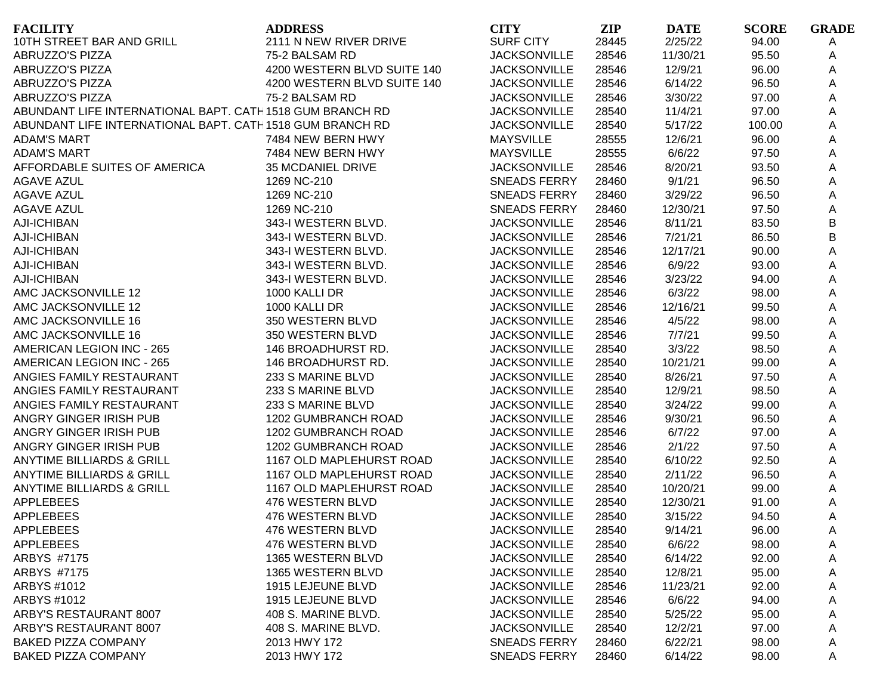| <b>FACILITY</b>                                           | <b>ADDRESS</b>              | <b>CITY</b>         | <b>ZIP</b> | <b>DATE</b> | <b>SCORE</b> | <b>GRADE</b> |
|-----------------------------------------------------------|-----------------------------|---------------------|------------|-------------|--------------|--------------|
| 10TH STREET BAR AND GRILL                                 | 2111 N NEW RIVER DRIVE      | <b>SURF CITY</b>    | 28445      | 2/25/22     | 94.00        | A            |
| <b>ABRUZZO'S PIZZA</b>                                    | 75-2 BALSAM RD              | <b>JACKSONVILLE</b> | 28546      | 11/30/21    | 95.50        | A            |
| <b>ABRUZZO'S PIZZA</b>                                    | 4200 WESTERN BLVD SUITE 140 | <b>JACKSONVILLE</b> | 28546      | 12/9/21     | 96.00        | A            |
| <b>ABRUZZO'S PIZZA</b>                                    | 4200 WESTERN BLVD SUITE 140 | <b>JACKSONVILLE</b> | 28546      | 6/14/22     | 96.50        | A            |
| <b>ABRUZZO'S PIZZA</b>                                    | 75-2 BALSAM RD              | <b>JACKSONVILLE</b> | 28546      | 3/30/22     | 97.00        | Α            |
| ABUNDANT LIFE INTERNATIONAL BAPT. CATH 1518 GUM BRANCH RD |                             | <b>JACKSONVILLE</b> | 28540      | 11/4/21     | 97.00        | A            |
| ABUNDANT LIFE INTERNATIONAL BAPT. CATH 1518 GUM BRANCH RD |                             | <b>JACKSONVILLE</b> | 28540      | 5/17/22     | 100.00       | Α            |
| <b>ADAM'S MART</b>                                        | 7484 NEW BERN HWY           | <b>MAYSVILLE</b>    | 28555      | 12/6/21     | 96.00        | Α            |
| <b>ADAM'S MART</b>                                        | 7484 NEW BERN HWY           | <b>MAYSVILLE</b>    | 28555      | 6/6/22      | 97.50        | А            |
| AFFORDABLE SUITES OF AMERICA                              | <b>35 MCDANIEL DRIVE</b>    | <b>JACKSONVILLE</b> | 28546      | 8/20/21     | 93.50        | А            |
| <b>AGAVE AZUL</b>                                         | 1269 NC-210                 | <b>SNEADS FERRY</b> | 28460      | 9/1/21      | 96.50        | Α            |
| <b>AGAVE AZUL</b>                                         | 1269 NC-210                 | <b>SNEADS FERRY</b> | 28460      | 3/29/22     | 96.50        | Α            |
| <b>AGAVE AZUL</b>                                         | 1269 NC-210                 | <b>SNEADS FERRY</b> | 28460      | 12/30/21    | 97.50        | Α            |
| <b>AJI-ICHIBAN</b>                                        | 343-I WESTERN BLVD.         | <b>JACKSONVILLE</b> | 28546      | 8/11/21     | 83.50        | B            |
| <b>AJI-ICHIBAN</b>                                        | 343-I WESTERN BLVD.         | <b>JACKSONVILLE</b> | 28546      | 7/21/21     | 86.50        | $\sf B$      |
| <b>AJI-ICHIBAN</b>                                        | 343-I WESTERN BLVD.         | <b>JACKSONVILLE</b> | 28546      | 12/17/21    | 90.00        | A            |
| <b>AJI-ICHIBAN</b>                                        | 343-I WESTERN BLVD.         | <b>JACKSONVILLE</b> | 28546      | 6/9/22      | 93.00        | А            |
| <b>AJI-ICHIBAN</b>                                        | 343-I WESTERN BLVD.         | <b>JACKSONVILLE</b> | 28546      | 3/23/22     | 94.00        | А            |
| AMC JACKSONVILLE 12                                       | 1000 KALLI DR               | <b>JACKSONVILLE</b> | 28546      | 6/3/22      | 98.00        | A            |
| AMC JACKSONVILLE 12                                       | 1000 KALLI DR               | <b>JACKSONVILLE</b> | 28546      | 12/16/21    | 99.50        | Α            |
| AMC JACKSONVILLE 16                                       | 350 WESTERN BLVD            | <b>JACKSONVILLE</b> | 28546      | 4/5/22      | 98.00        | Α            |
| AMC JACKSONVILLE 16                                       | 350 WESTERN BLVD            | <b>JACKSONVILLE</b> | 28546      | 7/7/21      | 99.50        | Α            |
| AMERICAN LEGION INC - 265                                 | 146 BROADHURST RD.          | <b>JACKSONVILLE</b> | 28540      | 3/3/22      | 98.50        | Α            |
| AMERICAN LEGION INC - 265                                 | 146 BROADHURST RD.          | <b>JACKSONVILLE</b> | 28540      | 10/21/21    | 99.00        | Α            |
| ANGIES FAMILY RESTAURANT                                  | 233 S MARINE BLVD           | <b>JACKSONVILLE</b> | 28540      | 8/26/21     | 97.50        | Α            |
| ANGIES FAMILY RESTAURANT                                  | 233 S MARINE BLVD           | <b>JACKSONVILLE</b> | 28540      | 12/9/21     | 98.50        | А            |
| ANGIES FAMILY RESTAURANT                                  | 233 S MARINE BLVD           | <b>JACKSONVILLE</b> | 28540      | 3/24/22     | 99.00        | A            |
| ANGRY GINGER IRISH PUB                                    | 1202 GUMBRANCH ROAD         | <b>JACKSONVILLE</b> | 28546      | 9/30/21     | 96.50        | Α            |
| ANGRY GINGER IRISH PUB                                    | 1202 GUMBRANCH ROAD         | <b>JACKSONVILLE</b> | 28546      | 6/7/22      | 97.00        | Α            |
| ANGRY GINGER IRISH PUB                                    | 1202 GUMBRANCH ROAD         | <b>JACKSONVILLE</b> | 28546      | 2/1/22      | 97.50        | A            |
| <b>ANYTIME BILLIARDS &amp; GRILL</b>                      | 1167 OLD MAPLEHURST ROAD    | <b>JACKSONVILLE</b> | 28540      | 6/10/22     | 92.50        | A            |
| <b>ANYTIME BILLIARDS &amp; GRILL</b>                      | 1167 OLD MAPLEHURST ROAD    | <b>JACKSONVILLE</b> | 28540      | 2/11/22     | 96.50        | A            |
| <b>ANYTIME BILLIARDS &amp; GRILL</b>                      | 1167 OLD MAPLEHURST ROAD    | <b>JACKSONVILLE</b> | 28540      | 10/20/21    | 99.00        | Α            |
| <b>APPLEBEES</b>                                          | 476 WESTERN BLVD            | <b>JACKSONVILLE</b> | 28540      | 12/30/21    | 91.00        | Α            |
| <b>APPLEBEES</b>                                          | 476 WESTERN BLVD            | <b>JACKSONVILLE</b> | 28540      | 3/15/22     | 94.50        | A            |
| <b>APPLEBEES</b>                                          | 476 WESTERN BLVD            | <b>JACKSONVILLE</b> | 28540      | 9/14/21     | 96.00        | A            |
| <b>APPLEBEES</b>                                          | 476 WESTERN BLVD            | <b>JACKSONVILLE</b> | 28540      | 6/6/22      | 98.00        | A            |
| ARBYS #7175                                               | 1365 WESTERN BLVD           | <b>JACKSONVILLE</b> | 28540      | 6/14/22     | 92.00        | Α            |
| ARBYS #7175                                               | 1365 WESTERN BLVD           | <b>JACKSONVILLE</b> | 28540      | 12/8/21     | 95.00        | Α            |
| ARBYS #1012                                               | 1915 LEJEUNE BLVD           | <b>JACKSONVILLE</b> | 28546      | 11/23/21    | 92.00        | Α            |
| ARBYS #1012                                               | 1915 LEJEUNE BLVD           | <b>JACKSONVILLE</b> | 28546      | 6/6/22      | 94.00        | Α            |
| ARBY'S RESTAURANT 8007                                    | 408 S. MARINE BLVD.         | <b>JACKSONVILLE</b> | 28540      | 5/25/22     | 95.00        | Α            |
| ARBY'S RESTAURANT 8007                                    | 408 S. MARINE BLVD.         | <b>JACKSONVILLE</b> | 28540      | 12/2/21     | 97.00        | Α            |
| <b>BAKED PIZZA COMPANY</b>                                | 2013 HWY 172                | <b>SNEADS FERRY</b> | 28460      | 6/22/21     | 98.00        |              |
| <b>BAKED PIZZA COMPANY</b>                                | 2013 HWY 172                | <b>SNEADS FERRY</b> |            |             |              | A            |
|                                                           |                             |                     | 28460      | 6/14/22     | 98.00        | A            |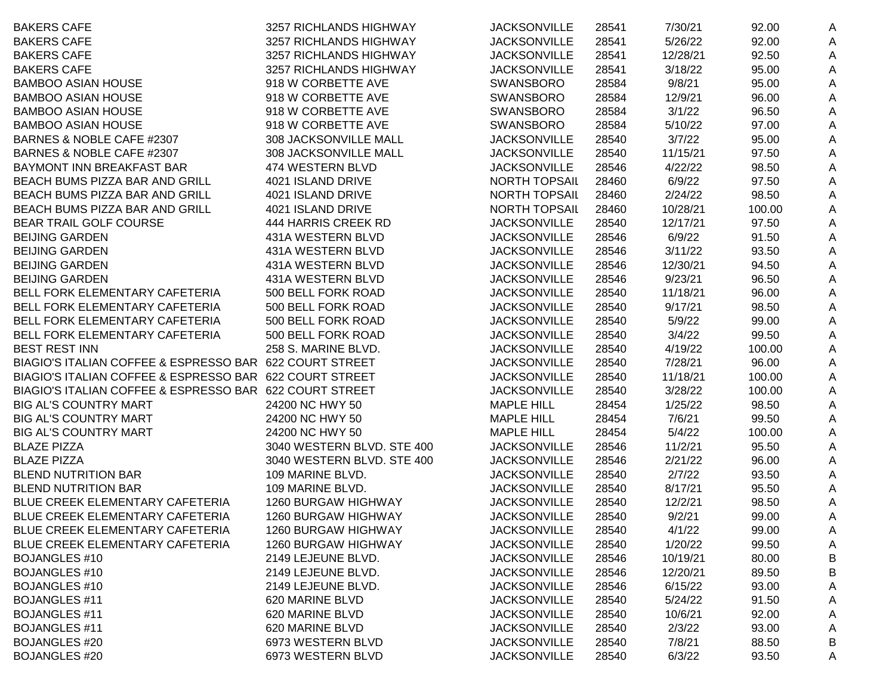| <b>BAKERS CAFE</b>                                      | 3257 RICHLANDS HIGHWAY     | <b>JACKSONVILLE</b>  | 28541 | 7/30/21  | 92.00  | A |
|---------------------------------------------------------|----------------------------|----------------------|-------|----------|--------|---|
| <b>BAKERS CAFE</b>                                      | 3257 RICHLANDS HIGHWAY     | <b>JACKSONVILLE</b>  | 28541 | 5/26/22  | 92.00  | A |
| <b>BAKERS CAFE</b>                                      | 3257 RICHLANDS HIGHWAY     | <b>JACKSONVILLE</b>  | 28541 | 12/28/21 | 92.50  | A |
| <b>BAKERS CAFE</b>                                      | 3257 RICHLANDS HIGHWAY     | <b>JACKSONVILLE</b>  | 28541 | 3/18/22  | 95.00  | A |
| <b>BAMBOO ASIAN HOUSE</b>                               | 918 W CORBETTE AVE         | <b>SWANSBORO</b>     | 28584 | 9/8/21   | 95.00  | A |
| <b>BAMBOO ASIAN HOUSE</b>                               | 918 W CORBETTE AVE         | <b>SWANSBORO</b>     | 28584 | 12/9/21  | 96.00  | A |
| <b>BAMBOO ASIAN HOUSE</b>                               | 918 W CORBETTE AVE         | <b>SWANSBORO</b>     | 28584 | 3/1/22   | 96.50  | A |
| <b>BAMBOO ASIAN HOUSE</b>                               | 918 W CORBETTE AVE         | <b>SWANSBORO</b>     | 28584 | 5/10/22  | 97.00  | A |
| BARNES & NOBLE CAFE #2307                               | 308 JACKSONVILLE MALL      | <b>JACKSONVILLE</b>  | 28540 | 3/7/22   | 95.00  | A |
| BARNES & NOBLE CAFE #2307                               | 308 JACKSONVILLE MALL      | <b>JACKSONVILLE</b>  | 28540 | 11/15/21 | 97.50  | A |
| BAYMONT INN BREAKFAST BAR                               | 474 WESTERN BLVD           | <b>JACKSONVILLE</b>  | 28546 | 4/22/22  | 98.50  | A |
| BEACH BUMS PIZZA BAR AND GRILL                          | 4021 ISLAND DRIVE          | <b>NORTH TOPSAIL</b> | 28460 | 6/9/22   | 97.50  | Α |
| BEACH BUMS PIZZA BAR AND GRILL                          | 4021 ISLAND DRIVE          | <b>NORTH TOPSAIL</b> | 28460 | 2/24/22  | 98.50  | Α |
| BEACH BUMS PIZZA BAR AND GRILL                          | 4021 ISLAND DRIVE          | <b>NORTH TOPSAIL</b> | 28460 | 10/28/21 | 100.00 | A |
| BEAR TRAIL GOLF COURSE                                  | 444 HARRIS CREEK RD        | <b>JACKSONVILLE</b>  | 28540 | 12/17/21 | 97.50  | A |
| <b>BEIJING GARDEN</b>                                   | 431A WESTERN BLVD          | <b>JACKSONVILLE</b>  | 28546 | 6/9/22   | 91.50  | A |
| <b>BEIJING GARDEN</b>                                   | 431A WESTERN BLVD          | <b>JACKSONVILLE</b>  | 28546 | 3/11/22  | 93.50  | A |
| <b>BEIJING GARDEN</b>                                   | 431A WESTERN BLVD          | <b>JACKSONVILLE</b>  | 28546 | 12/30/21 | 94.50  | A |
| <b>BEIJING GARDEN</b>                                   | 431A WESTERN BLVD          | <b>JACKSONVILLE</b>  | 28546 | 9/23/21  | 96.50  | A |
| BELL FORK ELEMENTARY CAFETERIA                          | 500 BELL FORK ROAD         | <b>JACKSONVILLE</b>  | 28540 | 11/18/21 | 96.00  | Α |
| BELL FORK ELEMENTARY CAFETERIA                          | 500 BELL FORK ROAD         | <b>JACKSONVILLE</b>  | 28540 | 9/17/21  | 98.50  | Α |
| BELL FORK ELEMENTARY CAFETERIA                          | 500 BELL FORK ROAD         | <b>JACKSONVILLE</b>  | 28540 | 5/9/22   | 99.00  | A |
| BELL FORK ELEMENTARY CAFETERIA                          | 500 BELL FORK ROAD         | <b>JACKSONVILLE</b>  | 28540 | 3/4/22   | 99.50  | A |
| <b>BEST REST INN</b>                                    | 258 S. MARINE BLVD.        | <b>JACKSONVILLE</b>  | 28540 | 4/19/22  | 100.00 | A |
| BIAGIO'S ITALIAN COFFEE & ESPRESSO BAR 622 COURT STREET |                            | <b>JACKSONVILLE</b>  | 28540 | 7/28/21  | 96.00  | Α |
| BIAGIO'S ITALIAN COFFEE & ESPRESSO BAR 622 COURT STREET |                            | <b>JACKSONVILLE</b>  | 28540 | 11/18/21 | 100.00 | A |
| BIAGIO'S ITALIAN COFFEE & ESPRESSO BAR 622 COURT STREET |                            | <b>JACKSONVILLE</b>  | 28540 | 3/28/22  | 100.00 | A |
| <b>BIG AL'S COUNTRY MART</b>                            | 24200 NC HWY 50            | <b>MAPLE HILL</b>    | 28454 | 1/25/22  | 98.50  | Α |
| <b>BIG AL'S COUNTRY MART</b>                            | 24200 NC HWY 50            | <b>MAPLE HILL</b>    | 28454 | 7/6/21   | 99.50  | Α |
| <b>BIG AL'S COUNTRY MART</b>                            | 24200 NC HWY 50            | <b>MAPLE HILL</b>    | 28454 | 5/4/22   | 100.00 | A |
| <b>BLAZE PIZZA</b>                                      | 3040 WESTERN BLVD. STE 400 | <b>JACKSONVILLE</b>  | 28546 | 11/2/21  | 95.50  | A |
| <b>BLAZE PIZZA</b>                                      | 3040 WESTERN BLVD. STE 400 | <b>JACKSONVILLE</b>  | 28546 | 2/21/22  | 96.00  | A |
| <b>BLEND NUTRITION BAR</b>                              | 109 MARINE BLVD.           | <b>JACKSONVILLE</b>  | 28540 | 2/7/22   | 93.50  | A |
| <b>BLEND NUTRITION BAR</b>                              | 109 MARINE BLVD.           | <b>JACKSONVILLE</b>  | 28540 | 8/17/21  | 95.50  | A |
| BLUE CREEK ELEMENTARY CAFETERIA                         | 1260 BURGAW HIGHWAY        | <b>JACKSONVILLE</b>  | 28540 | 12/2/21  | 98.50  | A |
| BLUE CREEK ELEMENTARY CAFETERIA                         | 1260 BURGAW HIGHWAY        | <b>JACKSONVILLE</b>  | 28540 | 9/2/21   | 99.00  | A |
| BLUE CREEK ELEMENTARY CAFETERIA                         | 1260 BURGAW HIGHWAY        | <b>JACKSONVILLE</b>  | 28540 | 4/1/22   | 99.00  | A |
| BLUE CREEK ELEMENTARY CAFETERIA                         | 1260 BURGAW HIGHWAY        | <b>JACKSONVILLE</b>  | 28540 | 1/20/22  | 99.50  | A |
| <b>BOJANGLES #10</b>                                    | 2149 LEJEUNE BLVD.         | <b>JACKSONVILLE</b>  | 28546 | 10/19/21 | 80.00  | B |
| <b>BOJANGLES #10</b>                                    | 2149 LEJEUNE BLVD.         | <b>JACKSONVILLE</b>  | 28546 | 12/20/21 | 89.50  | B |
| <b>BOJANGLES #10</b>                                    | 2149 LEJEUNE BLVD.         | <b>JACKSONVILLE</b>  | 28546 | 6/15/22  | 93.00  | A |
| <b>BOJANGLES #11</b>                                    | 620 MARINE BLVD            | <b>JACKSONVILLE</b>  | 28540 | 5/24/22  | 91.50  | Α |
| <b>BOJANGLES #11</b>                                    | 620 MARINE BLVD            | <b>JACKSONVILLE</b>  | 28540 | 10/6/21  | 92.00  | Α |
| <b>BOJANGLES #11</b>                                    | 620 MARINE BLVD            | <b>JACKSONVILLE</b>  | 28540 | 2/3/22   | 93.00  | A |
| <b>BOJANGLES #20</b>                                    | 6973 WESTERN BLVD          | <b>JACKSONVILLE</b>  | 28540 | 7/8/21   | 88.50  | B |
| <b>BOJANGLES #20</b>                                    | 6973 WESTERN BLVD          | <b>JACKSONVILLE</b>  | 28540 | 6/3/22   | 93.50  | A |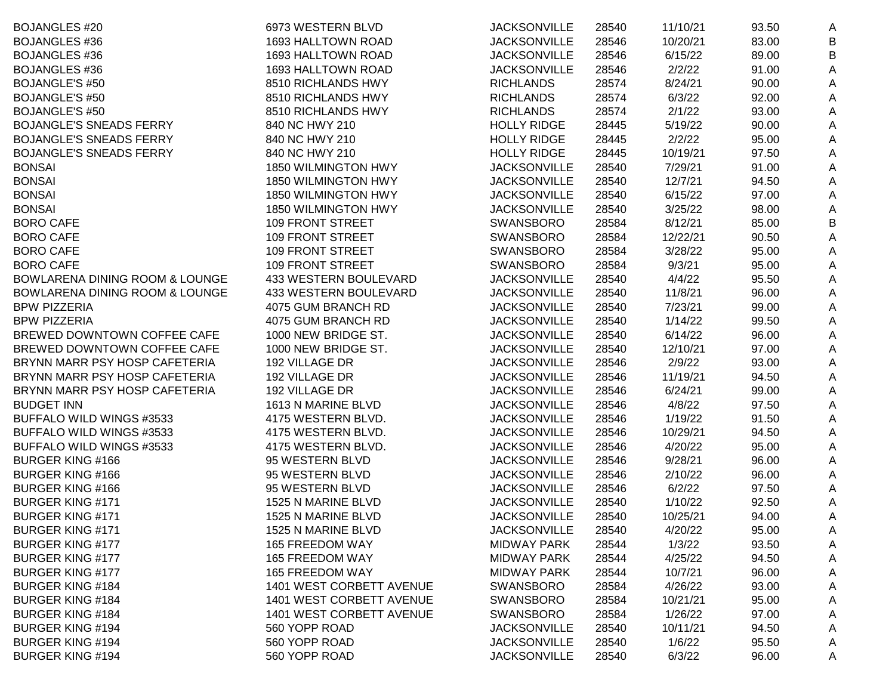| <b>BOJANGLES #20</b>                      | 6973 WESTERN BLVD        | <b>JACKSONVILLE</b> | 28540 | 11/10/21 | 93.50 | A |
|-------------------------------------------|--------------------------|---------------------|-------|----------|-------|---|
| <b>BOJANGLES #36</b>                      | 1693 HALLTOWN ROAD       | <b>JACKSONVILLE</b> | 28546 | 10/20/21 | 83.00 | B |
| <b>BOJANGLES #36</b>                      | 1693 HALLTOWN ROAD       | <b>JACKSONVILLE</b> | 28546 | 6/15/22  | 89.00 | B |
| <b>BOJANGLES #36</b>                      | 1693 HALLTOWN ROAD       | <b>JACKSONVILLE</b> | 28546 | 2/2/22   | 91.00 | A |
| <b>BOJANGLE'S #50</b>                     | 8510 RICHLANDS HWY       | <b>RICHLANDS</b>    | 28574 | 8/24/21  | 90.00 | A |
| <b>BOJANGLE'S #50</b>                     | 8510 RICHLANDS HWY       | <b>RICHLANDS</b>    | 28574 | 6/3/22   | 92.00 | A |
| <b>BOJANGLE'S #50</b>                     | 8510 RICHLANDS HWY       | <b>RICHLANDS</b>    | 28574 | 2/1/22   | 93.00 | A |
| <b>BOJANGLE'S SNEADS FERRY</b>            | 840 NC HWY 210           | <b>HOLLY RIDGE</b>  | 28445 | 5/19/22  | 90.00 | A |
| <b>BOJANGLE'S SNEADS FERRY</b>            | 840 NC HWY 210           | <b>HOLLY RIDGE</b>  | 28445 | 2/2/22   | 95.00 | A |
| <b>BOJANGLE'S SNEADS FERRY</b>            | 840 NC HWY 210           | <b>HOLLY RIDGE</b>  | 28445 | 10/19/21 | 97.50 | A |
| <b>BONSAI</b>                             | 1850 WILMINGTON HWY      | <b>JACKSONVILLE</b> | 28540 | 7/29/21  | 91.00 | A |
| <b>BONSAI</b>                             | 1850 WILMINGTON HWY      | <b>JACKSONVILLE</b> | 28540 | 12/7/21  | 94.50 | A |
| <b>BONSAI</b>                             | 1850 WILMINGTON HWY      | <b>JACKSONVILLE</b> | 28540 | 6/15/22  | 97.00 | A |
| <b>BONSAI</b>                             | 1850 WILMINGTON HWY      | <b>JACKSONVILLE</b> | 28540 | 3/25/22  | 98.00 | A |
| <b>BORO CAFE</b>                          | <b>109 FRONT STREET</b>  | <b>SWANSBORO</b>    | 28584 | 8/12/21  | 85.00 | B |
| <b>BORO CAFE</b>                          | 109 FRONT STREET         | <b>SWANSBORO</b>    | 28584 | 12/22/21 | 90.50 | A |
| <b>BORO CAFE</b>                          | <b>109 FRONT STREET</b>  | <b>SWANSBORO</b>    | 28584 | 3/28/22  | 95.00 | A |
| <b>BORO CAFE</b>                          | <b>109 FRONT STREET</b>  | <b>SWANSBORO</b>    | 28584 | 9/3/21   | 95.00 | A |
| <b>BOWLARENA DINING ROOM &amp; LOUNGE</b> | 433 WESTERN BOULEVARD    | <b>JACKSONVILLE</b> | 28540 | 4/4/22   | 95.50 | A |
| <b>BOWLARENA DINING ROOM &amp; LOUNGE</b> | 433 WESTERN BOULEVARD    | <b>JACKSONVILLE</b> | 28540 | 11/8/21  | 96.00 | A |
| <b>BPW PIZZERIA</b>                       | 4075 GUM BRANCH RD       | <b>JACKSONVILLE</b> | 28540 | 7/23/21  | 99.00 | A |
| <b>BPW PIZZERIA</b>                       | 4075 GUM BRANCH RD       | <b>JACKSONVILLE</b> | 28540 | 1/14/22  | 99.50 | A |
| BREWED DOWNTOWN COFFEE CAFE               | 1000 NEW BRIDGE ST.      | <b>JACKSONVILLE</b> | 28540 | 6/14/22  | 96.00 | A |
| BREWED DOWNTOWN COFFEE CAFE               | 1000 NEW BRIDGE ST.      | <b>JACKSONVILLE</b> | 28540 | 12/10/21 | 97.00 | A |
| BRYNN MARR PSY HOSP CAFETERIA             | 192 VILLAGE DR           | <b>JACKSONVILLE</b> | 28546 | 2/9/22   | 93.00 | A |
| BRYNN MARR PSY HOSP CAFETERIA             | 192 VILLAGE DR           | <b>JACKSONVILLE</b> | 28546 | 11/19/21 | 94.50 | Α |
| BRYNN MARR PSY HOSP CAFETERIA             | 192 VILLAGE DR           | <b>JACKSONVILLE</b> | 28546 | 6/24/21  | 99.00 | Α |
| <b>BUDGET INN</b>                         | 1613 N MARINE BLVD       | <b>JACKSONVILLE</b> | 28546 | 4/8/22   | 97.50 | A |
| BUFFALO WILD WINGS #3533                  | 4175 WESTERN BLVD.       | <b>JACKSONVILLE</b> | 28546 | 1/19/22  | 91.50 | A |
| BUFFALO WILD WINGS #3533                  | 4175 WESTERN BLVD.       | <b>JACKSONVILLE</b> | 28546 | 10/29/21 | 94.50 | A |
| BUFFALO WILD WINGS #3533                  | 4175 WESTERN BLVD.       | <b>JACKSONVILLE</b> | 28546 | 4/20/22  | 95.00 | A |
| <b>BURGER KING #166</b>                   | 95 WESTERN BLVD          | <b>JACKSONVILLE</b> | 28546 | 9/28/21  | 96.00 | A |
| <b>BURGER KING #166</b>                   | 95 WESTERN BLVD          | <b>JACKSONVILLE</b> | 28546 | 2/10/22  | 96.00 | A |
| <b>BURGER KING #166</b>                   | 95 WESTERN BLVD          | <b>JACKSONVILLE</b> | 28546 | 6/2/22   | 97.50 | A |
| <b>BURGER KING #171</b>                   | 1525 N MARINE BLVD       | <b>JACKSONVILLE</b> | 28540 | 1/10/22  | 92.50 | A |
| <b>BURGER KING #171</b>                   | 1525 N MARINE BLVD       | <b>JACKSONVILLE</b> | 28540 | 10/25/21 | 94.00 | A |
| <b>BURGER KING #171</b>                   | 1525 N MARINE BLVD       | <b>JACKSONVILLE</b> | 28540 | 4/20/22  | 95.00 | A |
| <b>BURGER KING #177</b>                   | 165 FREEDOM WAY          | <b>MIDWAY PARK</b>  | 28544 | 1/3/22   | 93.50 | A |
| <b>BURGER KING #177</b>                   | 165 FREEDOM WAY          | <b>MIDWAY PARK</b>  | 28544 | 4/25/22  | 94.50 | A |
| <b>BURGER KING #177</b>                   | 165 FREEDOM WAY          | <b>MIDWAY PARK</b>  | 28544 | 10/7/21  | 96.00 | A |
| <b>BURGER KING #184</b>                   | 1401 WEST CORBETT AVENUE | <b>SWANSBORO</b>    | 28584 | 4/26/22  | 93.00 | A |
| <b>BURGER KING #184</b>                   | 1401 WEST CORBETT AVENUE | <b>SWANSBORO</b>    | 28584 | 10/21/21 | 95.00 | A |
| <b>BURGER KING #184</b>                   | 1401 WEST CORBETT AVENUE | <b>SWANSBORO</b>    | 28584 | 1/26/22  | 97.00 | A |
| <b>BURGER KING #194</b>                   | 560 YOPP ROAD            | <b>JACKSONVILLE</b> | 28540 | 10/11/21 | 94.50 |   |
| <b>BURGER KING #194</b>                   | 560 YOPP ROAD            | <b>JACKSONVILLE</b> | 28540 | 1/6/22   | 95.50 | A |
|                                           |                          |                     |       |          | 96.00 | A |
| <b>BURGER KING #194</b>                   | 560 YOPP ROAD            | <b>JACKSONVILLE</b> | 28540 | 6/3/22   |       | A |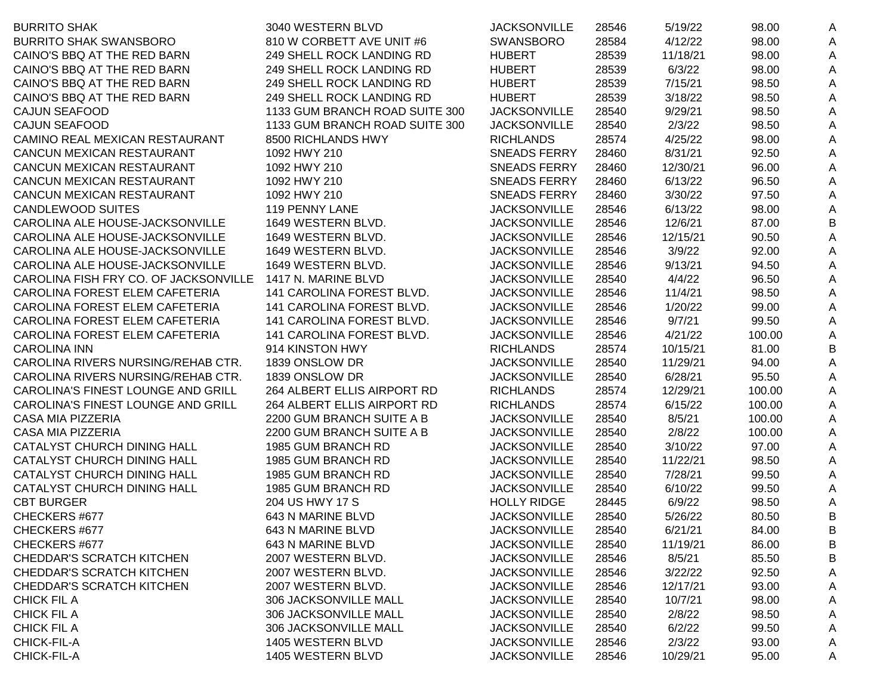| <b>BURRITO SHAK</b>                   | 3040 WESTERN BLVD              | <b>JACKSONVILLE</b> | 28546 | 5/19/22  | 98.00  | Α |
|---------------------------------------|--------------------------------|---------------------|-------|----------|--------|---|
| <b>BURRITO SHAK SWANSBORO</b>         | 810 W CORBETT AVE UNIT #6      | <b>SWANSBORO</b>    | 28584 | 4/12/22  | 98.00  | Α |
| CAINO'S BBQ AT THE RED BARN           | 249 SHELL ROCK LANDING RD      | <b>HUBERT</b>       | 28539 | 11/18/21 | 98.00  | Α |
| CAINO'S BBQ AT THE RED BARN           | 249 SHELL ROCK LANDING RD      | <b>HUBERT</b>       | 28539 | 6/3/22   | 98.00  | Α |
| CAINO'S BBQ AT THE RED BARN           | 249 SHELL ROCK LANDING RD      | <b>HUBERT</b>       | 28539 | 7/15/21  | 98.50  | Α |
| CAINO'S BBQ AT THE RED BARN           | 249 SHELL ROCK LANDING RD      | <b>HUBERT</b>       | 28539 | 3/18/22  | 98.50  | Α |
| <b>CAJUN SEAFOOD</b>                  | 1133 GUM BRANCH ROAD SUITE 300 | <b>JACKSONVILLE</b> | 28540 | 9/29/21  | 98.50  | Α |
| <b>CAJUN SEAFOOD</b>                  | 1133 GUM BRANCH ROAD SUITE 300 | <b>JACKSONVILLE</b> | 28540 | 2/3/22   | 98.50  | Α |
| CAMINO REAL MEXICAN RESTAURANT        | 8500 RICHLANDS HWY             | <b>RICHLANDS</b>    | 28574 | 4/25/22  | 98.00  | Α |
| CANCUN MEXICAN RESTAURANT             | 1092 HWY 210                   | <b>SNEADS FERRY</b> | 28460 | 8/31/21  | 92.50  | Α |
| CANCUN MEXICAN RESTAURANT             | 1092 HWY 210                   | <b>SNEADS FERRY</b> | 28460 | 12/30/21 | 96.00  | Α |
| CANCUN MEXICAN RESTAURANT             | 1092 HWY 210                   | <b>SNEADS FERRY</b> | 28460 | 6/13/22  | 96.50  | Α |
| CANCUN MEXICAN RESTAURANT             | 1092 HWY 210                   | <b>SNEADS FERRY</b> | 28460 | 3/30/22  | 97.50  | Α |
| CANDLEWOOD SUITES                     | 119 PENNY LANE                 | <b>JACKSONVILLE</b> | 28546 | 6/13/22  | 98.00  | Α |
| CAROLINA ALE HOUSE-JACKSONVILLE       | 1649 WESTERN BLVD.             | <b>JACKSONVILLE</b> | 28546 | 12/6/21  | 87.00  | B |
| CAROLINA ALE HOUSE-JACKSONVILLE       | 1649 WESTERN BLVD.             | <b>JACKSONVILLE</b> | 28546 | 12/15/21 | 90.50  | Α |
| CAROLINA ALE HOUSE-JACKSONVILLE       | 1649 WESTERN BLVD.             | <b>JACKSONVILLE</b> | 28546 | 3/9/22   | 92.00  | Α |
| CAROLINA ALE HOUSE-JACKSONVILLE       | 1649 WESTERN BLVD.             | <b>JACKSONVILLE</b> | 28546 | 9/13/21  | 94.50  | Α |
| CAROLINA FISH FRY CO. OF JACKSONVILLE | 1417 N. MARINE BLVD            | <b>JACKSONVILLE</b> | 28540 | 4/4/22   | 96.50  | Α |
| CAROLINA FOREST ELEM CAFETERIA        | 141 CAROLINA FOREST BLVD.      | <b>JACKSONVILLE</b> | 28546 | 11/4/21  | 98.50  | Α |
| CAROLINA FOREST ELEM CAFETERIA        | 141 CAROLINA FOREST BLVD.      | <b>JACKSONVILLE</b> | 28546 | 1/20/22  | 99.00  | Α |
| CAROLINA FOREST ELEM CAFETERIA        | 141 CAROLINA FOREST BLVD.      | <b>JACKSONVILLE</b> | 28546 | 9/7/21   | 99.50  | Α |
| CAROLINA FOREST ELEM CAFETERIA        | 141 CAROLINA FOREST BLVD.      |                     |       |          |        |   |
|                                       |                                | <b>JACKSONVILLE</b> | 28546 | 4/21/22  | 100.00 | Α |
| <b>CAROLINA INN</b>                   | 914 KINSTON HWY                | <b>RICHLANDS</b>    | 28574 | 10/15/21 | 81.00  | B |
| CAROLINA RIVERS NURSING/REHAB CTR.    | 1839 ONSLOW DR                 | <b>JACKSONVILLE</b> | 28540 | 11/29/21 | 94.00  | Α |
| CAROLINA RIVERS NURSING/REHAB CTR.    | 1839 ONSLOW DR                 | <b>JACKSONVILLE</b> | 28540 | 6/28/21  | 95.50  | Α |
| CAROLINA'S FINEST LOUNGE AND GRILL    | 264 ALBERT ELLIS AIRPORT RD    | <b>RICHLANDS</b>    | 28574 | 12/29/21 | 100.00 | Α |
| CAROLINA'S FINEST LOUNGE AND GRILL    | 264 ALBERT ELLIS AIRPORT RD    | <b>RICHLANDS</b>    | 28574 | 6/15/22  | 100.00 | Α |
| CASA MIA PIZZERIA                     | 2200 GUM BRANCH SUITE A B      | <b>JACKSONVILLE</b> | 28540 | 8/5/21   | 100.00 | Α |
| CASA MIA PIZZERIA                     | 2200 GUM BRANCH SUITE A B      | <b>JACKSONVILLE</b> | 28540 | 2/8/22   | 100.00 | Α |
| CATALYST CHURCH DINING HALL           | 1985 GUM BRANCH RD             | <b>JACKSONVILLE</b> | 28540 | 3/10/22  | 97.00  | Α |
| <b>CATALYST CHURCH DINING HALL</b>    | 1985 GUM BRANCH RD             | <b>JACKSONVILLE</b> | 28540 | 11/22/21 | 98.50  | Α |
| CATALYST CHURCH DINING HALL           | 1985 GUM BRANCH RD             | <b>JACKSONVILLE</b> | 28540 | 7/28/21  | 99.50  | Α |
| CATALYST CHURCH DINING HALL           | 1985 GUM BRANCH RD             | <b>JACKSONVILLE</b> | 28540 | 6/10/22  | 99.50  | Α |
| <b>CBT BURGER</b>                     | 204 US HWY 17 S                | <b>HOLLY RIDGE</b>  | 28445 | 6/9/22   | 98.50  | Α |
| CHECKERS#677                          | 643 N MARINE BLVD              | <b>JACKSONVILLE</b> | 28540 | 5/26/22  | 80.50  | В |
| CHECKERS #677                         | 643 N MARINE BLVD              | <b>JACKSONVILLE</b> | 28540 | 6/21/21  | 84.00  | B |
| CHECKERS#677                          | 643 N MARINE BLVD              | <b>JACKSONVILLE</b> | 28540 | 11/19/21 | 86.00  | Β |
| <b>CHEDDAR'S SCRATCH KITCHEN</b>      | 2007 WESTERN BLVD.             | <b>JACKSONVILLE</b> | 28546 | 8/5/21   | 85.50  | Β |
| CHEDDAR'S SCRATCH KITCHEN             | 2007 WESTERN BLVD.             | <b>JACKSONVILLE</b> | 28546 | 3/22/22  | 92.50  | A |
| CHEDDAR'S SCRATCH KITCHEN             | 2007 WESTERN BLVD.             | <b>JACKSONVILLE</b> | 28546 | 12/17/21 | 93.00  | A |
| <b>CHICK FIL A</b>                    | 306 JACKSONVILLE MALL          | <b>JACKSONVILLE</b> | 28540 | 10/7/21  | 98.00  | A |
| CHICK FIL A                           | 306 JACKSONVILLE MALL          | <b>JACKSONVILLE</b> | 28540 | 2/8/22   | 98.50  | A |
| CHICK FIL A                           | 306 JACKSONVILLE MALL          | <b>JACKSONVILLE</b> | 28540 | 6/2/22   | 99.50  | A |
| CHICK-FIL-A                           | 1405 WESTERN BLVD              | <b>JACKSONVILLE</b> | 28546 | 2/3/22   | 93.00  | A |
| CHICK-FIL-A                           | 1405 WESTERN BLVD              | <b>JACKSONVILLE</b> | 28546 | 10/29/21 | 95.00  | Α |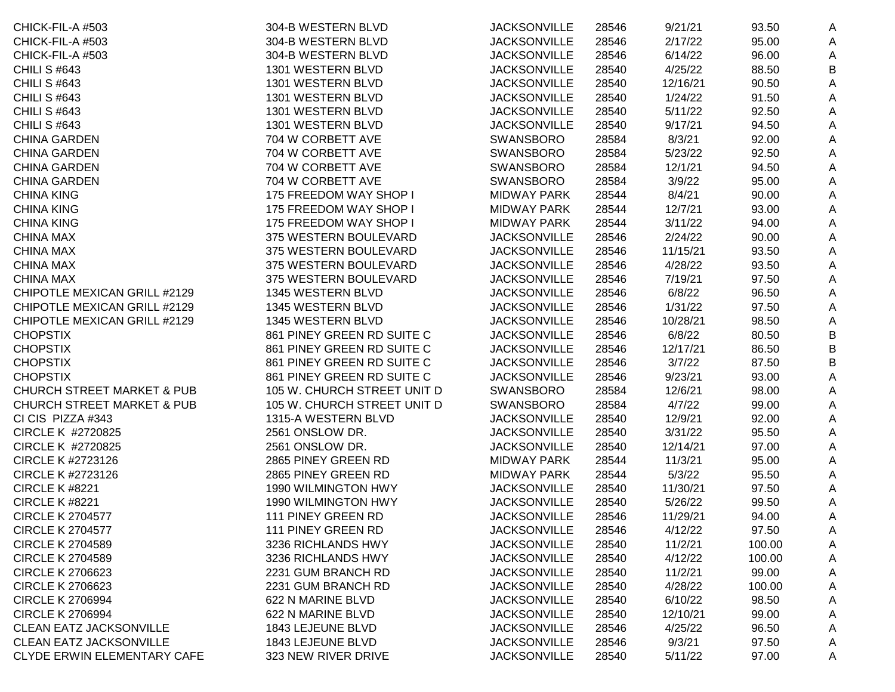| CHICK-FIL-A #503                      | 304-B WESTERN BLVD          | <b>JACKSONVILLE</b> | 28546 | 9/21/21  | 93.50  | A |
|---------------------------------------|-----------------------------|---------------------|-------|----------|--------|---|
| CHICK-FIL-A #503                      | 304-B WESTERN BLVD          | <b>JACKSONVILLE</b> | 28546 | 2/17/22  | 95.00  | A |
| CHICK-FIL-A #503                      | 304-B WESTERN BLVD          | <b>JACKSONVILLE</b> | 28546 | 6/14/22  | 96.00  | A |
| <b>CHILI S #643</b>                   | 1301 WESTERN BLVD           | <b>JACKSONVILLE</b> | 28540 | 4/25/22  | 88.50  | B |
| <b>CHILI S #643</b>                   | 1301 WESTERN BLVD           | <b>JACKSONVILLE</b> | 28540 | 12/16/21 | 90.50  | A |
| <b>CHILI S #643</b>                   | 1301 WESTERN BLVD           | <b>JACKSONVILLE</b> | 28540 | 1/24/22  | 91.50  | A |
| <b>CHILI S #643</b>                   | 1301 WESTERN BLVD           | <b>JACKSONVILLE</b> | 28540 | 5/11/22  | 92.50  | A |
| <b>CHILI S #643</b>                   | 1301 WESTERN BLVD           | <b>JACKSONVILLE</b> | 28540 | 9/17/21  | 94.50  | A |
| <b>CHINA GARDEN</b>                   | 704 W CORBETT AVE           | <b>SWANSBORO</b>    | 28584 | 8/3/21   | 92.00  | A |
| <b>CHINA GARDEN</b>                   | 704 W CORBETT AVE           | <b>SWANSBORO</b>    | 28584 | 5/23/22  | 92.50  | A |
| <b>CHINA GARDEN</b>                   | 704 W CORBETT AVE           | <b>SWANSBORO</b>    | 28584 | 12/1/21  | 94.50  | Α |
| <b>CHINA GARDEN</b>                   | 704 W CORBETT AVE           | <b>SWANSBORO</b>    | 28584 | 3/9/22   | 95.00  | Α |
| <b>CHINA KING</b>                     | 175 FREEDOM WAY SHOP I      | <b>MIDWAY PARK</b>  | 28544 | 8/4/21   | 90.00  | A |
| <b>CHINA KING</b>                     | 175 FREEDOM WAY SHOP I      | <b>MIDWAY PARK</b>  | 28544 | 12/7/21  | 93.00  | A |
| <b>CHINA KING</b>                     | 175 FREEDOM WAY SHOP I      | <b>MIDWAY PARK</b>  | 28544 | 3/11/22  | 94.00  | A |
| <b>CHINA MAX</b>                      | 375 WESTERN BOULEVARD       | <b>JACKSONVILLE</b> | 28546 | 2/24/22  | 90.00  | Α |
| <b>CHINA MAX</b>                      | 375 WESTERN BOULEVARD       | <b>JACKSONVILLE</b> | 28546 | 11/15/21 | 93.50  | A |
| <b>CHINA MAX</b>                      | 375 WESTERN BOULEVARD       | <b>JACKSONVILLE</b> | 28546 | 4/28/22  | 93.50  | A |
| <b>CHINA MAX</b>                      | 375 WESTERN BOULEVARD       | <b>JACKSONVILLE</b> | 28546 | 7/19/21  | 97.50  | A |
| CHIPOTLE MEXICAN GRILL #2129          | 1345 WESTERN BLVD           | <b>JACKSONVILLE</b> | 28546 | 6/8/22   | 96.50  | A |
| CHIPOTLE MEXICAN GRILL #2129          | 1345 WESTERN BLVD           | <b>JACKSONVILLE</b> | 28546 | 1/31/22  | 97.50  | Α |
| CHIPOTLE MEXICAN GRILL #2129          | 1345 WESTERN BLVD           | <b>JACKSONVILLE</b> | 28546 | 10/28/21 | 98.50  | A |
| <b>CHOPSTIX</b>                       | 861 PINEY GREEN RD SUITE C  | <b>JACKSONVILLE</b> | 28546 | 6/8/22   | 80.50  | B |
| <b>CHOPSTIX</b>                       | 861 PINEY GREEN RD SUITE C  | <b>JACKSONVILLE</b> | 28546 | 12/17/21 | 86.50  | B |
| <b>CHOPSTIX</b>                       | 861 PINEY GREEN RD SUITE C  | <b>JACKSONVILLE</b> | 28546 | 3/7/22   | 87.50  | B |
| <b>CHOPSTIX</b>                       | 861 PINEY GREEN RD SUITE C  | <b>JACKSONVILLE</b> | 28546 | 9/23/21  | 93.00  | Α |
| <b>CHURCH STREET MARKET &amp; PUB</b> | 105 W. CHURCH STREET UNIT D | <b>SWANSBORO</b>    | 28584 | 12/6/21  | 98.00  | Α |
| <b>CHURCH STREET MARKET &amp; PUB</b> | 105 W. CHURCH STREET UNIT D | <b>SWANSBORO</b>    | 28584 | 4/7/22   | 99.00  | Α |
| CI CIS PIZZA #343                     | 1315-A WESTERN BLVD         | <b>JACKSONVILLE</b> | 28540 | 12/9/21  | 92.00  | Α |
| CIRCLE K #2720825                     | 2561 ONSLOW DR.             | <b>JACKSONVILLE</b> | 28540 | 3/31/22  | 95.50  | Α |
| CIRCLE K #2720825                     | 2561 ONSLOW DR.             | <b>JACKSONVILLE</b> | 28540 | 12/14/21 | 97.00  | Α |
| CIRCLE K #2723126                     | 2865 PINEY GREEN RD         | <b>MIDWAY PARK</b>  | 28544 | 11/3/21  | 95.00  | Α |
| CIRCLE K #2723126                     | 2865 PINEY GREEN RD         | <b>MIDWAY PARK</b>  | 28544 | 5/3/22   | 95.50  | Α |
| <b>CIRCLE K #8221</b>                 | 1990 WILMINGTON HWY         | <b>JACKSONVILLE</b> | 28540 | 11/30/21 | 97.50  | A |
| <b>CIRCLE K #8221</b>                 | 1990 WILMINGTON HWY         | <b>JACKSONVILLE</b> | 28540 | 5/26/22  | 99.50  | A |
| <b>CIRCLE K 2704577</b>               | 111 PINEY GREEN RD          | <b>JACKSONVILLE</b> | 28546 | 11/29/21 | 94.00  | Α |
| <b>CIRCLE K 2704577</b>               | 111 PINEY GREEN RD          | <b>JACKSONVILLE</b> | 28546 | 4/12/22  | 97.50  | A |
| <b>CIRCLE K 2704589</b>               | 3236 RICHLANDS HWY          | <b>JACKSONVILLE</b> | 28540 | 11/2/21  | 100.00 | A |
| <b>CIRCLE K 2704589</b>               | 3236 RICHLANDS HWY          | <b>JACKSONVILLE</b> | 28540 | 4/12/22  | 100.00 | A |
| <b>CIRCLE K 2706623</b>               | 2231 GUM BRANCH RD          | <b>JACKSONVILLE</b> | 28540 | 11/2/21  | 99.00  | Α |
| <b>CIRCLE K 2706623</b>               | 2231 GUM BRANCH RD          | <b>JACKSONVILLE</b> | 28540 | 4/28/22  | 100.00 | Α |
| <b>CIRCLE K 2706994</b>               | 622 N MARINE BLVD           | <b>JACKSONVILLE</b> | 28540 | 6/10/22  | 98.50  | A |
| <b>CIRCLE K 2706994</b>               | 622 N MARINE BLVD           | <b>JACKSONVILLE</b> | 28540 | 12/10/21 | 99.00  | A |
| CLEAN EATZ JACKSONVILLE               | 1843 LEJEUNE BLVD           | <b>JACKSONVILLE</b> | 28546 | 4/25/22  | 96.50  | A |
| CLEAN EATZ JACKSONVILLE               | 1843 LEJEUNE BLVD           | <b>JACKSONVILLE</b> | 28546 | 9/3/21   | 97.50  | A |
| CLYDE ERWIN ELEMENTARY CAFE           | 323 NEW RIVER DRIVE         | <b>JACKSONVILLE</b> | 28540 | 5/11/22  | 97.00  | Α |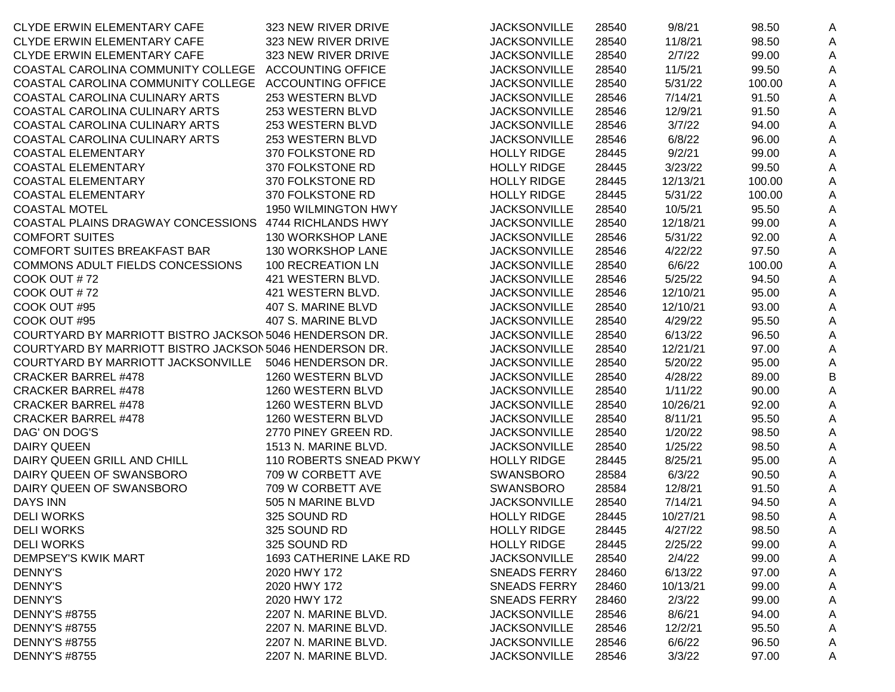| <b>CLYDE ERWIN ELEMENTARY CAFE</b>                      | 323 NEW RIVER DRIVE      | <b>JACKSONVILLE</b> | 28540 | 9/8/21   | 98.50  | A |
|---------------------------------------------------------|--------------------------|---------------------|-------|----------|--------|---|
| <b>CLYDE ERWIN ELEMENTARY CAFE</b>                      | 323 NEW RIVER DRIVE      | <b>JACKSONVILLE</b> | 28540 | 11/8/21  | 98.50  | A |
| <b>CLYDE ERWIN ELEMENTARY CAFE</b>                      | 323 NEW RIVER DRIVE      | <b>JACKSONVILLE</b> | 28540 | 2/7/22   | 99.00  | A |
| COASTAL CAROLINA COMMUNITY COLLEGE                      | <b>ACCOUNTING OFFICE</b> | <b>JACKSONVILLE</b> | 28540 | 11/5/21  | 99.50  | A |
| COASTAL CAROLINA COMMUNITY COLLEGE                      | <b>ACCOUNTING OFFICE</b> | <b>JACKSONVILLE</b> | 28540 | 5/31/22  | 100.00 | A |
| COASTAL CAROLINA CULINARY ARTS                          | 253 WESTERN BLVD         | <b>JACKSONVILLE</b> | 28546 | 7/14/21  | 91.50  | A |
| COASTAL CAROLINA CULINARY ARTS                          | 253 WESTERN BLVD         | <b>JACKSONVILLE</b> | 28546 | 12/9/21  | 91.50  | A |
| COASTAL CAROLINA CULINARY ARTS                          | 253 WESTERN BLVD         | <b>JACKSONVILLE</b> | 28546 | 3/7/22   | 94.00  | A |
| COASTAL CAROLINA CULINARY ARTS                          | 253 WESTERN BLVD         | <b>JACKSONVILLE</b> | 28546 | 6/8/22   | 96.00  | A |
| <b>COASTAL ELEMENTARY</b>                               | 370 FOLKSTONE RD         | <b>HOLLY RIDGE</b>  | 28445 | 9/2/21   | 99.00  | A |
| <b>COASTAL ELEMENTARY</b>                               | 370 FOLKSTONE RD         | <b>HOLLY RIDGE</b>  | 28445 | 3/23/22  | 99.50  | A |
| <b>COASTAL ELEMENTARY</b>                               | 370 FOLKSTONE RD         | <b>HOLLY RIDGE</b>  | 28445 | 12/13/21 | 100.00 | A |
| <b>COASTAL ELEMENTARY</b>                               | 370 FOLKSTONE RD         | <b>HOLLY RIDGE</b>  | 28445 | 5/31/22  | 100.00 | A |
| <b>COASTAL MOTEL</b>                                    | 1950 WILMINGTON HWY      | <b>JACKSONVILLE</b> | 28540 | 10/5/21  | 95.50  | A |
| COASTAL PLAINS DRAGWAY CONCESSIONS 4744 RICHLANDS HWY   |                          | <b>JACKSONVILLE</b> | 28540 | 12/18/21 | 99.00  | A |
| <b>COMFORT SUITES</b>                                   | 130 WORKSHOP LANE        | <b>JACKSONVILLE</b> | 28546 | 5/31/22  | 92.00  | A |
| <b>COMFORT SUITES BREAKFAST BAR</b>                     | 130 WORKSHOP LANE        | <b>JACKSONVILLE</b> | 28546 | 4/22/22  | 97.50  | A |
| COMMONS ADULT FIELDS CONCESSIONS                        | 100 RECREATION LN        | <b>JACKSONVILLE</b> | 28540 | 6/6/22   | 100.00 | A |
| COOK OUT #72                                            | 421 WESTERN BLVD.        | <b>JACKSONVILLE</b> | 28546 | 5/25/22  | 94.50  | A |
| COOK OUT #72                                            | 421 WESTERN BLVD.        | <b>JACKSONVILLE</b> | 28546 | 12/10/21 | 95.00  | A |
| COOK OUT #95                                            | 407 S. MARINE BLVD       | <b>JACKSONVILLE</b> | 28540 | 12/10/21 | 93.00  | A |
| COOK OUT #95                                            | 407 S. MARINE BLVD       | <b>JACKSONVILLE</b> | 28540 | 4/29/22  | 95.50  | A |
| COURTYARD BY MARRIOTT BISTRO JACKSON 5046 HENDERSON DR. |                          | <b>JACKSONVILLE</b> | 28540 | 6/13/22  | 96.50  | A |
| COURTYARD BY MARRIOTT BISTRO JACKSON 5046 HENDERSON DR. |                          | <b>JACKSONVILLE</b> | 28540 | 12/21/21 | 97.00  | A |
| COURTYARD BY MARRIOTT JACKSONVILLE                      | 5046 HENDERSON DR.       | <b>JACKSONVILLE</b> | 28540 | 5/20/22  | 95.00  | A |
| <b>CRACKER BARREL #478</b>                              | 1260 WESTERN BLVD        | <b>JACKSONVILLE</b> | 28540 | 4/28/22  | 89.00  | B |
| <b>CRACKER BARREL #478</b>                              | 1260 WESTERN BLVD        | <b>JACKSONVILLE</b> | 28540 | 1/11/22  | 90.00  | Α |
| <b>CRACKER BARREL #478</b>                              | 1260 WESTERN BLVD        | <b>JACKSONVILLE</b> | 28540 | 10/26/21 | 92.00  | A |
| <b>CRACKER BARREL #478</b>                              | 1260 WESTERN BLVD        | <b>JACKSONVILLE</b> | 28540 | 8/11/21  | 95.50  | Α |
| DAG' ON DOG'S                                           | 2770 PINEY GREEN RD.     | <b>JACKSONVILLE</b> | 28540 | 1/20/22  | 98.50  | Α |
| <b>DAIRY QUEEN</b>                                      | 1513 N. MARINE BLVD.     | <b>JACKSONVILLE</b> | 28540 | 1/25/22  | 98.50  | Α |
| DAIRY QUEEN GRILL AND CHILL                             | 110 ROBERTS SNEAD PKWY   | <b>HOLLY RIDGE</b>  | 28445 | 8/25/21  | 95.00  | A |
| DAIRY QUEEN OF SWANSBORO                                | 709 W CORBETT AVE        | <b>SWANSBORO</b>    | 28584 | 6/3/22   | 90.50  | A |
| DAIRY QUEEN OF SWANSBORO                                | 709 W CORBETT AVE        | <b>SWANSBORO</b>    | 28584 | 12/8/21  | 91.50  | A |
| <b>DAYS INN</b>                                         | 505 N MARINE BLVD        | <b>JACKSONVILLE</b> | 28540 | 7/14/21  | 94.50  | A |
| <b>DELI WORKS</b>                                       | 325 SOUND RD             | <b>HOLLY RIDGE</b>  | 28445 | 10/27/21 | 98.50  | A |
| <b>DELI WORKS</b>                                       | 325 SOUND RD             | <b>HOLLY RIDGE</b>  | 28445 | 4/27/22  | 98.50  | A |
| <b>DELI WORKS</b>                                       | 325 SOUND RD             | <b>HOLLY RIDGE</b>  | 28445 | 2/25/22  | 99.00  | A |
| DEMPSEY'S KWIK MART                                     | 1693 CATHERINE LAKE RD   | <b>JACKSONVILLE</b> | 28540 | 2/4/22   | 99.00  | A |
| <b>DENNY'S</b>                                          | 2020 HWY 172             | <b>SNEADS FERRY</b> | 28460 | 6/13/22  | 97.00  | Α |
| <b>DENNY'S</b>                                          | 2020 HWY 172             | <b>SNEADS FERRY</b> | 28460 | 10/13/21 | 99.00  | Α |
| <b>DENNY'S</b>                                          | 2020 HWY 172             | <b>SNEADS FERRY</b> | 28460 | 2/3/22   | 99.00  | A |
| <b>DENNY'S #8755</b>                                    | 2207 N. MARINE BLVD.     | <b>JACKSONVILLE</b> | 28546 | 8/6/21   | 94.00  | Α |
| <b>DENNY'S #8755</b>                                    | 2207 N. MARINE BLVD.     | <b>JACKSONVILLE</b> | 28546 | 12/2/21  | 95.50  | A |
| <b>DENNY'S #8755</b>                                    | 2207 N. MARINE BLVD.     | <b>JACKSONVILLE</b> | 28546 | 6/6/22   | 96.50  | A |
| <b>DENNY'S #8755</b>                                    | 2207 N. MARINE BLVD.     | <b>JACKSONVILLE</b> | 28546 | 3/3/22   | 97.00  | A |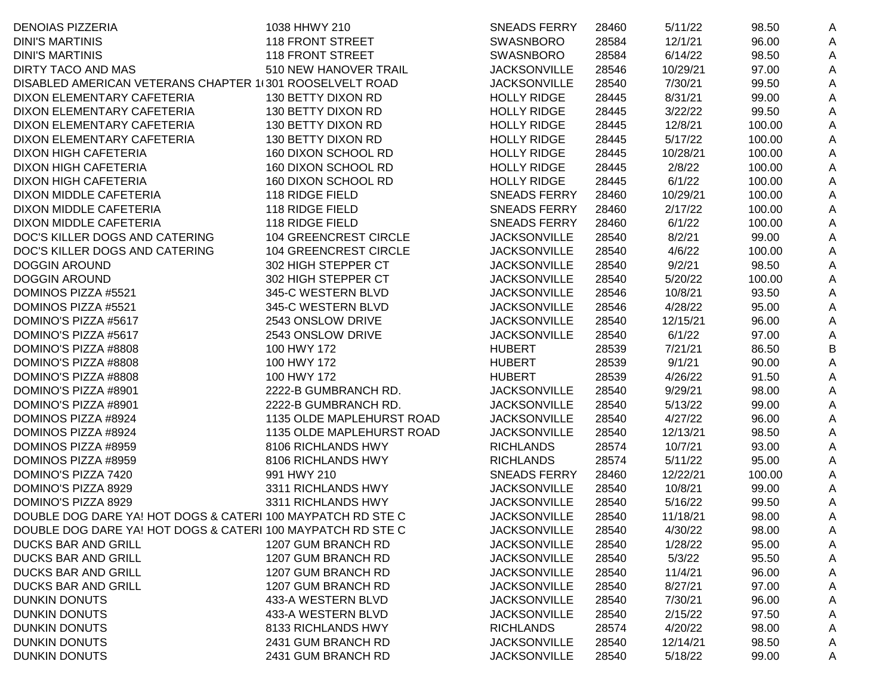| <b>DENOIAS PIZZERIA</b>                                     | 1038 HHWY 210                | <b>SNEADS FERRY</b> | 28460 | 5/11/22  | 98.50  | A |
|-------------------------------------------------------------|------------------------------|---------------------|-------|----------|--------|---|
| <b>DINI'S MARTINIS</b>                                      | <b>118 FRONT STREET</b>      | <b>SWASNBORO</b>    | 28584 | 12/1/21  | 96.00  | A |
| <b>DINI'S MARTINIS</b>                                      | <b>118 FRONT STREET</b>      | <b>SWASNBORO</b>    | 28584 | 6/14/22  | 98.50  | A |
| DIRTY TACO AND MAS                                          | 510 NEW HANOVER TRAIL        | <b>JACKSONVILLE</b> | 28546 | 10/29/21 | 97.00  | A |
| DISABLED AMERICAN VETERANS CHAPTER 1(301 ROOSELVELT ROAD    |                              | <b>JACKSONVILLE</b> | 28540 | 7/30/21  | 99.50  | A |
| DIXON ELEMENTARY CAFETERIA                                  | 130 BETTY DIXON RD           | <b>HOLLY RIDGE</b>  | 28445 | 8/31/21  | 99.00  | A |
| DIXON ELEMENTARY CAFETERIA                                  | 130 BETTY DIXON RD           | <b>HOLLY RIDGE</b>  | 28445 | 3/22/22  | 99.50  | A |
| DIXON ELEMENTARY CAFETERIA                                  | 130 BETTY DIXON RD           | <b>HOLLY RIDGE</b>  | 28445 | 12/8/21  | 100.00 | A |
| DIXON ELEMENTARY CAFETERIA                                  | 130 BETTY DIXON RD           | <b>HOLLY RIDGE</b>  | 28445 | 5/17/22  | 100.00 | A |
| <b>DIXON HIGH CAFETERIA</b>                                 | 160 DIXON SCHOOL RD          | <b>HOLLY RIDGE</b>  | 28445 | 10/28/21 | 100.00 | A |
| <b>DIXON HIGH CAFETERIA</b>                                 | 160 DIXON SCHOOL RD          | <b>HOLLY RIDGE</b>  | 28445 | 2/8/22   | 100.00 | A |
| DIXON HIGH CAFETERIA                                        | 160 DIXON SCHOOL RD          | <b>HOLLY RIDGE</b>  | 28445 | 6/1/22   | 100.00 | Α |
| DIXON MIDDLE CAFETERIA                                      | 118 RIDGE FIELD              | <b>SNEADS FERRY</b> | 28460 | 10/29/21 | 100.00 | A |
| DIXON MIDDLE CAFETERIA                                      | 118 RIDGE FIELD              | <b>SNEADS FERRY</b> | 28460 | 2/17/22  | 100.00 | A |
| DIXON MIDDLE CAFETERIA                                      | 118 RIDGE FIELD              | <b>SNEADS FERRY</b> | 28460 | 6/1/22   | 100.00 | A |
| DOC'S KILLER DOGS AND CATERING                              | <b>104 GREENCREST CIRCLE</b> | <b>JACKSONVILLE</b> | 28540 | 8/2/21   | 99.00  | A |
| DOC'S KILLER DOGS AND CATERING                              | <b>104 GREENCREST CIRCLE</b> | <b>JACKSONVILLE</b> | 28540 | 4/6/22   | 100.00 | A |
| <b>DOGGIN AROUND</b>                                        | 302 HIGH STEPPER CT          | <b>JACKSONVILLE</b> | 28540 | 9/2/21   | 98.50  | A |
| <b>DOGGIN AROUND</b>                                        | 302 HIGH STEPPER CT          | <b>JACKSONVILLE</b> | 28540 | 5/20/22  | 100.00 | A |
| DOMINOS PIZZA #5521                                         | 345-C WESTERN BLVD           | <b>JACKSONVILLE</b> | 28546 | 10/8/21  | 93.50  | A |
| DOMINOS PIZZA #5521                                         | 345-C WESTERN BLVD           | <b>JACKSONVILLE</b> | 28546 | 4/28/22  | 95.00  | A |
| DOMINO'S PIZZA #5617                                        | 2543 ONSLOW DRIVE            | <b>JACKSONVILLE</b> | 28540 | 12/15/21 | 96.00  | A |
| DOMINO'S PIZZA #5617                                        | 2543 ONSLOW DRIVE            | <b>JACKSONVILLE</b> | 28540 | 6/1/22   | 97.00  | A |
| DOMINO'S PIZZA #8808                                        | 100 HWY 172                  | <b>HUBERT</b>       | 28539 | 7/21/21  | 86.50  | B |
| DOMINO'S PIZZA #8808                                        | 100 HWY 172                  | <b>HUBERT</b>       | 28539 | 9/1/21   | 90.00  | A |
| DOMINO'S PIZZA #8808                                        | 100 HWY 172                  | <b>HUBERT</b>       | 28539 | 4/26/22  | 91.50  | A |
| DOMINO'S PIZZA #8901                                        | 2222-B GUMBRANCH RD.         | <b>JACKSONVILLE</b> | 28540 | 9/29/21  | 98.00  | A |
| DOMINO'S PIZZA #8901                                        | 2222-B GUMBRANCH RD.         | <b>JACKSONVILLE</b> | 28540 | 5/13/22  | 99.00  | A |
| DOMINOS PIZZA #8924                                         | 1135 OLDE MAPLEHURST ROAD    | <b>JACKSONVILLE</b> | 28540 | 4/27/22  | 96.00  | A |
| DOMINOS PIZZA #8924                                         | 1135 OLDE MAPLEHURST ROAD    | <b>JACKSONVILLE</b> | 28540 | 12/13/21 | 98.50  | A |
| DOMINOS PIZZA #8959                                         | 8106 RICHLANDS HWY           | <b>RICHLANDS</b>    | 28574 | 10/7/21  | 93.00  | Α |
| DOMINOS PIZZA #8959                                         | 8106 RICHLANDS HWY           | <b>RICHLANDS</b>    | 28574 | 5/11/22  | 95.00  | A |
| DOMINO'S PIZZA 7420                                         | 991 HWY 210                  | <b>SNEADS FERRY</b> | 28460 | 12/22/21 | 100.00 | Α |
| DOMINO'S PIZZA 8929                                         | 3311 RICHLANDS HWY           | <b>JACKSONVILLE</b> | 28540 | 10/8/21  | 99.00  | A |
| DOMINO'S PIZZA 8929                                         | 3311 RICHLANDS HWY           | <b>JACKSONVILLE</b> | 28540 | 5/16/22  | 99.50  | A |
| DOUBLE DOG DARE YA! HOT DOGS & CATERI 100 MAYPATCH RD STE C |                              | <b>JACKSONVILLE</b> | 28540 | 11/18/21 | 98.00  | A |
| DOUBLE DOG DARE YA! HOT DOGS & CATERI 100 MAYPATCH RD STE C |                              | <b>JACKSONVILLE</b> | 28540 | 4/30/22  | 98.00  | A |
| DUCKS BAR AND GRILL                                         | 1207 GUM BRANCH RD           | <b>JACKSONVILLE</b> | 28540 | 1/28/22  | 95.00  | A |
| <b>DUCKS BAR AND GRILL</b>                                  | 1207 GUM BRANCH RD           | <b>JACKSONVILLE</b> | 28540 | 5/3/22   | 95.50  | A |
| <b>DUCKS BAR AND GRILL</b>                                  | 1207 GUM BRANCH RD           | <b>JACKSONVILLE</b> | 28540 | 11/4/21  | 96.00  | A |
| DUCKS BAR AND GRILL                                         | 1207 GUM BRANCH RD           | <b>JACKSONVILLE</b> | 28540 | 8/27/21  | 97.00  | A |
| <b>DUNKIN DONUTS</b>                                        | 433-A WESTERN BLVD           | <b>JACKSONVILLE</b> | 28540 | 7/30/21  | 96.00  | A |
| <b>DUNKIN DONUTS</b>                                        | 433-A WESTERN BLVD           | <b>JACKSONVILLE</b> | 28540 | 2/15/22  | 97.50  | A |
| <b>DUNKIN DONUTS</b>                                        | 8133 RICHLANDS HWY           | <b>RICHLANDS</b>    | 28574 | 4/20/22  | 98.00  | A |
| DUNKIN DONUTS                                               | 2431 GUM BRANCH RD           | <b>JACKSONVILLE</b> | 28540 | 12/14/21 | 98.50  | A |
| DUNKIN DONUTS                                               | 2431 GUM BRANCH RD           | <b>JACKSONVILLE</b> | 28540 | 5/18/22  | 99.00  | Α |
|                                                             |                              |                     |       |          |        |   |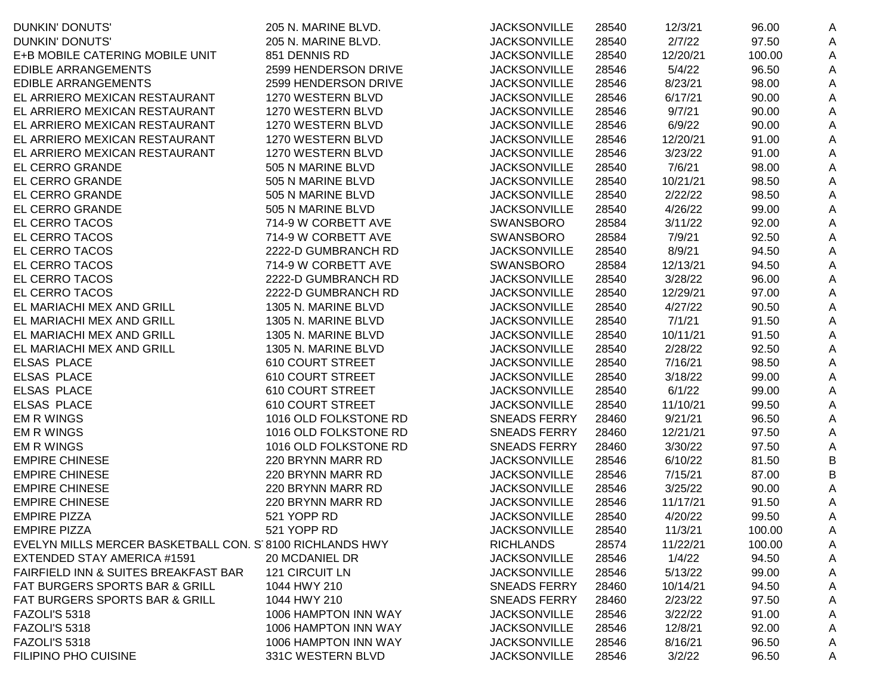| DUNKIN' DONUTS'                                          | 205 N. MARINE BLVD.     | <b>JACKSONVILLE</b> | 28540 | 12/3/21  | 96.00  | A            |
|----------------------------------------------------------|-------------------------|---------------------|-------|----------|--------|--------------|
| DUNKIN' DONUTS'                                          | 205 N. MARINE BLVD.     | <b>JACKSONVILLE</b> | 28540 | 2/7/22   | 97.50  | A            |
| E+B MOBILE CATERING MOBILE UNIT                          | 851 DENNIS RD           | <b>JACKSONVILLE</b> | 28540 | 12/20/21 | 100.00 | A            |
| EDIBLE ARRANGEMENTS                                      | 2599 HENDERSON DRIVE    | <b>JACKSONVILLE</b> | 28546 | 5/4/22   | 96.50  | A            |
| <b>EDIBLE ARRANGEMENTS</b>                               | 2599 HENDERSON DRIVE    | <b>JACKSONVILLE</b> | 28546 | 8/23/21  | 98.00  | A            |
| EL ARRIERO MEXICAN RESTAURANT                            | 1270 WESTERN BLVD       | <b>JACKSONVILLE</b> | 28546 | 6/17/21  | 90.00  | A            |
| EL ARRIERO MEXICAN RESTAURANT                            | 1270 WESTERN BLVD       | <b>JACKSONVILLE</b> | 28546 | 9/7/21   | 90.00  | A            |
| EL ARRIERO MEXICAN RESTAURANT                            | 1270 WESTERN BLVD       | <b>JACKSONVILLE</b> | 28546 | 6/9/22   | 90.00  | A            |
| EL ARRIERO MEXICAN RESTAURANT                            | 1270 WESTERN BLVD       | <b>JACKSONVILLE</b> | 28546 | 12/20/21 | 91.00  | A            |
| EL ARRIERO MEXICAN RESTAURANT                            | 1270 WESTERN BLVD       | <b>JACKSONVILLE</b> | 28546 | 3/23/22  | 91.00  | A            |
| EL CERRO GRANDE                                          | 505 N MARINE BLVD       | <b>JACKSONVILLE</b> | 28540 | 7/6/21   | 98.00  | A            |
| EL CERRO GRANDE                                          | 505 N MARINE BLVD       | <b>JACKSONVILLE</b> | 28540 | 10/21/21 | 98.50  | Α            |
| EL CERRO GRANDE                                          | 505 N MARINE BLVD       | <b>JACKSONVILLE</b> | 28540 | 2/22/22  | 98.50  | A            |
| EL CERRO GRANDE                                          | 505 N MARINE BLVD       | <b>JACKSONVILLE</b> | 28540 | 4/26/22  | 99.00  | A            |
| EL CERRO TACOS                                           | 714-9 W CORBETT AVE     | <b>SWANSBORO</b>    | 28584 | 3/11/22  | 92.00  | A            |
| EL CERRO TACOS                                           | 714-9 W CORBETT AVE     | <b>SWANSBORO</b>    | 28584 | 7/9/21   | 92.50  | A            |
| EL CERRO TACOS                                           | 2222-D GUMBRANCH RD     | <b>JACKSONVILLE</b> | 28540 | 8/9/21   | 94.50  | A            |
| EL CERRO TACOS                                           | 714-9 W CORBETT AVE     | <b>SWANSBORO</b>    | 28584 | 12/13/21 | 94.50  | A            |
| EL CERRO TACOS                                           | 2222-D GUMBRANCH RD     | <b>JACKSONVILLE</b> | 28540 | 3/28/22  | 96.00  | A            |
| EL CERRO TACOS                                           | 2222-D GUMBRANCH RD     | <b>JACKSONVILLE</b> | 28540 | 12/29/21 | 97.00  | A            |
| EL MARIACHI MEX AND GRILL                                | 1305 N. MARINE BLVD     | <b>JACKSONVILLE</b> | 28540 | 4/27/22  | 90.50  | A            |
| EL MARIACHI MEX AND GRILL                                | 1305 N. MARINE BLVD     | <b>JACKSONVILLE</b> | 28540 | 7/1/21   | 91.50  | A            |
| EL MARIACHI MEX AND GRILL                                | 1305 N. MARINE BLVD     | <b>JACKSONVILLE</b> | 28540 | 10/11/21 | 91.50  | A            |
| EL MARIACHI MEX AND GRILL                                | 1305 N. MARINE BLVD     | <b>JACKSONVILLE</b> | 28540 | 2/28/22  | 92.50  | A            |
| <b>ELSAS PLACE</b>                                       | <b>610 COURT STREET</b> | <b>JACKSONVILLE</b> | 28540 | 7/16/21  | 98.50  | Α            |
| <b>ELSAS PLACE</b>                                       | 610 COURT STREET        | <b>JACKSONVILLE</b> | 28540 | 3/18/22  | 99.00  | A            |
| <b>ELSAS PLACE</b>                                       | 610 COURT STREET        | <b>JACKSONVILLE</b> | 28540 | 6/1/22   | 99.00  | A            |
| <b>ELSAS PLACE</b>                                       | 610 COURT STREET        | <b>JACKSONVILLE</b> | 28540 | 11/10/21 | 99.50  | Α            |
| <b>EM R WINGS</b>                                        | 1016 OLD FOLKSTONE RD   | <b>SNEADS FERRY</b> | 28460 | 9/21/21  | 96.50  | A            |
| <b>EM R WINGS</b>                                        | 1016 OLD FOLKSTONE RD   | <b>SNEADS FERRY</b> | 28460 | 12/21/21 | 97.50  | A            |
| <b>EM R WINGS</b>                                        | 1016 OLD FOLKSTONE RD   | <b>SNEADS FERRY</b> | 28460 | 3/30/22  | 97.50  | A            |
| <b>EMPIRE CHINESE</b>                                    | 220 BRYNN MARR RD       | <b>JACKSONVILLE</b> | 28546 | 6/10/22  | 81.50  | B            |
| <b>EMPIRE CHINESE</b>                                    | 220 BRYNN MARR RD       | <b>JACKSONVILLE</b> | 28546 | 7/15/21  | 87.00  | B            |
| <b>EMPIRE CHINESE</b>                                    | 220 BRYNN MARR RD       | <b>JACKSONVILLE</b> | 28546 | 3/25/22  | 90.00  | A            |
| <b>EMPIRE CHINESE</b>                                    | 220 BRYNN MARR RD       | <b>JACKSONVILLE</b> | 28546 | 11/17/21 | 91.50  | A            |
| <b>EMPIRE PIZZA</b>                                      | 521 YOPP RD             | <b>JACKSONVILLE</b> | 28540 | 4/20/22  | 99.50  | A            |
| <b>EMPIRE PIZZA</b>                                      | 521 YOPP RD             | <b>JACKSONVILLE</b> | 28540 | 11/3/21  | 100.00 | A            |
| EVELYN MILLS MERCER BASKETBALL CON. S 8100 RICHLANDS HWY |                         | <b>RICHLANDS</b>    | 28574 | 11/22/21 | 100.00 | A            |
| EXTENDED STAY AMERICA #1591                              | 20 MCDANIEL DR          | <b>JACKSONVILLE</b> | 28546 | 1/4/22   | 94.50  | A            |
| FAIRFIELD INN & SUITES BREAKFAST BAR                     | 121 CIRCUIT LN          | <b>JACKSONVILLE</b> | 28546 | 5/13/22  | 99.00  | A            |
| FAT BURGERS SPORTS BAR & GRILL                           | 1044 HWY 210            | <b>SNEADS FERRY</b> | 28460 | 10/14/21 | 94.50  | Α            |
| FAT BURGERS SPORTS BAR & GRILL                           | 1044 HWY 210            | <b>SNEADS FERRY</b> | 28460 | 2/23/22  | 97.50  | Α            |
| FAZOLI'S 5318                                            | 1006 HAMPTON INN WAY    | <b>JACKSONVILLE</b> | 28546 | 3/22/22  | 91.00  | Α            |
| FAZOLI'S 5318                                            | 1006 HAMPTON INN WAY    | <b>JACKSONVILLE</b> | 28546 | 12/8/21  | 92.00  | A            |
| FAZOLI'S 5318                                            | 1006 HAMPTON INN WAY    | <b>JACKSONVILLE</b> | 28546 | 8/16/21  | 96.50  |              |
| FILIPINO PHO CUISINE                                     | 331C WESTERN BLVD       | <b>JACKSONVILLE</b> |       |          | 96.50  | A            |
|                                                          |                         |                     | 28546 | 3/2/22   |        | $\mathsf{A}$ |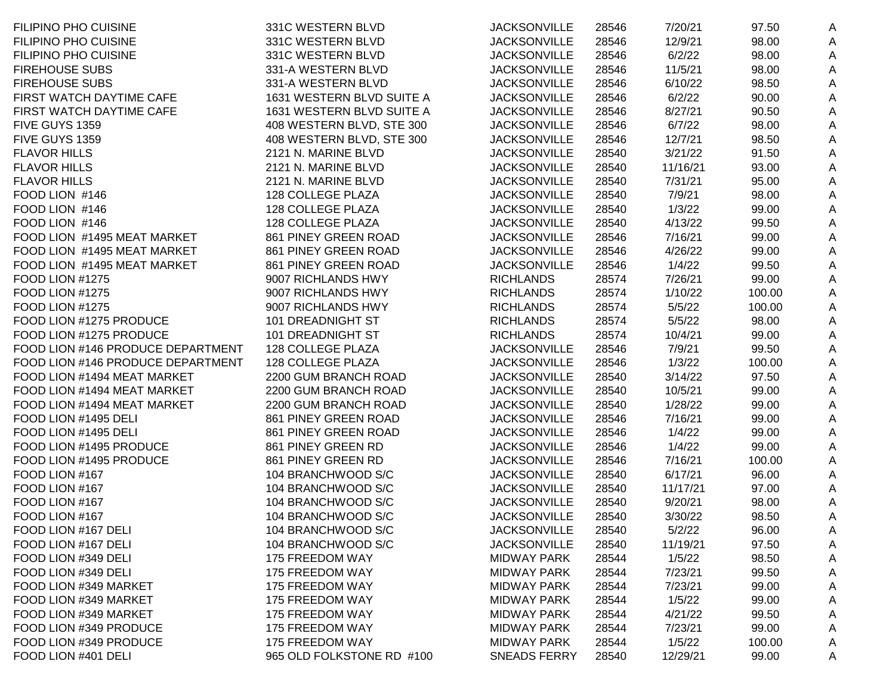| <b>FILIPINO PHO CUISINE</b>       | 331C WESTERN BLVD         | <b>JACKSONVILLE</b> | 28546 | 7/20/21  | 97.50  | A |
|-----------------------------------|---------------------------|---------------------|-------|----------|--------|---|
| <b>FILIPINO PHO CUISINE</b>       | 331C WESTERN BLVD         | <b>JACKSONVILLE</b> | 28546 | 12/9/21  | 98.00  | A |
| <b>FILIPINO PHO CUISINE</b>       | 331C WESTERN BLVD         | <b>JACKSONVILLE</b> | 28546 | 6/2/22   | 98.00  | A |
| <b>FIREHOUSE SUBS</b>             | 331-A WESTERN BLVD        | <b>JACKSONVILLE</b> | 28546 | 11/5/21  | 98.00  | A |
| <b>FIREHOUSE SUBS</b>             | 331-A WESTERN BLVD        | <b>JACKSONVILLE</b> | 28546 | 6/10/22  | 98.50  | A |
| FIRST WATCH DAYTIME CAFE          | 1631 WESTERN BLVD SUITE A | <b>JACKSONVILLE</b> | 28546 | 6/2/22   | 90.00  | A |
| FIRST WATCH DAYTIME CAFE          | 1631 WESTERN BLVD SUITE A | <b>JACKSONVILLE</b> | 28546 | 8/27/21  | 90.50  | A |
| FIVE GUYS 1359                    | 408 WESTERN BLVD, STE 300 | <b>JACKSONVILLE</b> | 28546 | 6/7/22   | 98.00  | A |
| FIVE GUYS 1359                    | 408 WESTERN BLVD, STE 300 | <b>JACKSONVILLE</b> | 28546 | 12/7/21  | 98.50  | A |
| <b>FLAVOR HILLS</b>               | 2121 N. MARINE BLVD       | <b>JACKSONVILLE</b> | 28540 | 3/21/22  | 91.50  | A |
| <b>FLAVOR HILLS</b>               | 2121 N. MARINE BLVD       | <b>JACKSONVILLE</b> | 28540 | 11/16/21 | 93.00  | A |
| <b>FLAVOR HILLS</b>               | 2121 N. MARINE BLVD       | <b>JACKSONVILLE</b> | 28540 | 7/31/21  | 95.00  | Α |
| FOOD LION #146                    | 128 COLLEGE PLAZA         | <b>JACKSONVILLE</b> | 28540 | 7/9/21   | 98.00  | Α |
| FOOD LION #146                    | 128 COLLEGE PLAZA         | <b>JACKSONVILLE</b> | 28540 | 1/3/22   | 99.00  | Α |
| FOOD LION #146                    | 128 COLLEGE PLAZA         | <b>JACKSONVILLE</b> | 28540 | 4/13/22  | 99.50  | Α |
| FOOD LION #1495 MEAT MARKET       | 861 PINEY GREEN ROAD      | <b>JACKSONVILLE</b> | 28546 | 7/16/21  | 99.00  | Α |
| FOOD LION #1495 MEAT MARKET       | 861 PINEY GREEN ROAD      | <b>JACKSONVILLE</b> | 28546 | 4/26/22  | 99.00  | Α |
| FOOD LION #1495 MEAT MARKET       | 861 PINEY GREEN ROAD      | <b>JACKSONVILLE</b> | 28546 | 1/4/22   | 99.50  | Α |
| FOOD LION #1275                   | 9007 RICHLANDS HWY        | <b>RICHLANDS</b>    | 28574 | 7/26/21  | 99.00  | Α |
| FOOD LION #1275                   | 9007 RICHLANDS HWY        | <b>RICHLANDS</b>    | 28574 | 1/10/22  | 100.00 | A |
| FOOD LION #1275                   | 9007 RICHLANDS HWY        | <b>RICHLANDS</b>    | 28574 | 5/5/22   | 100.00 | Α |
| FOOD LION #1275 PRODUCE           | 101 DREADNIGHT ST         | <b>RICHLANDS</b>    | 28574 | 5/5/22   | 98.00  | Α |
| FOOD LION #1275 PRODUCE           | 101 DREADNIGHT ST         | <b>RICHLANDS</b>    | 28574 | 10/4/21  | 99.00  | Α |
| FOOD LION #146 PRODUCE DEPARTMENT | 128 COLLEGE PLAZA         | <b>JACKSONVILLE</b> | 28546 | 7/9/21   | 99.50  | A |
| FOOD LION #146 PRODUCE DEPARTMENT | 128 COLLEGE PLAZA         | <b>JACKSONVILLE</b> | 28546 | 1/3/22   | 100.00 | A |
| FOOD LION #1494 MEAT MARKET       | 2200 GUM BRANCH ROAD      | <b>JACKSONVILLE</b> | 28540 | 3/14/22  | 97.50  | A |
| FOOD LION #1494 MEAT MARKET       | 2200 GUM BRANCH ROAD      | <b>JACKSONVILLE</b> | 28540 | 10/5/21  | 99.00  | A |
| FOOD LION #1494 MEAT MARKET       | 2200 GUM BRANCH ROAD      | <b>JACKSONVILLE</b> | 28540 | 1/28/22  | 99.00  | A |
| FOOD LION #1495 DELI              | 861 PINEY GREEN ROAD      | <b>JACKSONVILLE</b> | 28546 | 7/16/21  | 99.00  | A |
| FOOD LION #1495 DELI              | 861 PINEY GREEN ROAD      | <b>JACKSONVILLE</b> | 28546 | 1/4/22   | 99.00  | A |
| FOOD LION #1495 PRODUCE           | 861 PINEY GREEN RD        | <b>JACKSONVILLE</b> | 28546 | 1/4/22   | 99.00  | A |
| FOOD LION #1495 PRODUCE           | 861 PINEY GREEN RD        | <b>JACKSONVILLE</b> | 28546 | 7/16/21  | 100.00 | A |
| FOOD LION #167                    | 104 BRANCHWOOD S/C        | <b>JACKSONVILLE</b> | 28540 | 6/17/21  | 96.00  | A |
| FOOD LION #167                    | 104 BRANCHWOOD S/C        | <b>JACKSONVILLE</b> | 28540 | 11/17/21 | 97.00  | A |
| FOOD LION #167                    | 104 BRANCHWOOD S/C        | <b>JACKSONVILLE</b> | 28540 | 9/20/21  | 98.00  | A |
| FOOD LION #167                    | 104 BRANCHWOOD S/C        | <b>JACKSONVILLE</b> | 28540 | 3/30/22  | 98.50  | A |
| FOOD LION #167 DELI               | 104 BRANCHWOOD S/C        | <b>JACKSONVILLE</b> | 28540 | 5/2/22   | 96.00  | A |
| FOOD LION #167 DELI               | 104 BRANCHWOOD S/C        | <b>JACKSONVILLE</b> | 28540 | 11/19/21 | 97.50  | A |
| FOOD LION #349 DELI               | 175 FREEDOM WAY           | <b>MIDWAY PARK</b>  | 28544 | 1/5/22   | 98.50  | A |
| FOOD LION #349 DELI               | 175 FREEDOM WAY           | <b>MIDWAY PARK</b>  | 28544 | 7/23/21  | 99.50  | A |
| FOOD LION #349 MARKET             | 175 FREEDOM WAY           | <b>MIDWAY PARK</b>  | 28544 | 7/23/21  | 99.00  | A |
| FOOD LION #349 MARKET             | 175 FREEDOM WAY           | <b>MIDWAY PARK</b>  | 28544 | 1/5/22   | 99.00  | A |
| FOOD LION #349 MARKET             | 175 FREEDOM WAY           | <b>MIDWAY PARK</b>  | 28544 | 4/21/22  | 99.50  | A |
| FOOD LION #349 PRODUCE            | 175 FREEDOM WAY           | <b>MIDWAY PARK</b>  | 28544 | 7/23/21  | 99.00  | A |
| FOOD LION #349 PRODUCE            | 175 FREEDOM WAY           | <b>MIDWAY PARK</b>  | 28544 | 1/5/22   | 100.00 | A |
| FOOD LION #401 DELI               | 965 OLD FOLKSTONE RD #100 | <b>SNEADS FERRY</b> | 28540 | 12/29/21 | 99.00  | A |
|                                   |                           |                     |       |          |        |   |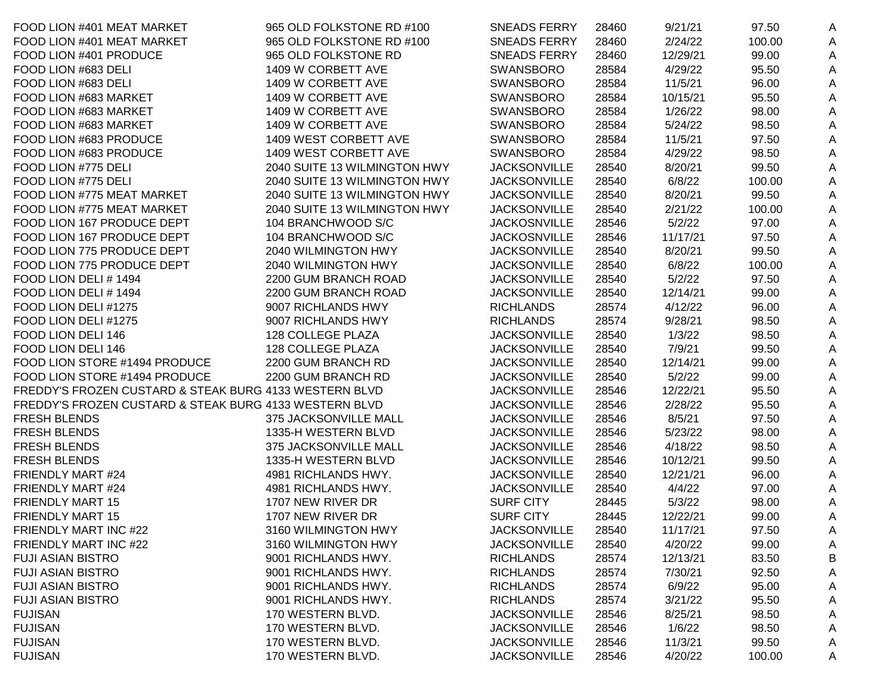| FOOD LION #401 MEAT MARKET                             | 965 OLD FOLKSTONE RD #100    | <b>SNEADS FERRY</b> | 28460 | 9/21/21  | 97.50  | A |
|--------------------------------------------------------|------------------------------|---------------------|-------|----------|--------|---|
| FOOD LION #401 MEAT MARKET                             | 965 OLD FOLKSTONE RD #100    | <b>SNEADS FERRY</b> | 28460 | 2/24/22  | 100.00 | A |
| FOOD LION #401 PRODUCE                                 | 965 OLD FOLKSTONE RD         | <b>SNEADS FERRY</b> | 28460 | 12/29/21 | 99.00  | A |
| FOOD LION #683 DELI                                    | 1409 W CORBETT AVE           | <b>SWANSBORO</b>    | 28584 | 4/29/22  | 95.50  | Α |
| FOOD LION #683 DELI                                    | 1409 W CORBETT AVE           | <b>SWANSBORO</b>    | 28584 | 11/5/21  | 96.00  | Α |
| FOOD LION #683 MARKET                                  | 1409 W CORBETT AVE           | <b>SWANSBORO</b>    | 28584 | 10/15/21 | 95.50  | A |
| FOOD LION #683 MARKET                                  | 1409 W CORBETT AVE           | <b>SWANSBORO</b>    | 28584 | 1/26/22  | 98.00  | A |
| FOOD LION #683 MARKET                                  | 1409 W CORBETT AVE           | <b>SWANSBORO</b>    | 28584 | 5/24/22  | 98.50  | A |
| FOOD LION #683 PRODUCE                                 | 1409 WEST CORBETT AVE        | <b>SWANSBORO</b>    | 28584 | 11/5/21  | 97.50  | A |
| FOOD LION #683 PRODUCE                                 | 1409 WEST CORBETT AVE        | <b>SWANSBORO</b>    | 28584 | 4/29/22  | 98.50  | A |
| FOOD LION #775 DELI                                    | 2040 SUITE 13 WILMINGTON HWY | <b>JACKSONVILLE</b> | 28540 | 8/20/21  | 99.50  | A |
| FOOD LION #775 DELI                                    | 2040 SUITE 13 WILMINGTON HWY | <b>JACKSONVILLE</b> | 28540 | 6/8/22   | 100.00 | Α |
| FOOD LION #775 MEAT MARKET                             | 2040 SUITE 13 WILMINGTON HWY | <b>JACKSONVILLE</b> | 28540 | 8/20/21  | 99.50  | Α |
| FOOD LION #775 MEAT MARKET                             | 2040 SUITE 13 WILMINGTON HWY | <b>JACKSONVILLE</b> | 28540 | 2/21/22  | 100.00 | A |
| FOOD LION 167 PRODUCE DEPT                             | 104 BRANCHWOOD S/C           | <b>JACKOSNVILLE</b> | 28546 | 5/2/22   | 97.00  | A |
| FOOD LION 167 PRODUCE DEPT                             | 104 BRANCHWOOD S/C           | <b>JACKOSNVILLE</b> | 28546 | 11/17/21 | 97.50  | Α |
| FOOD LION 775 PRODUCE DEPT                             | 2040 WILMINGTON HWY          | <b>JACKSONVILLE</b> | 28540 | 8/20/21  | 99.50  | Α |
| FOOD LION 775 PRODUCE DEPT                             | 2040 WILMINGTON HWY          | <b>JACKSONVILLE</b> | 28540 | 6/8/22   | 100.00 | A |
| FOOD LION DELI #1494                                   | 2200 GUM BRANCH ROAD         | <b>JACKSONVILLE</b> | 28540 | 5/2/22   | 97.50  | A |
| FOOD LION DELI #1494                                   | 2200 GUM BRANCH ROAD         | <b>JACKSONVILLE</b> | 28540 | 12/14/21 | 99.00  | A |
| FOOD LION DELI #1275                                   | 9007 RICHLANDS HWY           | <b>RICHLANDS</b>    | 28574 | 4/12/22  | 96.00  | Α |
| FOOD LION DELI #1275                                   | 9007 RICHLANDS HWY           | <b>RICHLANDS</b>    | 28574 | 9/28/21  | 98.50  | A |
| FOOD LION DELI 146                                     | 128 COLLEGE PLAZA            | <b>JACKSONVILLE</b> | 28540 | 1/3/22   | 98.50  | A |
| FOOD LION DELI 146                                     | 128 COLLEGE PLAZA            | <b>JACKSONVILLE</b> | 28540 | 7/9/21   | 99.50  | A |
| FOOD LION STORE #1494 PRODUCE                          | 2200 GUM BRANCH RD           | <b>JACKSONVILLE</b> | 28540 | 12/14/21 | 99.00  | A |
| FOOD LION STORE #1494 PRODUCE                          | 2200 GUM BRANCH RD           | <b>JACKSONVILLE</b> | 28540 | 5/2/22   | 99.00  | A |
| FREDDY'S FROZEN CUSTARD & STEAK BURG 4133 WESTERN BLVD |                              | <b>JACKSONVILLE</b> | 28546 | 12/22/21 | 95.50  | A |
| FREDDY'S FROZEN CUSTARD & STEAK BURG 4133 WESTERN BLVD |                              | <b>JACKSONVILLE</b> | 28546 | 2/28/22  | 95.50  | A |
| <b>FRESH BLENDS</b>                                    | 375 JACKSONVILLE MALL        | <b>JACKSONVILLE</b> | 28546 | 8/5/21   | 97.50  | Α |
| <b>FRESH BLENDS</b>                                    | 1335-H WESTERN BLVD          | <b>JACKSONVILLE</b> | 28546 | 5/23/22  | 98.00  | Α |
| <b>FRESH BLENDS</b>                                    | 375 JACKSONVILLE MALL        | <b>JACKSONVILLE</b> | 28546 | 4/18/22  | 98.50  | A |
| <b>FRESH BLENDS</b>                                    | 1335-H WESTERN BLVD          | <b>JACKSONVILLE</b> | 28546 | 10/12/21 | 99.50  | Α |
| FRIENDLY MART #24                                      | 4981 RICHLANDS HWY.          | <b>JACKSONVILLE</b> | 28540 | 12/21/21 | 96.00  | Α |
| FRIENDLY MART #24                                      | 4981 RICHLANDS HWY.          | <b>JACKSONVILLE</b> | 28540 | 4/4/22   | 97.00  | Α |
| <b>FRIENDLY MART 15</b>                                | 1707 NEW RIVER DR            | <b>SURF CITY</b>    | 28445 | 5/3/22   | 98.00  | A |
| <b>FRIENDLY MART 15</b>                                | 1707 NEW RIVER DR            | <b>SURF CITY</b>    | 28445 | 12/22/21 | 99.00  | A |
| FRIENDLY MART INC #22                                  | 3160 WILMINGTON HWY          | <b>JACKSONVILLE</b> | 28540 | 11/17/21 | 97.50  | A |
| FRIENDLY MART INC #22                                  | 3160 WILMINGTON HWY          | <b>JACKSONVILLE</b> | 28540 | 4/20/22  | 99.00  | A |
| <b>FUJI ASIAN BISTRO</b>                               | 9001 RICHLANDS HWY.          | <b>RICHLANDS</b>    | 28574 | 12/13/21 | 83.50  | B |
| <b>FUJI ASIAN BISTRO</b>                               | 9001 RICHLANDS HWY.          | <b>RICHLANDS</b>    | 28574 | 7/30/21  | 92.50  | A |
| <b>FUJI ASIAN BISTRO</b>                               | 9001 RICHLANDS HWY.          | <b>RICHLANDS</b>    | 28574 | 6/9/22   | 95.00  | Α |
| <b>FUJI ASIAN BISTRO</b>                               | 9001 RICHLANDS HWY.          | <b>RICHLANDS</b>    | 28574 | 3/21/22  | 95.50  | A |
| <b>FUJISAN</b>                                         | 170 WESTERN BLVD.            | <b>JACKSONVILLE</b> | 28546 | 8/25/21  | 98.50  | A |
| <b>FUJISAN</b>                                         | 170 WESTERN BLVD.            | <b>JACKSONVILLE</b> | 28546 | 1/6/22   | 98.50  | A |
| <b>FUJISAN</b>                                         | 170 WESTERN BLVD.            | <b>JACKSONVILLE</b> | 28546 | 11/3/21  | 99.50  | A |
| <b>FUJISAN</b>                                         | 170 WESTERN BLVD.            | <b>JACKSONVILLE</b> | 28546 | 4/20/22  | 100.00 | A |
|                                                        |                              |                     |       |          |        |   |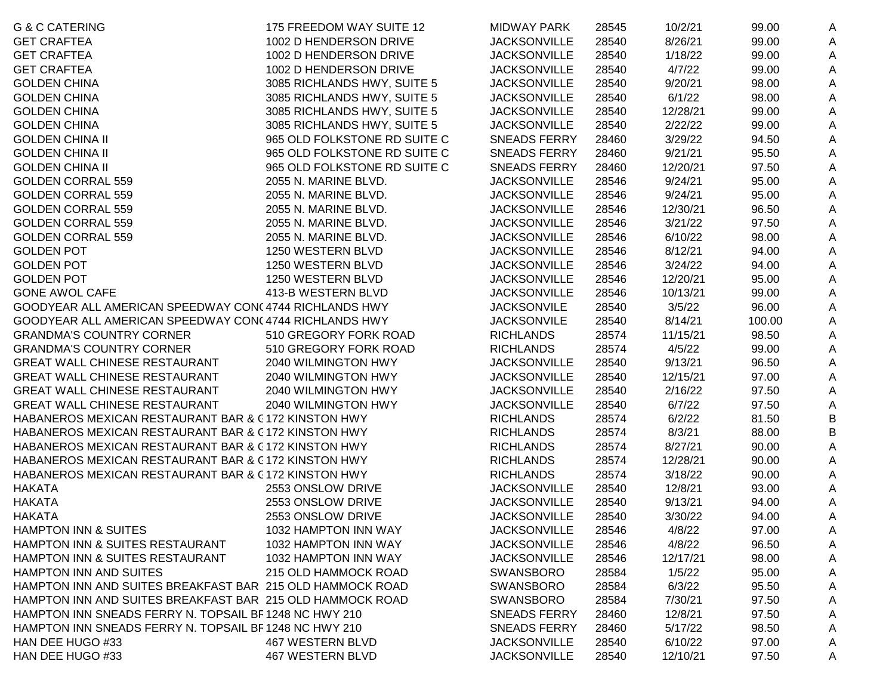| <b>G &amp; C CATERING</b>                                 | 175 FREEDOM WAY SUITE 12     | <b>MIDWAY PARK</b>  | 28545 | 10/2/21  | 99.00  | A |
|-----------------------------------------------------------|------------------------------|---------------------|-------|----------|--------|---|
| <b>GET CRAFTEA</b>                                        | 1002 D HENDERSON DRIVE       | <b>JACKSONVILLE</b> | 28540 | 8/26/21  | 99.00  | A |
| <b>GET CRAFTEA</b>                                        | 1002 D HENDERSON DRIVE       | <b>JACKSONVILLE</b> | 28540 | 1/18/22  | 99.00  | A |
| <b>GET CRAFTEA</b>                                        | 1002 D HENDERSON DRIVE       | <b>JACKSONVILLE</b> | 28540 | 4/7/22   | 99.00  | Α |
| <b>GOLDEN CHINA</b>                                       | 3085 RICHLANDS HWY, SUITE 5  | <b>JACKSONVILLE</b> | 28540 | 9/20/21  | 98.00  | A |
| <b>GOLDEN CHINA</b>                                       | 3085 RICHLANDS HWY, SUITE 5  | <b>JACKSONVILLE</b> | 28540 | 6/1/22   | 98.00  | A |
| <b>GOLDEN CHINA</b>                                       | 3085 RICHLANDS HWY, SUITE 5  | <b>JACKSONVILLE</b> | 28540 | 12/28/21 | 99.00  | A |
| <b>GOLDEN CHINA</b>                                       | 3085 RICHLANDS HWY, SUITE 5  | <b>JACKSONVILLE</b> | 28540 | 2/22/22  | 99.00  | Α |
| <b>GOLDEN CHINA II</b>                                    | 965 OLD FOLKSTONE RD SUITE C | <b>SNEADS FERRY</b> | 28460 | 3/29/22  | 94.50  | Α |
| <b>GOLDEN CHINA II</b>                                    | 965 OLD FOLKSTONE RD SUITE C | <b>SNEADS FERRY</b> | 28460 | 9/21/21  | 95.50  | A |
| <b>GOLDEN CHINA II</b>                                    | 965 OLD FOLKSTONE RD SUITE C | <b>SNEADS FERRY</b> | 28460 | 12/20/21 | 97.50  | Α |
| <b>GOLDEN CORRAL 559</b>                                  | 2055 N. MARINE BLVD.         | <b>JACKSONVILLE</b> | 28546 | 9/24/21  | 95.00  | A |
| <b>GOLDEN CORRAL 559</b>                                  | 2055 N. MARINE BLVD.         | <b>JACKSONVILLE</b> | 28546 | 9/24/21  | 95.00  | Α |
| <b>GOLDEN CORRAL 559</b>                                  | 2055 N. MARINE BLVD.         | <b>JACKSONVILLE</b> | 28546 | 12/30/21 | 96.50  | A |
| <b>GOLDEN CORRAL 559</b>                                  | 2055 N. MARINE BLVD.         | <b>JACKSONVILLE</b> | 28546 | 3/21/22  | 97.50  | Α |
| <b>GOLDEN CORRAL 559</b>                                  | 2055 N. MARINE BLVD.         | <b>JACKSONVILLE</b> | 28546 | 6/10/22  | 98.00  | Α |
| <b>GOLDEN POT</b>                                         | 1250 WESTERN BLVD            | <b>JACKSONVILLE</b> | 28546 | 8/12/21  | 94.00  | Α |
| <b>GOLDEN POT</b>                                         | 1250 WESTERN BLVD            | <b>JACKSONVILLE</b> | 28546 | 3/24/22  | 94.00  | Α |
| <b>GOLDEN POT</b>                                         | 1250 WESTERN BLVD            | <b>JACKSONVILLE</b> | 28546 | 12/20/21 | 95.00  | Α |
| <b>GONE AWOL CAFE</b>                                     | 413-B WESTERN BLVD           | <b>JACKSONVILLE</b> | 28546 | 10/13/21 | 99.00  | A |
| GOODYEAR ALL AMERICAN SPEEDWAY CON(4744 RICHLANDS HWY     |                              | <b>JACKSONVILE</b>  | 28540 | 3/5/22   | 96.00  | A |
| GOODYEAR ALL AMERICAN SPEEDWAY CON(4744 RICHLANDS HWY     |                              | <b>JACKSONVILE</b>  | 28540 | 8/14/21  | 100.00 | A |
| <b>GRANDMA'S COUNTRY CORNER</b>                           | 510 GREGORY FORK ROAD        | <b>RICHLANDS</b>    | 28574 | 11/15/21 | 98.50  | A |
| <b>GRANDMA'S COUNTRY CORNER</b>                           | 510 GREGORY FORK ROAD        | <b>RICHLANDS</b>    | 28574 | 4/5/22   | 99.00  | A |
| <b>GREAT WALL CHINESE RESTAURANT</b>                      | 2040 WILMINGTON HWY          | <b>JACKSONVILLE</b> | 28540 | 9/13/21  | 96.50  | A |
| <b>GREAT WALL CHINESE RESTAURANT</b>                      | 2040 WILMINGTON HWY          | <b>JACKSONVILLE</b> | 28540 | 12/15/21 | 97.00  | A |
| <b>GREAT WALL CHINESE RESTAURANT</b>                      | 2040 WILMINGTON HWY          | <b>JACKSONVILLE</b> | 28540 | 2/16/22  | 97.50  | A |
| <b>GREAT WALL CHINESE RESTAURANT</b>                      | 2040 WILMINGTON HWY          | <b>JACKSONVILLE</b> | 28540 | 6/7/22   | 97.50  | A |
| HABANEROS MEXICAN RESTAURANT BAR & C172 KINSTON HWY       |                              | <b>RICHLANDS</b>    | 28574 | 6/2/22   | 81.50  | B |
| HABANEROS MEXICAN RESTAURANT BAR & C172 KINSTON HWY       |                              | <b>RICHLANDS</b>    | 28574 | 8/3/21   | 88.00  | B |
| HABANEROS MEXICAN RESTAURANT BAR & C172 KINSTON HWY       |                              | <b>RICHLANDS</b>    | 28574 | 8/27/21  | 90.00  | A |
| HABANEROS MEXICAN RESTAURANT BAR & C172 KINSTON HWY       |                              | <b>RICHLANDS</b>    | 28574 | 12/28/21 | 90.00  | A |
| HABANEROS MEXICAN RESTAURANT BAR & C172 KINSTON HWY       |                              | <b>RICHLANDS</b>    | 28574 | 3/18/22  | 90.00  | Α |
| <b>HAKATA</b>                                             | 2553 ONSLOW DRIVE            | <b>JACKSONVILLE</b> | 28540 | 12/8/21  | 93.00  | Α |
| <b>HAKATA</b>                                             | 2553 ONSLOW DRIVE            | <b>JACKSONVILLE</b> | 28540 | 9/13/21  | 94.00  | A |
| <b>HAKATA</b>                                             | 2553 ONSLOW DRIVE            | <b>JACKSONVILLE</b> | 28540 | 3/30/22  | 94.00  | A |
| HAMPTON INN & SUITES                                      | 1032 HAMPTON INN WAY         | <b>JACKSONVILLE</b> | 28546 | 4/8/22   | 97.00  | A |
| HAMPTON INN & SUITES RESTAURANT                           | 1032 HAMPTON INN WAY         | <b>JACKSONVILLE</b> | 28546 | 4/8/22   | 96.50  | A |
| HAMPTON INN & SUITES RESTAURANT                           | 1032 HAMPTON INN WAY         | <b>JACKSONVILLE</b> | 28546 | 12/17/21 | 98.00  | A |
| HAMPTON INN AND SUITES                                    | 215 OLD HAMMOCK ROAD         | <b>SWANSBORO</b>    | 28584 | 1/5/22   | 95.00  | A |
| HAMPTON INN AND SUITES BREAKFAST BAR 215 OLD HAMMOCK ROAD |                              | <b>SWANSBORO</b>    | 28584 | 6/3/22   | 95.50  | A |
| HAMPTON INN AND SUITES BREAKFAST BAR 215 OLD HAMMOCK ROAD |                              | <b>SWANSBORO</b>    | 28584 | 7/30/21  | 97.50  | A |
| HAMPTON INN SNEADS FERRY N. TOPSAIL BF1248 NC HWY 210     |                              | <b>SNEADS FERRY</b> | 28460 | 12/8/21  | 97.50  | A |
| HAMPTON INN SNEADS FERRY N. TOPSAIL BF1248 NC HWY 210     |                              | <b>SNEADS FERRY</b> | 28460 | 5/17/22  | 98.50  | A |
| HAN DEE HUGO #33                                          | 467 WESTERN BLVD             | <b>JACKSONVILLE</b> | 28540 | 6/10/22  | 97.00  | A |
| HAN DEE HUGO #33                                          | 467 WESTERN BLVD             | <b>JACKSONVILLE</b> | 28540 | 12/10/21 | 97.50  | A |
|                                                           |                              |                     |       |          |        |   |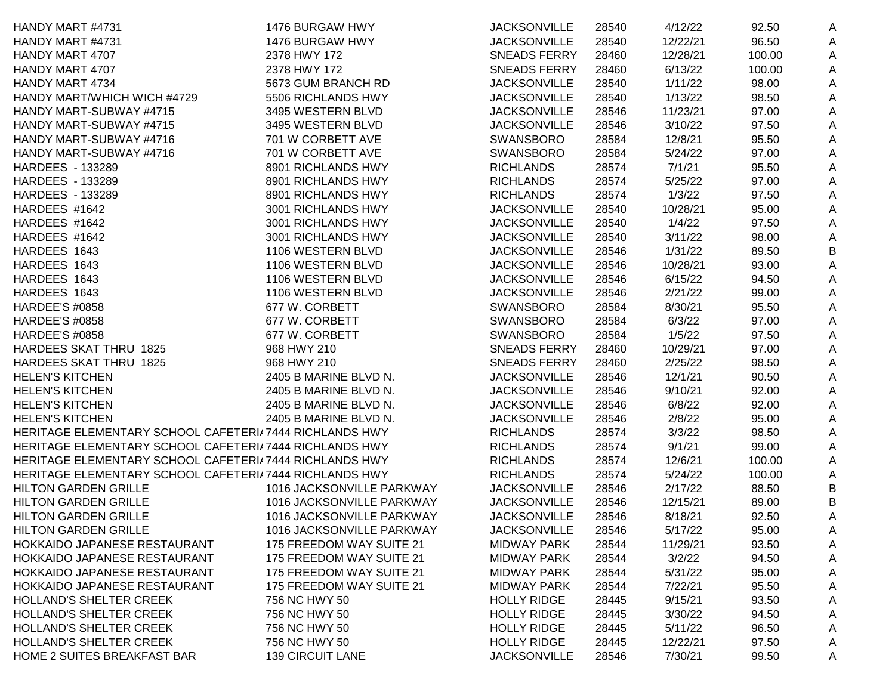| HANDY MART #4731                                        | 1476 BURGAW HWY           | <b>JACKSONVILLE</b> | 28540 | 4/12/22  | 92.50  | A |
|---------------------------------------------------------|---------------------------|---------------------|-------|----------|--------|---|
| HANDY MART #4731                                        | 1476 BURGAW HWY           | <b>JACKSONVILLE</b> | 28540 | 12/22/21 | 96.50  | A |
| HANDY MART 4707                                         | 2378 HWY 172              | <b>SNEADS FERRY</b> | 28460 | 12/28/21 | 100.00 | A |
| HANDY MART 4707                                         | 2378 HWY 172              | <b>SNEADS FERRY</b> | 28460 | 6/13/22  | 100.00 | A |
| HANDY MART 4734                                         | 5673 GUM BRANCH RD        | <b>JACKSONVILLE</b> | 28540 | 1/11/22  | 98.00  | A |
| HANDY MART/WHICH WICH #4729                             | 5506 RICHLANDS HWY        | <b>JACKSONVILLE</b> | 28540 | 1/13/22  | 98.50  | A |
| HANDY MART-SUBWAY #4715                                 | 3495 WESTERN BLVD         | <b>JACKSONVILLE</b> | 28546 | 11/23/21 | 97.00  | A |
| HANDY MART-SUBWAY #4715                                 | 3495 WESTERN BLVD         | <b>JACKSONVILLE</b> | 28546 | 3/10/22  | 97.50  | A |
| HANDY MART-SUBWAY #4716                                 | 701 W CORBETT AVE         | <b>SWANSBORO</b>    | 28584 | 12/8/21  | 95.50  | A |
| HANDY MART-SUBWAY #4716                                 | 701 W CORBETT AVE         | <b>SWANSBORO</b>    | 28584 | 5/24/22  | 97.00  | A |
| <b>HARDEES - 133289</b>                                 | 8901 RICHLANDS HWY        | <b>RICHLANDS</b>    | 28574 | 7/1/21   | 95.50  | A |
| <b>HARDEES - 133289</b>                                 | 8901 RICHLANDS HWY        | <b>RICHLANDS</b>    | 28574 | 5/25/22  | 97.00  | A |
| <b>HARDEES - 133289</b>                                 | 8901 RICHLANDS HWY        | <b>RICHLANDS</b>    | 28574 | 1/3/22   | 97.50  | Α |
| HARDEES #1642                                           | 3001 RICHLANDS HWY        | <b>JACKSONVILLE</b> | 28540 | 10/28/21 | 95.00  | A |
| HARDEES #1642                                           | 3001 RICHLANDS HWY        | <b>JACKSONVILLE</b> | 28540 | 1/4/22   | 97.50  | A |
| HARDEES #1642                                           | 3001 RICHLANDS HWY        | <b>JACKSONVILLE</b> | 28540 | 3/11/22  | 98.00  | A |
| HARDEES 1643                                            | 1106 WESTERN BLVD         | <b>JACKSONVILLE</b> | 28546 | 1/31/22  | 89.50  | B |
| HARDEES 1643                                            | 1106 WESTERN BLVD         | <b>JACKSONVILLE</b> | 28546 | 10/28/21 | 93.00  | A |
| HARDEES 1643                                            | 1106 WESTERN BLVD         | <b>JACKSONVILLE</b> | 28546 | 6/15/22  | 94.50  | A |
| HARDEES 1643                                            | 1106 WESTERN BLVD         | <b>JACKSONVILLE</b> | 28546 | 2/21/22  | 99.00  | A |
| <b>HARDEE'S #0858</b>                                   | 677 W. CORBETT            | <b>SWANSBORO</b>    | 28584 | 8/30/21  | 95.50  | A |
| <b>HARDEE'S #0858</b>                                   | 677 W. CORBETT            | <b>SWANSBORO</b>    | 28584 | 6/3/22   | 97.00  | A |
| <b>HARDEE'S #0858</b>                                   | 677 W. CORBETT            | <b>SWANSBORO</b>    | 28584 | 1/5/22   | 97.50  | A |
| HARDEES SKAT THRU 1825                                  | 968 HWY 210               | <b>SNEADS FERRY</b> | 28460 | 10/29/21 | 97.00  | A |
| HARDEES SKAT THRU 1825                                  | 968 HWY 210               | <b>SNEADS FERRY</b> | 28460 | 2/25/22  | 98.50  | A |
| <b>HELEN'S KITCHEN</b>                                  | 2405 B MARINE BLVD N.     | <b>JACKSONVILLE</b> | 28546 | 12/1/21  | 90.50  | A |
| <b>HELEN'S KITCHEN</b>                                  | 2405 B MARINE BLVD N.     | <b>JACKSONVILLE</b> | 28546 | 9/10/21  | 92.00  | A |
| <b>HELEN'S KITCHEN</b>                                  | 2405 B MARINE BLVD N.     | <b>JACKSONVILLE</b> | 28546 | 6/8/22   | 92.00  | A |
| <b>HELEN'S KITCHEN</b>                                  | 2405 B MARINE BLVD N.     | <b>JACKSONVILLE</b> | 28546 | 2/8/22   | 95.00  | A |
| HERITAGE ELEMENTARY SCHOOL CAFETERI/ 7444 RICHLANDS HWY |                           | <b>RICHLANDS</b>    | 28574 | 3/3/22   | 98.50  | A |
| HERITAGE ELEMENTARY SCHOOL CAFETERI/7444 RICHLANDS HWY  |                           | <b>RICHLANDS</b>    | 28574 | 9/1/21   | 99.00  | A |
| HERITAGE ELEMENTARY SCHOOL CAFETERI/ 7444 RICHLANDS HWY |                           | <b>RICHLANDS</b>    | 28574 | 12/6/21  | 100.00 | A |
| HERITAGE ELEMENTARY SCHOOL CAFETERI/ 7444 RICHLANDS HWY |                           | <b>RICHLANDS</b>    | 28574 | 5/24/22  | 100.00 | A |
| <b>HILTON GARDEN GRILLE</b>                             | 1016 JACKSONVILLE PARKWAY | <b>JACKSONVILLE</b> | 28546 | 2/17/22  | 88.50  | B |
| <b>HILTON GARDEN GRILLE</b>                             | 1016 JACKSONVILLE PARKWAY | <b>JACKSONVILLE</b> | 28546 | 12/15/21 | 89.00  | B |
| <b>HILTON GARDEN GRILLE</b>                             | 1016 JACKSONVILLE PARKWAY | <b>JACKSONVILLE</b> | 28546 | 8/18/21  | 92.50  | A |
| <b>HILTON GARDEN GRILLE</b>                             | 1016 JACKSONVILLE PARKWAY | <b>JACKSONVILLE</b> | 28546 | 5/17/22  | 95.00  | A |
| HOKKAIDO JAPANESE RESTAURANT                            | 175 FREEDOM WAY SUITE 21  | <b>MIDWAY PARK</b>  | 28544 | 11/29/21 | 93.50  | A |
| HOKKAIDO JAPANESE RESTAURANT                            | 175 FREEDOM WAY SUITE 21  | <b>MIDWAY PARK</b>  | 28544 | 3/2/22   | 94.50  | A |
| HOKKAIDO JAPANESE RESTAURANT                            | 175 FREEDOM WAY SUITE 21  | <b>MIDWAY PARK</b>  | 28544 | 5/31/22  | 95.00  | A |
| HOKKAIDO JAPANESE RESTAURANT                            | 175 FREEDOM WAY SUITE 21  | <b>MIDWAY PARK</b>  | 28544 | 7/22/21  | 95.50  | A |
| <b>HOLLAND'S SHELTER CREEK</b>                          | 756 NC HWY 50             | <b>HOLLY RIDGE</b>  | 28445 | 9/15/21  | 93.50  | A |
| <b>HOLLAND'S SHELTER CREEK</b>                          | 756 NC HWY 50             | <b>HOLLY RIDGE</b>  | 28445 | 3/30/22  | 94.50  | A |
| <b>HOLLAND'S SHELTER CREEK</b>                          | 756 NC HWY 50             | <b>HOLLY RIDGE</b>  | 28445 | 5/11/22  | 96.50  | A |
| <b>HOLLAND'S SHELTER CREEK</b>                          | 756 NC HWY 50             | <b>HOLLY RIDGE</b>  | 28445 | 12/22/21 | 97.50  | A |
| HOME 2 SUITES BREAKFAST BAR                             | <b>139 CIRCUIT LANE</b>   | <b>JACKSONVILLE</b> | 28546 | 7/30/21  | 99.50  | A |
|                                                         |                           |                     |       |          |        |   |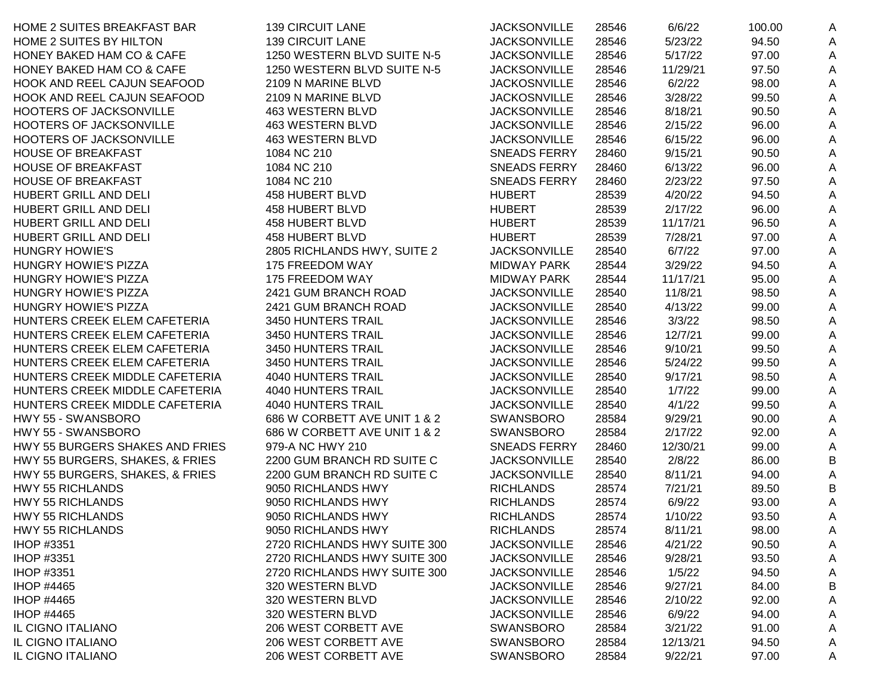| HOME 2 SUITES BREAKFAST BAR     | <b>139 CIRCUIT LANE</b>      | <b>JACKSONVILLE</b> | 28546 | 6/6/22   | 100.00 | A |
|---------------------------------|------------------------------|---------------------|-------|----------|--------|---|
| HOME 2 SUITES BY HILTON         | <b>139 CIRCUIT LANE</b>      | <b>JACKSONVILLE</b> | 28546 | 5/23/22  | 94.50  | A |
| HONEY BAKED HAM CO & CAFE       | 1250 WESTERN BLVD SUITE N-5  | <b>JACKSONVILLE</b> | 28546 | 5/17/22  | 97.00  | A |
| HONEY BAKED HAM CO & CAFE       | 1250 WESTERN BLVD SUITE N-5  | <b>JACKSONVILLE</b> | 28546 | 11/29/21 | 97.50  | A |
| HOOK AND REEL CAJUN SEAFOOD     | 2109 N MARINE BLVD           | <b>JACKOSNVILLE</b> | 28546 | 6/2/22   | 98.00  | A |
| HOOK AND REEL CAJUN SEAFOOD     | 2109 N MARINE BLVD           | <b>JACKOSNVILLE</b> | 28546 | 3/28/22  | 99.50  | Α |
| HOOTERS OF JACKSONVILLE         | 463 WESTERN BLVD             | <b>JACKSONVILLE</b> | 28546 | 8/18/21  | 90.50  | Α |
| HOOTERS OF JACKSONVILLE         | 463 WESTERN BLVD             | <b>JACKSONVILLE</b> | 28546 | 2/15/22  | 96.00  | Α |
| HOOTERS OF JACKSONVILLE         | 463 WESTERN BLVD             | <b>JACKSONVILLE</b> | 28546 | 6/15/22  | 96.00  | A |
| <b>HOUSE OF BREAKFAST</b>       | 1084 NC 210                  | <b>SNEADS FERRY</b> | 28460 | 9/15/21  | 90.50  | Α |
| <b>HOUSE OF BREAKFAST</b>       | 1084 NC 210                  | <b>SNEADS FERRY</b> | 28460 | 6/13/22  | 96.00  | Α |
| <b>HOUSE OF BREAKFAST</b>       | 1084 NC 210                  | <b>SNEADS FERRY</b> | 28460 | 2/23/22  | 97.50  | Α |
| HUBERT GRILL AND DELI           | 458 HUBERT BLVD              | <b>HUBERT</b>       | 28539 | 4/20/22  | 94.50  | A |
| HUBERT GRILL AND DELI           | 458 HUBERT BLVD              | <b>HUBERT</b>       | 28539 | 2/17/22  | 96.00  | Α |
| HUBERT GRILL AND DELI           | 458 HUBERT BLVD              | <b>HUBERT</b>       | 28539 | 11/17/21 | 96.50  | Α |
| HUBERT GRILL AND DELI           | 458 HUBERT BLVD              | <b>HUBERT</b>       | 28539 | 7/28/21  | 97.00  | Α |
| <b>HUNGRY HOWIE'S</b>           | 2805 RICHLANDS HWY, SUITE 2  | <b>JACKSONVILLE</b> | 28540 | 6/7/22   | 97.00  | Α |
| <b>HUNGRY HOWIE'S PIZZA</b>     | 175 FREEDOM WAY              | <b>MIDWAY PARK</b>  | 28544 | 3/29/22  | 94.50  | Α |
| <b>HUNGRY HOWIE'S PIZZA</b>     | 175 FREEDOM WAY              | <b>MIDWAY PARK</b>  | 28544 | 11/17/21 | 95.00  | Α |
| <b>HUNGRY HOWIE'S PIZZA</b>     | 2421 GUM BRANCH ROAD         | <b>JACKSONVILLE</b> | 28540 | 11/8/21  | 98.50  | A |
| <b>HUNGRY HOWIE'S PIZZA</b>     | 2421 GUM BRANCH ROAD         | <b>JACKSONVILLE</b> | 28540 | 4/13/22  | 99.00  | A |
| HUNTERS CREEK ELEM CAFETERIA    | 3450 HUNTERS TRAIL           | <b>JACKSONVILLE</b> | 28546 | 3/3/22   | 98.50  | Α |
| HUNTERS CREEK ELEM CAFETERIA    | 3450 HUNTERS TRAIL           | <b>JACKSONVILLE</b> | 28546 | 12/7/21  | 99.00  | A |
| HUNTERS CREEK ELEM CAFETERIA    | 3450 HUNTERS TRAIL           | <b>JACKSONVILLE</b> | 28546 | 9/10/21  | 99.50  | A |
| HUNTERS CREEK ELEM CAFETERIA    | 3450 HUNTERS TRAIL           | <b>JACKSONVILLE</b> | 28546 | 5/24/22  | 99.50  | A |
| HUNTERS CREEK MIDDLE CAFETERIA  | <b>4040 HUNTERS TRAIL</b>    | <b>JACKSONVILLE</b> | 28540 | 9/17/21  | 98.50  | A |
| HUNTERS CREEK MIDDLE CAFETERIA  | <b>4040 HUNTERS TRAIL</b>    | <b>JACKSONVILLE</b> | 28540 | 1/7/22   | 99.00  | A |
| HUNTERS CREEK MIDDLE CAFETERIA  | <b>4040 HUNTERS TRAIL</b>    | <b>JACKSONVILLE</b> | 28540 | 4/1/22   | 99.50  | A |
| HWY 55 - SWANSBORO              | 686 W CORBETT AVE UNIT 1 & 2 | SWANSBORO           | 28584 | 9/29/21  | 90.00  | A |
| HWY 55 - SWANSBORO              | 686 W CORBETT AVE UNIT 1 & 2 | <b>SWANSBORO</b>    | 28584 | 2/17/22  | 92.00  | A |
| HWY 55 BURGERS SHAKES AND FRIES | 979-A NC HWY 210             | <b>SNEADS FERRY</b> | 28460 | 12/30/21 | 99.00  | A |
| HWY 55 BURGERS, SHAKES, & FRIES | 2200 GUM BRANCH RD SUITE C   | <b>JACKSONVILLE</b> | 28540 | 2/8/22   | 86.00  | B |
| HWY 55 BURGERS, SHAKES, & FRIES | 2200 GUM BRANCH RD SUITE C   | <b>JACKSONVILLE</b> | 28540 | 8/11/21  | 94.00  | A |
| <b>HWY 55 RICHLANDS</b>         | 9050 RICHLANDS HWY           | <b>RICHLANDS</b>    | 28574 | 7/21/21  | 89.50  | B |
| <b>HWY 55 RICHLANDS</b>         | 9050 RICHLANDS HWY           | <b>RICHLANDS</b>    | 28574 | 6/9/22   | 93.00  | A |
| <b>HWY 55 RICHLANDS</b>         | 9050 RICHLANDS HWY           | <b>RICHLANDS</b>    | 28574 | 1/10/22  | 93.50  | A |
| <b>HWY 55 RICHLANDS</b>         | 9050 RICHLANDS HWY           | <b>RICHLANDS</b>    | 28574 | 8/11/21  | 98.00  | A |
| <b>IHOP #3351</b>               | 2720 RICHLANDS HWY SUITE 300 | <b>JACKSONVILLE</b> | 28546 | 4/21/22  | 90.50  | A |
| IHOP #3351                      | 2720 RICHLANDS HWY SUITE 300 | <b>JACKSONVILLE</b> | 28546 | 9/28/21  | 93.50  | A |
| <b>IHOP #3351</b>               | 2720 RICHLANDS HWY SUITE 300 | <b>JACKSONVILLE</b> | 28546 | 1/5/22   | 94.50  | A |
| <b>IHOP #4465</b>               | 320 WESTERN BLVD             | <b>JACKSONVILLE</b> | 28546 | 9/27/21  | 84.00  | B |
| <b>IHOP #4465</b>               | 320 WESTERN BLVD             | <b>JACKSONVILLE</b> | 28546 | 2/10/22  | 92.00  | A |
| <b>IHOP #4465</b>               | 320 WESTERN BLVD             | <b>JACKSONVILLE</b> | 28546 | 6/9/22   | 94.00  | A |
| IL CIGNO ITALIANO               | 206 WEST CORBETT AVE         | <b>SWANSBORO</b>    | 28584 | 3/21/22  | 91.00  | A |
| IL CIGNO ITALIANO               | 206 WEST CORBETT AVE         | <b>SWANSBORO</b>    | 28584 | 12/13/21 | 94.50  | A |
| IL CIGNO ITALIANO               | 206 WEST CORBETT AVE         | <b>SWANSBORO</b>    | 28584 | 9/22/21  | 97.00  |   |
|                                 |                              |                     |       |          |        | Α |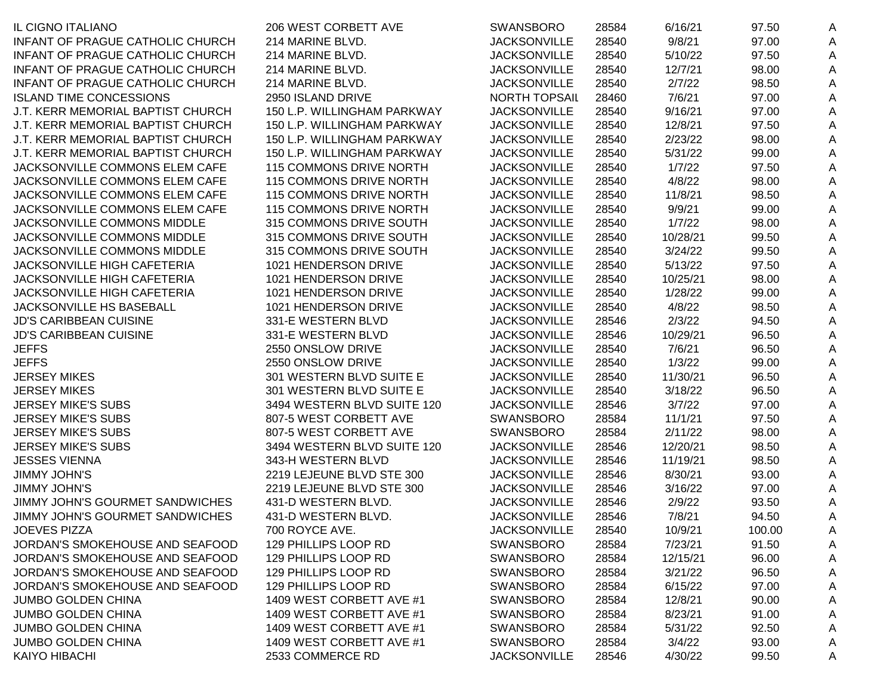| IL CIGNO ITALIANO                  | 206 WEST CORBETT AVE        | <b>SWANSBORO</b>     | 28584 | 6/16/21  | 97.50  | A |
|------------------------------------|-----------------------------|----------------------|-------|----------|--------|---|
| INFANT OF PRAGUE CATHOLIC CHURCH   | 214 MARINE BLVD.            | <b>JACKSONVILLE</b>  | 28540 | 9/8/21   | 97.00  | A |
| INFANT OF PRAGUE CATHOLIC CHURCH   | 214 MARINE BLVD.            | <b>JACKSONVILLE</b>  | 28540 | 5/10/22  | 97.50  | A |
| INFANT OF PRAGUE CATHOLIC CHURCH   | 214 MARINE BLVD.            | <b>JACKSONVILLE</b>  | 28540 | 12/7/21  | 98.00  | A |
| INFANT OF PRAGUE CATHOLIC CHURCH   | 214 MARINE BLVD.            | <b>JACKSONVILLE</b>  | 28540 | 2/7/22   | 98.50  | A |
| <b>ISLAND TIME CONCESSIONS</b>     | 2950 ISLAND DRIVE           | <b>NORTH TOPSAIL</b> | 28460 | 7/6/21   | 97.00  | Α |
| J.T. KERR MEMORIAL BAPTIST CHURCH  | 150 L.P. WILLINGHAM PARKWAY | <b>JACKSONVILLE</b>  | 28540 | 9/16/21  | 97.00  | A |
| J.T. KERR MEMORIAL BAPTIST CHURCH  | 150 L.P. WILLINGHAM PARKWAY | <b>JACKSONVILLE</b>  | 28540 | 12/8/21  | 97.50  | A |
| J.T. KERR MEMORIAL BAPTIST CHURCH  | 150 L.P. WILLINGHAM PARKWAY | <b>JACKSONVILLE</b>  | 28540 | 2/23/22  | 98.00  | Α |
| J.T. KERR MEMORIAL BAPTIST CHURCH  | 150 L.P. WILLINGHAM PARKWAY | <b>JACKSONVILLE</b>  | 28540 | 5/31/22  | 99.00  | Α |
| JACKSONVILLE COMMONS ELEM CAFE     | 115 COMMONS DRIVE NORTH     | <b>JACKSONVILLE</b>  | 28540 | 1/7/22   | 97.50  | Α |
| JACKSONVILLE COMMONS ELEM CAFE     | 115 COMMONS DRIVE NORTH     | <b>JACKSONVILLE</b>  | 28540 | 4/8/22   | 98.00  | Α |
| JACKSONVILLE COMMONS ELEM CAFE     | 115 COMMONS DRIVE NORTH     | <b>JACKSONVILLE</b>  | 28540 | 11/8/21  | 98.50  | Α |
| JACKSONVILLE COMMONS ELEM CAFE     | 115 COMMONS DRIVE NORTH     | <b>JACKSONVILLE</b>  | 28540 | 9/9/21   | 99.00  | Α |
| JACKSONVILLE COMMONS MIDDLE        | 315 COMMONS DRIVE SOUTH     | <b>JACKSONVILLE</b>  | 28540 | 1/7/22   | 98.00  | A |
| JACKSONVILLE COMMONS MIDDLE        | 315 COMMONS DRIVE SOUTH     | <b>JACKSONVILLE</b>  | 28540 | 10/28/21 | 99.50  | A |
| JACKSONVILLE COMMONS MIDDLE        | 315 COMMONS DRIVE SOUTH     | <b>JACKSONVILLE</b>  | 28540 | 3/24/22  | 99.50  | Α |
| <b>JACKSONVILLE HIGH CAFETERIA</b> | 1021 HENDERSON DRIVE        | <b>JACKSONVILLE</b>  | 28540 | 5/13/22  | 97.50  | Α |
| JACKSONVILLE HIGH CAFETERIA        | 1021 HENDERSON DRIVE        | <b>JACKSONVILLE</b>  | 28540 | 10/25/21 | 98.00  | Α |
| <b>JACKSONVILLE HIGH CAFETERIA</b> | 1021 HENDERSON DRIVE        | <b>JACKSONVILLE</b>  | 28540 | 1/28/22  | 99.00  | Α |
| JACKSONVILLE HS BASEBALL           | 1021 HENDERSON DRIVE        | <b>JACKSONVILLE</b>  | 28540 | 4/8/22   | 98.50  | A |
| <b>JD'S CARIBBEAN CUISINE</b>      | 331-E WESTERN BLVD          | <b>JACKSONVILLE</b>  | 28546 | 2/3/22   | 94.50  | A |
| <b>JD'S CARIBBEAN CUISINE</b>      | 331-E WESTERN BLVD          | <b>JACKSONVILLE</b>  | 28546 | 10/29/21 | 96.50  | A |
| <b>JEFFS</b>                       | 2550 ONSLOW DRIVE           | <b>JACKSONVILLE</b>  | 28540 | 7/6/21   | 96.50  | A |
| <b>JEFFS</b>                       | 2550 ONSLOW DRIVE           | <b>JACKSONVILLE</b>  | 28540 | 1/3/22   | 99.00  | Α |
| <b>JERSEY MIKES</b>                | 301 WESTERN BLVD SUITE E    | <b>JACKSONVILLE</b>  | 28540 | 11/30/21 | 96.50  | Α |
| <b>JERSEY MIKES</b>                | 301 WESTERN BLVD SUITE E    | <b>JACKSONVILLE</b>  | 28540 | 3/18/22  | 96.50  | Α |
| <b>JERSEY MIKE'S SUBS</b>          | 3494 WESTERN BLVD SUITE 120 | <b>JACKSONVILLE</b>  | 28546 | 3/7/22   | 97.00  | Α |
| <b>JERSEY MIKE'S SUBS</b>          | 807-5 WEST CORBETT AVE      | <b>SWANSBORO</b>     | 28584 | 11/1/21  | 97.50  | Α |
| <b>JERSEY MIKE'S SUBS</b>          | 807-5 WEST CORBETT AVE      | <b>SWANSBORO</b>     | 28584 | 2/11/22  | 98.00  | Α |
| <b>JERSEY MIKE'S SUBS</b>          | 3494 WESTERN BLVD SUITE 120 | <b>JACKSONVILLE</b>  | 28546 | 12/20/21 | 98.50  | Α |
| <b>JESSES VIENNA</b>               | 343-H WESTERN BLVD          | <b>JACKSONVILLE</b>  | 28546 | 11/19/21 | 98.50  | A |
| <b>JIMMY JOHN'S</b>                | 2219 LEJEUNE BLVD STE 300   | <b>JACKSONVILLE</b>  | 28546 | 8/30/21  | 93.00  | A |
| <b>JIMMY JOHN'S</b>                | 2219 LEJEUNE BLVD STE 300   | <b>JACKSONVILLE</b>  | 28546 | 3/16/22  | 97.00  | A |
| JIMMY JOHN'S GOURMET SANDWICHES    | 431-D WESTERN BLVD.         | <b>JACKSONVILLE</b>  | 28546 | 2/9/22   | 93.50  | A |
| JIMMY JOHN'S GOURMET SANDWICHES    | 431-D WESTERN BLVD.         | <b>JACKSONVILLE</b>  | 28546 | 7/8/21   | 94.50  | A |
| <b>JOEVES PIZZA</b>                | 700 ROYCE AVE.              | <b>JACKSONVILLE</b>  | 28540 | 10/9/21  | 100.00 | A |
| JORDAN'S SMOKEHOUSE AND SEAFOOD    | 129 PHILLIPS LOOP RD        | <b>SWANSBORO</b>     | 28584 | 7/23/21  | 91.50  | A |
| JORDAN'S SMOKEHOUSE AND SEAFOOD    | 129 PHILLIPS LOOP RD        | <b>SWANSBORO</b>     | 28584 | 12/15/21 | 96.00  | A |
| JORDAN'S SMOKEHOUSE AND SEAFOOD    | 129 PHILLIPS LOOP RD        | <b>SWANSBORO</b>     | 28584 | 3/21/22  | 96.50  | A |
| JORDAN'S SMOKEHOUSE AND SEAFOOD    | 129 PHILLIPS LOOP RD        | <b>SWANSBORO</b>     | 28584 | 6/15/22  | 97.00  | Α |
| <b>JUMBO GOLDEN CHINA</b>          | 1409 WEST CORBETT AVE #1    | <b>SWANSBORO</b>     | 28584 | 12/8/21  | 90.00  | Α |
| <b>JUMBO GOLDEN CHINA</b>          | 1409 WEST CORBETT AVE #1    | <b>SWANSBORO</b>     | 28584 | 8/23/21  | 91.00  | A |
| JUMBO GOLDEN CHINA                 | 1409 WEST CORBETT AVE #1    | <b>SWANSBORO</b>     | 28584 | 5/31/22  | 92.50  | A |
| <b>JUMBO GOLDEN CHINA</b>          | 1409 WEST CORBETT AVE #1    | <b>SWANSBORO</b>     | 28584 | 3/4/22   | 93.00  | A |
| KAIYO HIBACHI                      | 2533 COMMERCE RD            | <b>JACKSONVILLE</b>  | 28546 | 4/30/22  | 99.50  | A |
|                                    |                             |                      |       |          |        |   |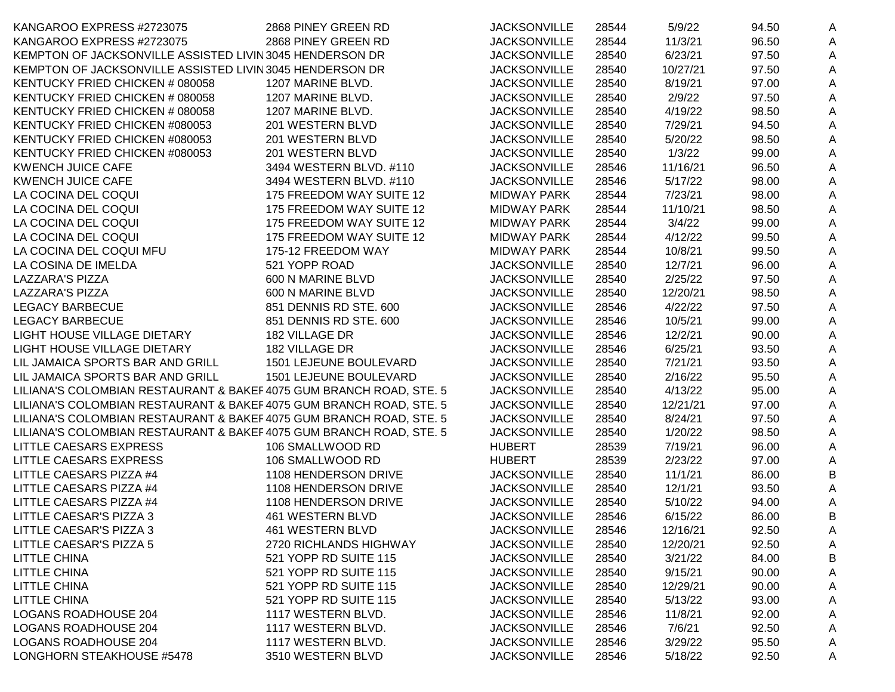| KANGAROO EXPRESS #2723075                                           | 2868 PINEY GREEN RD           | <b>JACKSONVILLE</b> | 28544 | 5/9/22   | 94.50 | A |
|---------------------------------------------------------------------|-------------------------------|---------------------|-------|----------|-------|---|
| KANGAROO EXPRESS #2723075                                           | 2868 PINEY GREEN RD           | <b>JACKSONVILLE</b> | 28544 | 11/3/21  | 96.50 | A |
| KEMPTON OF JACKSONVILLE ASSISTED LIVIN 3045 HENDERSON DR            |                               | <b>JACKSONVILLE</b> | 28540 | 6/23/21  | 97.50 | A |
| KEMPTON OF JACKSONVILLE ASSISTED LIVIN 3045 HENDERSON DR            |                               | <b>JACKSONVILLE</b> | 28540 | 10/27/21 | 97.50 | A |
| KENTUCKY FRIED CHICKEN # 080058                                     | 1207 MARINE BLVD.             | <b>JACKSONVILLE</b> | 28540 | 8/19/21  | 97.00 | Α |
| KENTUCKY FRIED CHICKEN # 080058                                     | 1207 MARINE BLVD.             | <b>JACKSONVILLE</b> | 28540 | 2/9/22   | 97.50 | A |
| KENTUCKY FRIED CHICKEN # 080058                                     | 1207 MARINE BLVD.             | <b>JACKSONVILLE</b> | 28540 | 4/19/22  | 98.50 | A |
| KENTUCKY FRIED CHICKEN #080053                                      | 201 WESTERN BLVD              | <b>JACKSONVILLE</b> | 28540 | 7/29/21  | 94.50 | A |
| KENTUCKY FRIED CHICKEN #080053                                      | 201 WESTERN BLVD              | <b>JACKSONVILLE</b> | 28540 | 5/20/22  | 98.50 | Α |
| KENTUCKY FRIED CHICKEN #080053                                      | 201 WESTERN BLVD              | <b>JACKSONVILLE</b> | 28540 | 1/3/22   | 99.00 | A |
| <b>KWENCH JUICE CAFE</b>                                            | 3494 WESTERN BLVD. #110       | <b>JACKSONVILLE</b> | 28546 | 11/16/21 | 96.50 | A |
| <b>KWENCH JUICE CAFE</b>                                            | 3494 WESTERN BLVD. #110       | <b>JACKSONVILLE</b> | 28546 | 5/17/22  | 98.00 | Α |
| LA COCINA DEL COQUI                                                 | 175 FREEDOM WAY SUITE 12      | <b>MIDWAY PARK</b>  | 28544 | 7/23/21  | 98.00 | Α |
| LA COCINA DEL COQUI                                                 | 175 FREEDOM WAY SUITE 12      | <b>MIDWAY PARK</b>  | 28544 | 11/10/21 | 98.50 | Α |
| LA COCINA DEL COQUI                                                 | 175 FREEDOM WAY SUITE 12      | MIDWAY PARK         | 28544 | 3/4/22   | 99.00 | A |
| LA COCINA DEL COQUI                                                 | 175 FREEDOM WAY SUITE 12      | <b>MIDWAY PARK</b>  | 28544 | 4/12/22  | 99.50 | A |
| LA COCINA DEL COQUI MFU                                             | 175-12 FREEDOM WAY            | <b>MIDWAY PARK</b>  | 28544 | 10/8/21  | 99.50 | Α |
| LA COSINA DE IMELDA                                                 | 521 YOPP ROAD                 | <b>JACKSONVILLE</b> | 28540 | 12/7/21  | 96.00 | A |
| LAZZARA'S PIZZA                                                     | 600 N MARINE BLVD             | <b>JACKSONVILLE</b> | 28540 | 2/25/22  | 97.50 | A |
| <b>LAZZARA'S PIZZA</b>                                              | 600 N MARINE BLVD             | <b>JACKSONVILLE</b> | 28540 | 12/20/21 | 98.50 | A |
| <b>LEGACY BARBECUE</b>                                              | 851 DENNIS RD STE. 600        | <b>JACKSONVILLE</b> | 28546 | 4/22/22  | 97.50 | Α |
| <b>LEGACY BARBECUE</b>                                              | 851 DENNIS RD STE. 600        | <b>JACKSONVILLE</b> | 28546 | 10/5/21  | 99.00 | A |
| LIGHT HOUSE VILLAGE DIETARY                                         | 182 VILLAGE DR                | <b>JACKSONVILLE</b> | 28546 | 12/2/21  | 90.00 | A |
| LIGHT HOUSE VILLAGE DIETARY                                         | 182 VILLAGE DR                | <b>JACKSONVILLE</b> | 28546 | 6/25/21  | 93.50 | A |
| LIL JAMAICA SPORTS BAR AND GRILL                                    | 1501 LEJEUNE BOULEVARD        | <b>JACKSONVILLE</b> | 28540 | 7/21/21  | 93.50 | Α |
| LIL JAMAICA SPORTS BAR AND GRILL                                    | <b>1501 LEJEUNE BOULEVARD</b> | <b>JACKSONVILLE</b> | 28540 | 2/16/22  | 95.50 | Α |
| LILIANA'S COLOMBIAN RESTAURANT & BAKEF 4075 GUM BRANCH ROAD, STE. 5 |                               | <b>JACKSONVILLE</b> | 28540 | 4/13/22  | 95.00 | Α |
| LILIANA'S COLOMBIAN RESTAURANT & BAKEF 4075 GUM BRANCH ROAD, STE. 5 |                               | <b>JACKSONVILLE</b> | 28540 | 12/21/21 | 97.00 | Α |
| LILIANA'S COLOMBIAN RESTAURANT & BAKEF 4075 GUM BRANCH ROAD, STE. 5 |                               | <b>JACKSONVILLE</b> | 28540 | 8/24/21  | 97.50 | Α |
| LILIANA'S COLOMBIAN RESTAURANT & BAKEF 4075 GUM BRANCH ROAD, STE. 5 |                               | <b>JACKSONVILLE</b> | 28540 | 1/20/22  | 98.50 | A |
| LITTLE CAESARS EXPRESS                                              | 106 SMALLWOOD RD              | <b>HUBERT</b>       | 28539 | 7/19/21  | 96.00 | Α |
| LITTLE CAESARS EXPRESS                                              | 106 SMALLWOOD RD              | <b>HUBERT</b>       | 28539 | 2/23/22  | 97.00 | A |
| LITTLE CAESARS PIZZA #4                                             | 1108 HENDERSON DRIVE          | <b>JACKSONVILLE</b> | 28540 | 11/1/21  | 86.00 | B |
| LITTLE CAESARS PIZZA #4                                             | 1108 HENDERSON DRIVE          | <b>JACKSONVILLE</b> | 28540 | 12/1/21  | 93.50 | Α |
| LITTLE CAESARS PIZZA #4                                             | 1108 HENDERSON DRIVE          | <b>JACKSONVILLE</b> | 28540 | 5/10/22  | 94.00 | A |
| LITTLE CAESAR'S PIZZA 3                                             | 461 WESTERN BLVD              | <b>JACKSONVILLE</b> | 28546 | 6/15/22  | 86.00 | B |
| LITTLE CAESAR'S PIZZA 3                                             | 461 WESTERN BLVD              | <b>JACKSONVILLE</b> | 28546 | 12/16/21 | 92.50 | A |
| LITTLE CAESAR'S PIZZA 5                                             | 2720 RICHLANDS HIGHWAY        | <b>JACKSONVILLE</b> | 28540 | 12/20/21 | 92.50 | A |
| <b>LITTLE CHINA</b>                                                 | 521 YOPP RD SUITE 115         | <b>JACKSONVILLE</b> | 28540 | 3/21/22  | 84.00 | B |
| <b>LITTLE CHINA</b>                                                 | 521 YOPP RD SUITE 115         | <b>JACKSONVILLE</b> | 28540 | 9/15/21  | 90.00 | A |
| <b>LITTLE CHINA</b>                                                 | 521 YOPP RD SUITE 115         | <b>JACKSONVILLE</b> | 28540 | 12/29/21 | 90.00 | A |
| <b>LITTLE CHINA</b>                                                 | 521 YOPP RD SUITE 115         | <b>JACKSONVILLE</b> | 28540 | 5/13/22  | 93.00 | A |
| <b>LOGANS ROADHOUSE 204</b>                                         | 1117 WESTERN BLVD.            | <b>JACKSONVILLE</b> | 28546 | 11/8/21  | 92.00 | Α |
| <b>LOGANS ROADHOUSE 204</b>                                         | 1117 WESTERN BLVD.            | <b>JACKSONVILLE</b> | 28546 | 7/6/21   | 92.50 | A |
| <b>LOGANS ROADHOUSE 204</b>                                         | 1117 WESTERN BLVD.            | <b>JACKSONVILLE</b> | 28546 | 3/29/22  | 95.50 | A |
| LONGHORN STEAKHOUSE #5478                                           | 3510 WESTERN BLVD             | <b>JACKSONVILLE</b> | 28546 | 5/18/22  | 92.50 | A |
|                                                                     |                               |                     |       |          |       |   |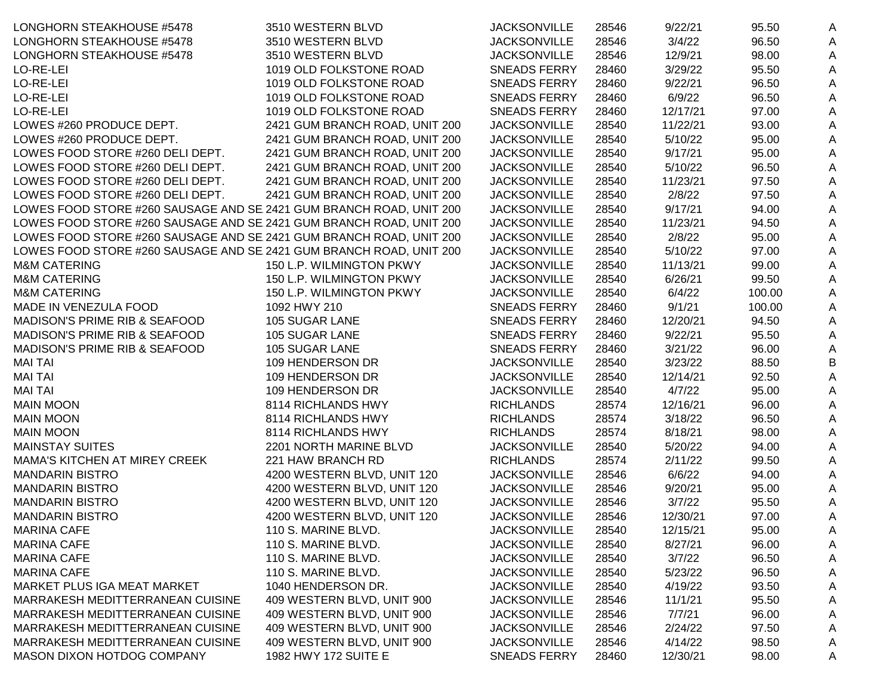| LONGHORN STEAKHOUSE #5478                                           | 3510 WESTERN BLVD              | <b>JACKSONVILLE</b> | 28546 | 9/22/21  | 95.50  | A |
|---------------------------------------------------------------------|--------------------------------|---------------------|-------|----------|--------|---|
| LONGHORN STEAKHOUSE #5478                                           | 3510 WESTERN BLVD              | <b>JACKSONVILLE</b> | 28546 | 3/4/22   | 96.50  | A |
| LONGHORN STEAKHOUSE #5478                                           | 3510 WESTERN BLVD              | <b>JACKSONVILLE</b> | 28546 | 12/9/21  | 98.00  | A |
| LO-RE-LEI                                                           | 1019 OLD FOLKSTONE ROAD        | <b>SNEADS FERRY</b> | 28460 | 3/29/22  | 95.50  | Α |
| LO-RE-LEI                                                           | 1019 OLD FOLKSTONE ROAD        | <b>SNEADS FERRY</b> | 28460 | 9/22/21  | 96.50  | Α |
| LO-RE-LEI                                                           | 1019 OLD FOLKSTONE ROAD        | <b>SNEADS FERRY</b> | 28460 | 6/9/22   | 96.50  | A |
| LO-RE-LEI                                                           | 1019 OLD FOLKSTONE ROAD        | <b>SNEADS FERRY</b> | 28460 | 12/17/21 | 97.00  | A |
| LOWES #260 PRODUCE DEPT.                                            | 2421 GUM BRANCH ROAD, UNIT 200 | <b>JACKSONVILLE</b> | 28540 | 11/22/21 | 93.00  | A |
| LOWES #260 PRODUCE DEPT.                                            | 2421 GUM BRANCH ROAD, UNIT 200 | <b>JACKSONVILLE</b> | 28540 | 5/10/22  | 95.00  | A |
| LOWES FOOD STORE #260 DELI DEPT.                                    | 2421 GUM BRANCH ROAD, UNIT 200 | <b>JACKSONVILLE</b> | 28540 | 9/17/21  | 95.00  | A |
| LOWES FOOD STORE #260 DELI DEPT.                                    | 2421 GUM BRANCH ROAD, UNIT 200 | <b>JACKSONVILLE</b> | 28540 | 5/10/22  | 96.50  | A |
| LOWES FOOD STORE #260 DELI DEPT.                                    | 2421 GUM BRANCH ROAD, UNIT 200 | <b>JACKSONVILLE</b> | 28540 | 11/23/21 | 97.50  | Α |
| LOWES FOOD STORE #260 DELI DEPT.                                    | 2421 GUM BRANCH ROAD, UNIT 200 | <b>JACKSONVILLE</b> | 28540 | 2/8/22   | 97.50  | A |
| LOWES FOOD STORE #260 SAUSAGE AND SE 2421 GUM BRANCH ROAD, UNIT 200 |                                | <b>JACKSONVILLE</b> | 28540 | 9/17/21  | 94.00  | A |
| LOWES FOOD STORE #260 SAUSAGE AND SE 2421 GUM BRANCH ROAD, UNIT 200 |                                | <b>JACKSONVILLE</b> | 28540 | 11/23/21 | 94.50  | Α |
| LOWES FOOD STORE #260 SAUSAGE AND SE 2421 GUM BRANCH ROAD, UNIT 200 |                                | <b>JACKSONVILLE</b> | 28540 | 2/8/22   | 95.00  | Α |
| LOWES FOOD STORE #260 SAUSAGE AND SE 2421 GUM BRANCH ROAD, UNIT 200 |                                | <b>JACKSONVILLE</b> | 28540 | 5/10/22  | 97.00  | Α |
| <b>M&amp;M CATERING</b>                                             | 150 L.P. WILMINGTON PKWY       | <b>JACKSONVILLE</b> | 28540 | 11/13/21 | 99.00  | A |
| <b>M&amp;M CATERING</b>                                             | 150 L.P. WILMINGTON PKWY       | <b>JACKSONVILLE</b> | 28540 | 6/26/21  | 99.50  | Α |
| <b>M&amp;M CATERING</b>                                             | 150 L.P. WILMINGTON PKWY       | <b>JACKSONVILLE</b> | 28540 | 6/4/22   | 100.00 | A |
| MADE IN VENEZULA FOOD                                               | 1092 HWY 210                   | <b>SNEADS FERRY</b> | 28460 | 9/1/21   | 100.00 | A |
| MADISON'S PRIME RIB & SEAFOOD                                       | 105 SUGAR LANE                 | <b>SNEADS FERRY</b> | 28460 | 12/20/21 | 94.50  | A |
| MADISON'S PRIME RIB & SEAFOOD                                       | 105 SUGAR LANE                 | <b>SNEADS FERRY</b> | 28460 | 9/22/21  | 95.50  | A |
| MADISON'S PRIME RIB & SEAFOOD                                       | 105 SUGAR LANE                 | <b>SNEADS FERRY</b> | 28460 | 3/21/22  | 96.00  | A |
| <b>MAI TAI</b>                                                      | 109 HENDERSON DR               | <b>JACKSONVILLE</b> | 28540 | 3/23/22  | 88.50  | B |
| <b>MAI TAI</b>                                                      | 109 HENDERSON DR               | <b>JACKSONVILLE</b> | 28540 | 12/14/21 | 92.50  | A |
| <b>MAI TAI</b>                                                      | 109 HENDERSON DR               | <b>JACKSONVILLE</b> | 28540 | 4/7/22   | 95.00  | A |
| <b>MAIN MOON</b>                                                    | 8114 RICHLANDS HWY             | <b>RICHLANDS</b>    | 28574 | 12/16/21 | 96.00  | A |
| <b>MAIN MOON</b>                                                    | 8114 RICHLANDS HWY             | <b>RICHLANDS</b>    | 28574 | 3/18/22  | 96.50  | A |
| <b>MAIN MOON</b>                                                    | 8114 RICHLANDS HWY             | <b>RICHLANDS</b>    | 28574 | 8/18/21  | 98.00  | A |
| <b>MAINSTAY SUITES</b>                                              | 2201 NORTH MARINE BLVD         | <b>JACKSONVILLE</b> | 28540 | 5/20/22  | 94.00  | Α |
| <b>MAMA'S KITCHEN AT MIREY CREEK</b>                                | 221 HAW BRANCH RD              | <b>RICHLANDS</b>    | 28574 | 2/11/22  | 99.50  | A |
| <b>MANDARIN BISTRO</b>                                              | 4200 WESTERN BLVD, UNIT 120    | <b>JACKSONVILLE</b> | 28546 | 6/6/22   | 94.00  | A |
| <b>MANDARIN BISTRO</b>                                              | 4200 WESTERN BLVD, UNIT 120    | <b>JACKSONVILLE</b> | 28546 | 9/20/21  | 95.00  | A |
| <b>MANDARIN BISTRO</b>                                              | 4200 WESTERN BLVD, UNIT 120    | <b>JACKSONVILLE</b> | 28546 | 3/7/22   | 95.50  | A |
| <b>MANDARIN BISTRO</b>                                              | 4200 WESTERN BLVD, UNIT 120    | <b>JACKSONVILLE</b> | 28546 | 12/30/21 | 97.00  | A |
| <b>MARINA CAFE</b>                                                  | 110 S. MARINE BLVD.            | <b>JACKSONVILLE</b> | 28540 | 12/15/21 | 95.00  | A |
| <b>MARINA CAFE</b>                                                  | 110 S. MARINE BLVD.            | <b>JACKSONVILLE</b> | 28540 | 8/27/21  | 96.00  | A |
| <b>MARINA CAFE</b>                                                  | 110 S. MARINE BLVD.            | <b>JACKSONVILLE</b> | 28540 | 3/7/22   | 96.50  | A |
| <b>MARINA CAFE</b>                                                  | 110 S. MARINE BLVD.            | <b>JACKSONVILLE</b> | 28540 | 5/23/22  | 96.50  | A |
| MARKET PLUS IGA MEAT MARKET                                         | 1040 HENDERSON DR.             | <b>JACKSONVILLE</b> | 28540 | 4/19/22  | 93.50  | A |
| MARRAKESH MEDITTERRANEAN CUISINE                                    | 409 WESTERN BLVD, UNIT 900     | <b>JACKSONVILLE</b> | 28546 | 11/1/21  | 95.50  | A |
| MARRAKESH MEDITTERRANEAN CUISINE                                    | 409 WESTERN BLVD, UNIT 900     | <b>JACKSONVILLE</b> | 28546 | 7/7/21   | 96.00  | A |
| MARRAKESH MEDITTERRANEAN CUISINE                                    | 409 WESTERN BLVD, UNIT 900     | <b>JACKSONVILLE</b> | 28546 | 2/24/22  | 97.50  | A |
| MARRAKESH MEDITTERRANEAN CUISINE                                    | 409 WESTERN BLVD, UNIT 900     | <b>JACKSONVILLE</b> | 28546 | 4/14/22  | 98.50  | A |
| MASON DIXON HOTDOG COMPANY                                          | 1982 HWY 172 SUITE E           | SNEADS FERRY        | 28460 | 12/30/21 | 98.00  | A |
|                                                                     |                                |                     |       |          |        |   |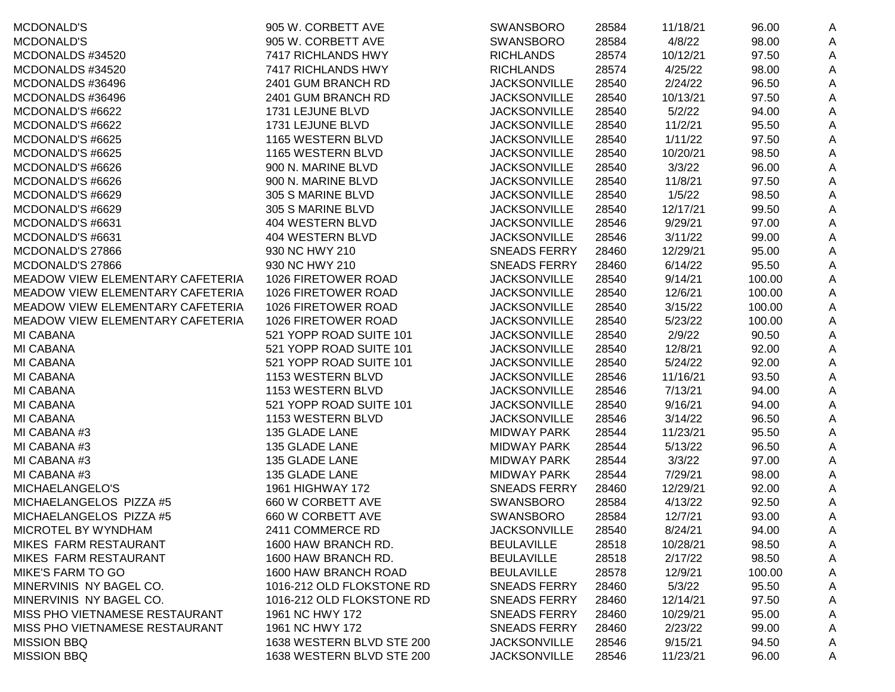| MCDONALD'S                       | 905 W. CORBETT AVE        | <b>SWANSBORO</b>    | 28584 | 11/18/21 | 96.00  | A |
|----------------------------------|---------------------------|---------------------|-------|----------|--------|---|
| MCDONALD'S                       | 905 W. CORBETT AVE        | <b>SWANSBORO</b>    | 28584 | 4/8/22   | 98.00  | A |
| MCDONALDS #34520                 | 7417 RICHLANDS HWY        | <b>RICHLANDS</b>    | 28574 | 10/12/21 | 97.50  | A |
| MCDONALDS #34520                 | 7417 RICHLANDS HWY        | <b>RICHLANDS</b>    | 28574 | 4/25/22  | 98.00  | Α |
| MCDONALDS #36496                 | 2401 GUM BRANCH RD        | <b>JACKSONVILLE</b> | 28540 | 2/24/22  | 96.50  | A |
| MCDONALDS #36496                 | 2401 GUM BRANCH RD        | <b>JACKSONVILLE</b> | 28540 | 10/13/21 | 97.50  | A |
| MCDONALD'S #6622                 | 1731 LEJUNE BLVD          | <b>JACKSONVILLE</b> | 28540 | 5/2/22   | 94.00  | A |
| MCDONALD'S #6622                 | 1731 LEJUNE BLVD          | <b>JACKSONVILLE</b> | 28540 | 11/2/21  | 95.50  | A |
| MCDONALD'S #6625                 | 1165 WESTERN BLVD         | <b>JACKSONVILLE</b> | 28540 | 1/11/22  | 97.50  | Α |
| MCDONALD'S #6625                 | 1165 WESTERN BLVD         | <b>JACKSONVILLE</b> | 28540 | 10/20/21 | 98.50  | A |
| MCDONALD'S #6626                 | 900 N. MARINE BLVD        | <b>JACKSONVILLE</b> | 28540 | 3/3/22   | 96.00  | A |
| MCDONALD'S #6626                 | 900 N. MARINE BLVD        | <b>JACKSONVILLE</b> | 28540 | 11/8/21  | 97.50  | A |
| MCDONALD'S #6629                 | 305 S MARINE BLVD         | <b>JACKSONVILLE</b> | 28540 | 1/5/22   | 98.50  | Α |
| MCDONALD'S #6629                 | 305 S MARINE BLVD         | <b>JACKSONVILLE</b> | 28540 | 12/17/21 | 99.50  | A |
| MCDONALD'S #6631                 | 404 WESTERN BLVD          | <b>JACKSONVILLE</b> | 28546 | 9/29/21  | 97.00  | A |
| MCDONALD'S #6631                 | 404 WESTERN BLVD          | <b>JACKSONVILLE</b> | 28546 | 3/11/22  | 99.00  | Α |
| MCDONALD'S 27866                 | 930 NC HWY 210            | <b>SNEADS FERRY</b> | 28460 | 12/29/21 | 95.00  | Α |
| MCDONALD'S 27866                 | 930 NC HWY 210            | <b>SNEADS FERRY</b> | 28460 | 6/14/22  | 95.50  | A |
| MEADOW VIEW ELEMENTARY CAFETERIA | 1026 FIRETOWER ROAD       | <b>JACKSONVILLE</b> | 28540 | 9/14/21  | 100.00 | A |
| MEADOW VIEW ELEMENTARY CAFETERIA | 1026 FIRETOWER ROAD       | <b>JACKSONVILLE</b> | 28540 | 12/6/21  | 100.00 | Α |
| MEADOW VIEW ELEMENTARY CAFETERIA | 1026 FIRETOWER ROAD       | <b>JACKSONVILLE</b> | 28540 | 3/15/22  | 100.00 | Α |
| MEADOW VIEW ELEMENTARY CAFETERIA | 1026 FIRETOWER ROAD       | <b>JACKSONVILLE</b> | 28540 | 5/23/22  | 100.00 | A |
| <b>MI CABANA</b>                 | 521 YOPP ROAD SUITE 101   | <b>JACKSONVILLE</b> | 28540 | 2/9/22   | 90.50  | A |
| MI CABANA                        | 521 YOPP ROAD SUITE 101   | <b>JACKSONVILLE</b> | 28540 | 12/8/21  | 92.00  | A |
| <b>MI CABANA</b>                 | 521 YOPP ROAD SUITE 101   | <b>JACKSONVILLE</b> | 28540 | 5/24/22  | 92.00  | A |
| <b>MI CABANA</b>                 | 1153 WESTERN BLVD         | <b>JACKSONVILLE</b> | 28546 | 11/16/21 | 93.50  | A |
| MI CABANA                        | 1153 WESTERN BLVD         | <b>JACKSONVILLE</b> | 28546 | 7/13/21  | 94.00  | A |
| MI CABANA                        | 521 YOPP ROAD SUITE 101   | <b>JACKSONVILLE</b> | 28540 | 9/16/21  | 94.00  | A |
| <b>MI CABANA</b>                 | 1153 WESTERN BLVD         | <b>JACKSONVILLE</b> | 28546 | 3/14/22  | 96.50  | A |
| MI CABANA #3                     | 135 GLADE LANE            | <b>MIDWAY PARK</b>  | 28544 | 11/23/21 | 95.50  | A |
| MI CABANA #3                     | 135 GLADE LANE            | <b>MIDWAY PARK</b>  | 28544 | 5/13/22  | 96.50  | A |
| MI CABANA #3                     | 135 GLADE LANE            | <b>MIDWAY PARK</b>  | 28544 | 3/3/22   | 97.00  | A |
| MI CABANA #3                     | 135 GLADE LANE            | <b>MIDWAY PARK</b>  | 28544 | 7/29/21  | 98.00  | A |
| MICHAELANGELO'S                  | 1961 HIGHWAY 172          | <b>SNEADS FERRY</b> | 28460 | 12/29/21 | 92.00  | A |
| MICHAELANGELOS PIZZA #5          | 660 W CORBETT AVE         | <b>SWANSBORO</b>    | 28584 | 4/13/22  | 92.50  | A |
| MICHAELANGELOS PIZZA #5          | 660 W CORBETT AVE         | <b>SWANSBORO</b>    | 28584 | 12/7/21  | 93.00  | A |
| MICROTEL BY WYNDHAM              | 2411 COMMERCE RD          | <b>JACKSONVILLE</b> | 28540 | 8/24/21  | 94.00  | A |
| MIKES FARM RESTAURANT            | 1600 HAW BRANCH RD.       | <b>BEULAVILLE</b>   | 28518 | 10/28/21 | 98.50  | A |
| MIKES FARM RESTAURANT            | 1600 HAW BRANCH RD.       | <b>BEULAVILLE</b>   | 28518 | 2/17/22  | 98.50  | A |
| MIKE'S FARM TO GO                | 1600 HAW BRANCH ROAD      | <b>BEULAVILLE</b>   | 28578 | 12/9/21  | 100.00 | A |
| MINERVINIS NY BAGEL CO.          | 1016-212 OLD FLOKSTONE RD | <b>SNEADS FERRY</b> | 28460 | 5/3/22   | 95.50  | Α |
| MINERVINIS NY BAGEL CO.          | 1016-212 OLD FLOKSTONE RD | <b>SNEADS FERRY</b> | 28460 | 12/14/21 | 97.50  | Α |
| MISS PHO VIETNAMESE RESTAURANT   | 1961 NC HWY 172           | <b>SNEADS FERRY</b> | 28460 | 10/29/21 | 95.00  | A |
| MISS PHO VIETNAMESE RESTAURANT   | 1961 NC HWY 172           | <b>SNEADS FERRY</b> | 28460 | 2/23/22  | 99.00  | Α |
| <b>MISSION BBQ</b>               | 1638 WESTERN BLVD STE 200 | <b>JACKSONVILLE</b> | 28546 | 9/15/21  | 94.50  | Α |
| <b>MISSION BBQ</b>               | 1638 WESTERN BLVD STE 200 | <b>JACKSONVILLE</b> | 28546 | 11/23/21 | 96.00  | A |
|                                  |                           |                     |       |          |        |   |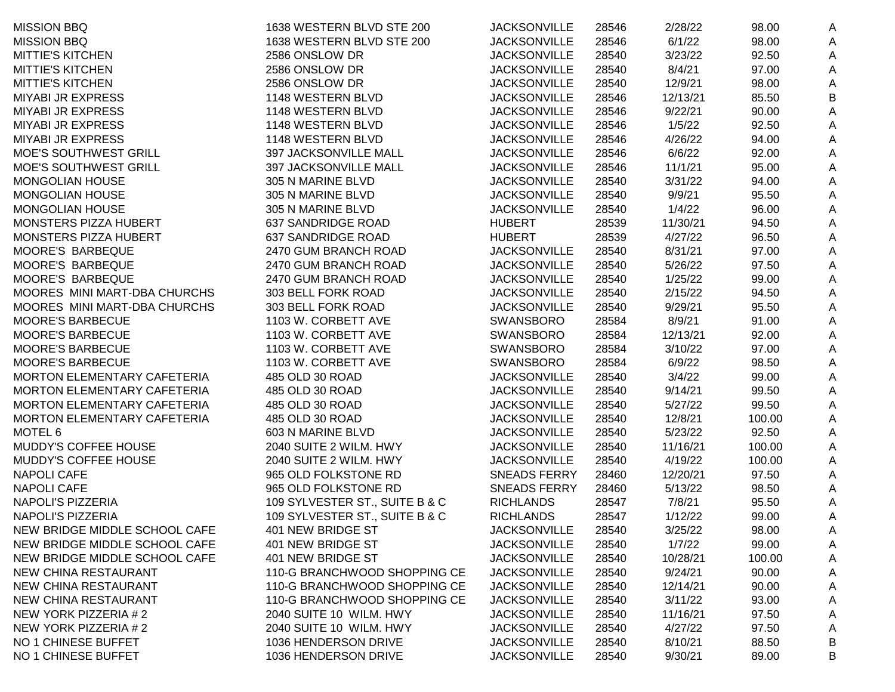| <b>MISSION BBQ</b>                 | 1638 WESTERN BLVD STE 200      | <b>JACKSONVILLE</b> | 28546 | 2/28/22  | 98.00  | A |
|------------------------------------|--------------------------------|---------------------|-------|----------|--------|---|
| <b>MISSION BBQ</b>                 | 1638 WESTERN BLVD STE 200      | <b>JACKSONVILLE</b> | 28546 | 6/1/22   | 98.00  | A |
| <b>MITTIE'S KITCHEN</b>            | 2586 ONSLOW DR                 | <b>JACKSONVILLE</b> | 28540 | 3/23/22  | 92.50  | A |
| <b>MITTIE'S KITCHEN</b>            | 2586 ONSLOW DR                 | <b>JACKSONVILLE</b> | 28540 | 8/4/21   | 97.00  | Α |
| <b>MITTIE'S KITCHEN</b>            | 2586 ONSLOW DR                 | <b>JACKSONVILLE</b> | 28540 | 12/9/21  | 98.00  | A |
| <b>MIYABI JR EXPRESS</b>           | 1148 WESTERN BLVD              | <b>JACKSONVILLE</b> | 28546 | 12/13/21 | 85.50  | B |
| <b>MIYABI JR EXPRESS</b>           | 1148 WESTERN BLVD              | <b>JACKSONVILLE</b> | 28546 | 9/22/21  | 90.00  | A |
| <b>MIYABI JR EXPRESS</b>           | 1148 WESTERN BLVD              | <b>JACKSONVILLE</b> | 28546 | 1/5/22   | 92.50  | A |
| <b>MIYABI JR EXPRESS</b>           | 1148 WESTERN BLVD              | <b>JACKSONVILLE</b> | 28546 | 4/26/22  | 94.00  | A |
| <b>MOE'S SOUTHWEST GRILL</b>       | 397 JACKSONVILLE MALL          | <b>JACKSONVILLE</b> | 28546 | 6/6/22   | 92.00  | A |
| <b>MOE'S SOUTHWEST GRILL</b>       | 397 JACKSONVILLE MALL          | <b>JACKSONVILLE</b> | 28546 | 11/1/21  | 95.00  | A |
| <b>MONGOLIAN HOUSE</b>             | 305 N MARINE BLVD              | <b>JACKSONVILLE</b> | 28540 | 3/31/22  | 94.00  | Α |
| MONGOLIAN HOUSE                    | 305 N MARINE BLVD              | <b>JACKSONVILLE</b> | 28540 | 9/9/21   | 95.50  | A |
| MONGOLIAN HOUSE                    | 305 N MARINE BLVD              | <b>JACKSONVILLE</b> | 28540 | 1/4/22   | 96.00  | A |
| MONSTERS PIZZA HUBERT              | 637 SANDRIDGE ROAD             | <b>HUBERT</b>       | 28539 | 11/30/21 | 94.50  | A |
| MONSTERS PIZZA HUBERT              | 637 SANDRIDGE ROAD             | <b>HUBERT</b>       | 28539 | 4/27/22  | 96.50  | A |
| MOORE'S BARBEQUE                   | 2470 GUM BRANCH ROAD           | <b>JACKSONVILLE</b> | 28540 | 8/31/21  | 97.00  | A |
| MOORE'S BARBEQUE                   | 2470 GUM BRANCH ROAD           | <b>JACKSONVILLE</b> | 28540 | 5/26/22  | 97.50  | A |
| MOORE'S BARBEQUE                   | 2470 GUM BRANCH ROAD           | <b>JACKSONVILLE</b> | 28540 | 1/25/22  | 99.00  | A |
| MOORES MINI MART-DBA CHURCHS       | 303 BELL FORK ROAD             | <b>JACKSONVILLE</b> | 28540 | 2/15/22  | 94.50  | A |
| MOORES MINI MART-DBA CHURCHS       | 303 BELL FORK ROAD             | <b>JACKSONVILLE</b> | 28540 | 9/29/21  | 95.50  | A |
| <b>MOORE'S BARBECUE</b>            | 1103 W. CORBETT AVE            | <b>SWANSBORO</b>    | 28584 | 8/9/21   | 91.00  | A |
| <b>MOORE'S BARBECUE</b>            | 1103 W. CORBETT AVE            | <b>SWANSBORO</b>    | 28584 | 12/13/21 | 92.00  | A |
| <b>MOORE'S BARBECUE</b>            | 1103 W. CORBETT AVE            | <b>SWANSBORO</b>    | 28584 | 3/10/22  | 97.00  | A |
| <b>MOORE'S BARBECUE</b>            | 1103 W. CORBETT AVE            | <b>SWANSBORO</b>    | 28584 | 6/9/22   | 98.50  | A |
| MORTON ELEMENTARY CAFETERIA        | 485 OLD 30 ROAD                | <b>JACKSONVILLE</b> | 28540 | 3/4/22   | 99.00  | A |
| MORTON ELEMENTARY CAFETERIA        | 485 OLD 30 ROAD                | <b>JACKSONVILLE</b> | 28540 | 9/14/21  | 99.50  | A |
| MORTON ELEMENTARY CAFETERIA        | 485 OLD 30 ROAD                | <b>JACKSONVILLE</b> | 28540 | 5/27/22  | 99.50  | A |
| <b>MORTON ELEMENTARY CAFETERIA</b> | 485 OLD 30 ROAD                | <b>JACKSONVILLE</b> | 28540 | 12/8/21  | 100.00 | A |
| MOTEL <sub>6</sub>                 | 603 N MARINE BLVD              | <b>JACKSONVILLE</b> | 28540 | 5/23/22  | 92.50  | A |
| MUDDY'S COFFEE HOUSE               | 2040 SUITE 2 WILM. HWY         | <b>JACKSONVILLE</b> | 28540 | 11/16/21 | 100.00 | A |
| MUDDY'S COFFEE HOUSE               | 2040 SUITE 2 WILM. HWY         | <b>JACKSONVILLE</b> | 28540 | 4/19/22  | 100.00 | Α |
| <b>NAPOLI CAFE</b>                 | 965 OLD FOLKSTONE RD           | <b>SNEADS FERRY</b> | 28460 | 12/20/21 | 97.50  | A |
| <b>NAPOLI CAFE</b>                 | 965 OLD FOLKSTONE RD           | <b>SNEADS FERRY</b> | 28460 | 5/13/22  | 98.50  | A |
| <b>NAPOLI'S PIZZERIA</b>           | 109 SYLVESTER ST., SUITE B & C | <b>RICHLANDS</b>    | 28547 | 7/8/21   | 95.50  | A |
| <b>NAPOLI'S PIZZERIA</b>           | 109 SYLVESTER ST., SUITE B & C | <b>RICHLANDS</b>    | 28547 | 1/12/22  | 99.00  | Α |
| NEW BRIDGE MIDDLE SCHOOL CAFE      | 401 NEW BRIDGE ST              | <b>JACKSONVILLE</b> | 28540 | 3/25/22  | 98.00  | A |
| NEW BRIDGE MIDDLE SCHOOL CAFE      | 401 NEW BRIDGE ST              | <b>JACKSONVILLE</b> | 28540 | 1/7/22   | 99.00  | A |
| NEW BRIDGE MIDDLE SCHOOL CAFE      | 401 NEW BRIDGE ST              | <b>JACKSONVILLE</b> | 28540 | 10/28/21 | 100.00 | A |
| <b>NEW CHINA RESTAURANT</b>        | 110-G BRANCHWOOD SHOPPING CE   | <b>JACKSONVILLE</b> | 28540 | 9/24/21  | 90.00  | A |
| <b>NEW CHINA RESTAURANT</b>        | 110-G BRANCHWOOD SHOPPING CE   | <b>JACKSONVILLE</b> | 28540 | 12/14/21 | 90.00  | Α |
| <b>NEW CHINA RESTAURANT</b>        | 110-G BRANCHWOOD SHOPPING CE   | <b>JACKSONVILLE</b> | 28540 | 3/11/22  | 93.00  | A |
| NEW YORK PIZZERIA #2               | 2040 SUITE 10 WILM. HWY        | <b>JACKSONVILLE</b> | 28540 | 11/16/21 | 97.50  | A |
| NEW YORK PIZZERIA #2               | 2040 SUITE 10 WILM. HWY        | <b>JACKSONVILLE</b> | 28540 | 4/27/22  | 97.50  | A |
| NO 1 CHINESE BUFFET                | 1036 HENDERSON DRIVE           | <b>JACKSONVILLE</b> | 28540 | 8/10/21  | 88.50  | B |
| NO 1 CHINESE BUFFET                | 1036 HENDERSON DRIVE           | <b>JACKSONVILLE</b> | 28540 | 9/30/21  | 89.00  | Β |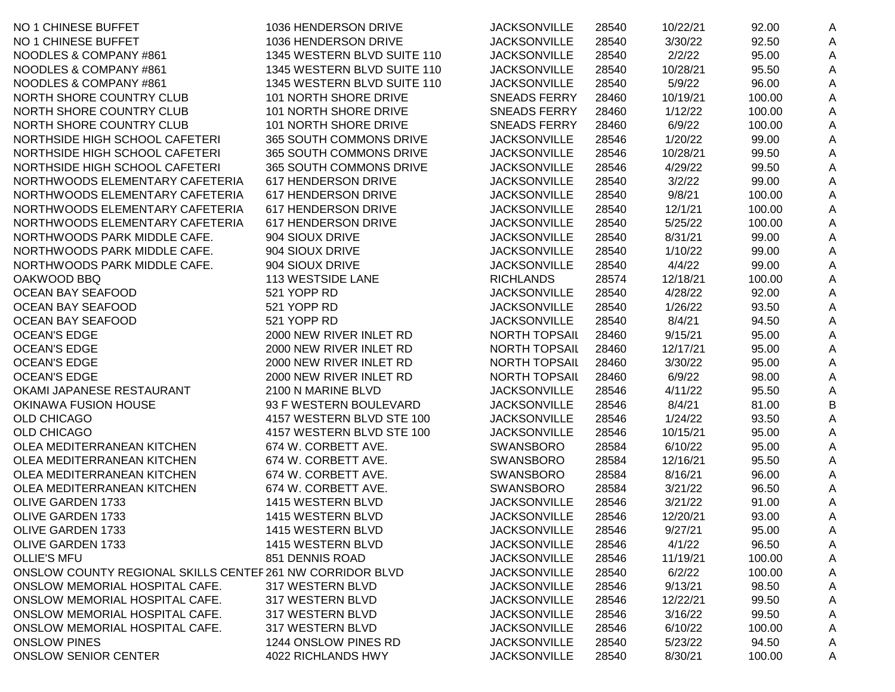| NO 1 CHINESE BUFFET                                       | 1036 HENDERSON DRIVE        | <b>JACKSONVILLE</b>  | 28540 | 10/22/21 | 92.00  | A |
|-----------------------------------------------------------|-----------------------------|----------------------|-------|----------|--------|---|
| NO 1 CHINESE BUFFET                                       | 1036 HENDERSON DRIVE        | <b>JACKSONVILLE</b>  | 28540 | 3/30/22  | 92.50  | A |
| NOODLES & COMPANY #861                                    | 1345 WESTERN BLVD SUITE 110 | <b>JACKSONVILLE</b>  | 28540 | 2/2/22   | 95.00  | A |
| NOODLES & COMPANY #861                                    | 1345 WESTERN BLVD SUITE 110 | <b>JACKSONVILLE</b>  | 28540 | 10/28/21 | 95.50  | A |
| NOODLES & COMPANY #861                                    | 1345 WESTERN BLVD SUITE 110 | <b>JACKSONVILLE</b>  | 28540 | 5/9/22   | 96.00  | A |
| NORTH SHORE COUNTRY CLUB                                  | 101 NORTH SHORE DRIVE       | <b>SNEADS FERRY</b>  | 28460 | 10/19/21 | 100.00 | A |
| NORTH SHORE COUNTRY CLUB                                  | 101 NORTH SHORE DRIVE       | <b>SNEADS FERRY</b>  | 28460 | 1/12/22  | 100.00 | A |
| NORTH SHORE COUNTRY CLUB                                  | 101 NORTH SHORE DRIVE       | <b>SNEADS FERRY</b>  | 28460 | 6/9/22   | 100.00 | Α |
| NORTHSIDE HIGH SCHOOL CAFETERI                            | 365 SOUTH COMMONS DRIVE     | <b>JACKSONVILLE</b>  | 28546 | 1/20/22  | 99.00  | Α |
| NORTHSIDE HIGH SCHOOL CAFETERI                            | 365 SOUTH COMMONS DRIVE     | <b>JACKSONVILLE</b>  | 28546 | 10/28/21 | 99.50  | Α |
| NORTHSIDE HIGH SCHOOL CAFETERI                            | 365 SOUTH COMMONS DRIVE     | <b>JACKSONVILLE</b>  | 28546 | 4/29/22  | 99.50  | Α |
| NORTHWOODS ELEMENTARY CAFETERIA                           | 617 HENDERSON DRIVE         | <b>JACKSONVILLE</b>  | 28540 | 3/2/22   | 99.00  | Α |
| NORTHWOODS ELEMENTARY CAFETERIA                           | 617 HENDERSON DRIVE         | <b>JACKSONVILLE</b>  | 28540 | 9/8/21   | 100.00 | Α |
| NORTHWOODS ELEMENTARY CAFETERIA                           | 617 HENDERSON DRIVE         | <b>JACKSONVILLE</b>  | 28540 | 12/1/21  | 100.00 | A |
| NORTHWOODS ELEMENTARY CAFETERIA                           | 617 HENDERSON DRIVE         | <b>JACKSONVILLE</b>  | 28540 | 5/25/22  | 100.00 | Α |
| NORTHWOODS PARK MIDDLE CAFE.                              | 904 SIOUX DRIVE             | <b>JACKSONVILLE</b>  | 28540 | 8/31/21  | 99.00  | Α |
| NORTHWOODS PARK MIDDLE CAFE.                              | 904 SIOUX DRIVE             | <b>JACKSONVILLE</b>  | 28540 | 1/10/22  | 99.00  | Α |
| NORTHWOODS PARK MIDDLE CAFE.                              | 904 SIOUX DRIVE             | <b>JACKSONVILLE</b>  | 28540 | 4/4/22   | 99.00  | A |
| OAKWOOD BBQ                                               | 113 WESTSIDE LANE           | <b>RICHLANDS</b>     | 28574 | 12/18/21 | 100.00 | A |
| OCEAN BAY SEAFOOD                                         | 521 YOPP RD                 | <b>JACKSONVILLE</b>  | 28540 | 4/28/22  | 92.00  | A |
| <b>OCEAN BAY SEAFOOD</b>                                  | 521 YOPP RD                 | <b>JACKSONVILLE</b>  | 28540 | 1/26/22  | 93.50  | A |
| OCEAN BAY SEAFOOD                                         | 521 YOPP RD                 | <b>JACKSONVILLE</b>  | 28540 | 8/4/21   | 94.50  | A |
| <b>OCEAN'S EDGE</b>                                       | 2000 NEW RIVER INLET RD     | <b>NORTH TOPSAIL</b> | 28460 | 9/15/21  | 95.00  | A |
| <b>OCEAN'S EDGE</b>                                       | 2000 NEW RIVER INLET RD     | <b>NORTH TOPSAIL</b> | 28460 | 12/17/21 | 95.00  | A |
| <b>OCEAN'S EDGE</b>                                       | 2000 NEW RIVER INLET RD     | NORTH TOPSAIL        | 28460 | 3/30/22  | 95.00  | A |
| <b>OCEAN'S EDGE</b>                                       | 2000 NEW RIVER INLET RD     | <b>NORTH TOPSAIL</b> | 28460 | 6/9/22   | 98.00  | Α |
| OKAMI JAPANESE RESTAURANT                                 | 2100 N MARINE BLVD          | <b>JACKSONVILLE</b>  | 28546 | 4/11/22  | 95.50  | A |
| OKINAWA FUSION HOUSE                                      | 93 F WESTERN BOULEVARD      | <b>JACKSONVILLE</b>  | 28546 | 8/4/21   | 81.00  | Β |
| <b>OLD CHICAGO</b>                                        | 4157 WESTERN BLVD STE 100   | <b>JACKSONVILLE</b>  | 28546 | 1/24/22  | 93.50  | Α |
| <b>OLD CHICAGO</b>                                        | 4157 WESTERN BLVD STE 100   | <b>JACKSONVILLE</b>  | 28546 | 10/15/21 | 95.00  | A |
| OLEA MEDITERRANEAN KITCHEN                                | 674 W. CORBETT AVE.         | <b>SWANSBORO</b>     | 28584 | 6/10/22  | 95.00  | Α |
| OLEA MEDITERRANEAN KITCHEN                                | 674 W. CORBETT AVE.         | <b>SWANSBORO</b>     | 28584 | 12/16/21 | 95.50  | A |
| OLEA MEDITERRANEAN KITCHEN                                | 674 W. CORBETT AVE.         | <b>SWANSBORO</b>     | 28584 | 8/16/21  | 96.00  | A |
| OLEA MEDITERRANEAN KITCHEN                                | 674 W. CORBETT AVE.         | <b>SWANSBORO</b>     | 28584 | 3/21/22  | 96.50  | A |
| OLIVE GARDEN 1733                                         | 1415 WESTERN BLVD           | <b>JACKSONVILLE</b>  | 28546 | 3/21/22  | 91.00  | A |
| OLIVE GARDEN 1733                                         | 1415 WESTERN BLVD           | <b>JACKSONVILLE</b>  | 28546 | 12/20/21 | 93.00  | A |
| OLIVE GARDEN 1733                                         | 1415 WESTERN BLVD           | <b>JACKSONVILLE</b>  | 28546 | 9/27/21  | 95.00  | A |
| OLIVE GARDEN 1733                                         | 1415 WESTERN BLVD           | <b>JACKSONVILLE</b>  | 28546 | 4/1/22   | 96.50  | A |
| <b>OLLIE'S MFU</b>                                        | 851 DENNIS ROAD             | <b>JACKSONVILLE</b>  | 28546 | 11/19/21 | 100.00 | A |
| ONSLOW COUNTY REGIONAL SKILLS CENTEF 261 NW CORRIDOR BLVD |                             | <b>JACKSONVILLE</b>  | 28540 | 6/2/22   | 100.00 | A |
| ONSLOW MEMORIAL HOSPITAL CAFE.                            | 317 WESTERN BLVD            | <b>JACKSONVILLE</b>  | 28546 | 9/13/21  | 98.50  | Α |
| ONSLOW MEMORIAL HOSPITAL CAFE.                            | 317 WESTERN BLVD            | <b>JACKSONVILLE</b>  | 28546 | 12/22/21 | 99.50  | A |
| ONSLOW MEMORIAL HOSPITAL CAFE.                            | 317 WESTERN BLVD            | <b>JACKSONVILLE</b>  | 28546 | 3/16/22  | 99.50  | A |
| ONSLOW MEMORIAL HOSPITAL CAFE.                            | 317 WESTERN BLVD            | <b>JACKSONVILLE</b>  | 28546 | 6/10/22  | 100.00 | A |
| <b>ONSLOW PINES</b>                                       | 1244 ONSLOW PINES RD        | <b>JACKSONVILLE</b>  | 28540 | 5/23/22  | 94.50  | A |
| ONSLOW SENIOR CENTER                                      | 4022 RICHLANDS HWY          | <b>JACKSONVILLE</b>  | 28540 | 8/30/21  | 100.00 | A |
|                                                           |                             |                      |       |          |        |   |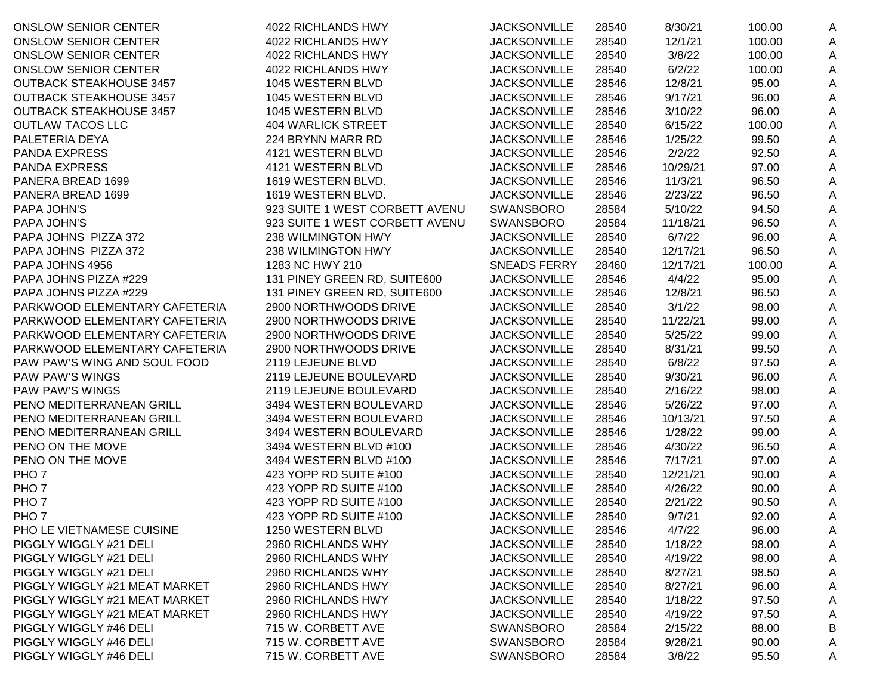| <b>ONSLOW SENIOR CENTER</b>    | 4022 RICHLANDS HWY             | <b>JACKSONVILLE</b> | 28540 | 8/30/21  | 100.00 | A      |
|--------------------------------|--------------------------------|---------------------|-------|----------|--------|--------|
| <b>ONSLOW SENIOR CENTER</b>    | 4022 RICHLANDS HWY             | <b>JACKSONVILLE</b> | 28540 | 12/1/21  | 100.00 | A      |
| <b>ONSLOW SENIOR CENTER</b>    | 4022 RICHLANDS HWY             | <b>JACKSONVILLE</b> | 28540 | 3/8/22   | 100.00 | Α      |
| <b>ONSLOW SENIOR CENTER</b>    | 4022 RICHLANDS HWY             | <b>JACKSONVILLE</b> | 28540 | 6/2/22   | 100.00 | Α      |
| <b>OUTBACK STEAKHOUSE 3457</b> | 1045 WESTERN BLVD              | <b>JACKSONVILLE</b> | 28546 | 12/8/21  | 95.00  | A      |
| <b>OUTBACK STEAKHOUSE 3457</b> | 1045 WESTERN BLVD              | <b>JACKSONVILLE</b> | 28546 | 9/17/21  | 96.00  | A      |
| <b>OUTBACK STEAKHOUSE 3457</b> | 1045 WESTERN BLVD              | <b>JACKSONVILLE</b> | 28546 | 3/10/22  | 96.00  | A      |
| <b>OUTLAW TACOS LLC</b>        | <b>404 WARLICK STREET</b>      | <b>JACKSONVILLE</b> | 28540 | 6/15/22  | 100.00 | A      |
| PALETERIA DEYA                 | 224 BRYNN MARR RD              | <b>JACKSONVILLE</b> | 28546 | 1/25/22  | 99.50  | A      |
| <b>PANDA EXPRESS</b>           | 4121 WESTERN BLVD              | <b>JACKSONVILLE</b> | 28546 | 2/2/22   | 92.50  | Α      |
| <b>PANDA EXPRESS</b>           | 4121 WESTERN BLVD              | <b>JACKSONVILLE</b> | 28546 | 10/29/21 | 97.00  | Α      |
| PANERA BREAD 1699              | 1619 WESTERN BLVD.             | <b>JACKSONVILLE</b> | 28546 | 11/3/21  | 96.50  | Α      |
| PANERA BREAD 1699              | 1619 WESTERN BLVD.             | <b>JACKSONVILLE</b> | 28546 | 2/23/22  | 96.50  | Α      |
| PAPA JOHN'S                    | 923 SUITE 1 WEST CORBETT AVENU | SWANSBORO           | 28584 | 5/10/22  | 94.50  | Α      |
| PAPA JOHN'S                    | 923 SUITE 1 WEST CORBETT AVENU | <b>SWANSBORO</b>    | 28584 | 11/18/21 | 96.50  | Α      |
| PAPA JOHNS PIZZA 372           | 238 WILMINGTON HWY             | <b>JACKSONVILLE</b> | 28540 | 6/7/22   | 96.00  | Α      |
| PAPA JOHNS PIZZA 372           | 238 WILMINGTON HWY             | <b>JACKSONVILLE</b> | 28540 | 12/17/21 | 96.50  | A      |
| PAPA JOHNS 4956                | 1283 NC HWY 210                | <b>SNEADS FERRY</b> | 28460 | 12/17/21 | 100.00 | Α      |
| PAPA JOHNS PIZZA #229          | 131 PINEY GREEN RD, SUITE600   | <b>JACKSONVILLE</b> | 28546 | 4/4/22   | 95.00  | Α      |
| PAPA JOHNS PIZZA #229          | 131 PINEY GREEN RD, SUITE600   | <b>JACKSONVILLE</b> | 28546 | 12/8/21  | 96.50  | Α      |
| PARKWOOD ELEMENTARY CAFETERIA  | 2900 NORTHWOODS DRIVE          | <b>JACKSONVILLE</b> | 28540 | 3/1/22   | 98.00  | A      |
| PARKWOOD ELEMENTARY CAFETERIA  | 2900 NORTHWOODS DRIVE          | <b>JACKSONVILLE</b> | 28540 | 11/22/21 | 99.00  | Α      |
| PARKWOOD ELEMENTARY CAFETERIA  | 2900 NORTHWOODS DRIVE          | <b>JACKSONVILLE</b> | 28540 | 5/25/22  | 99.00  | A      |
| PARKWOOD ELEMENTARY CAFETERIA  | 2900 NORTHWOODS DRIVE          | <b>JACKSONVILLE</b> | 28540 | 8/31/21  | 99.50  | A      |
| PAW PAW'S WING AND SOUL FOOD   | 2119 LEJEUNE BLVD              | <b>JACKSONVILLE</b> | 28540 | 6/8/22   | 97.50  | A      |
| PAW PAW'S WINGS                | 2119 LEJEUNE BOULEVARD         | <b>JACKSONVILLE</b> | 28540 | 9/30/21  | 96.00  | A      |
| PAW PAW'S WINGS                | 2119 LEJEUNE BOULEVARD         | <b>JACKSONVILLE</b> | 28540 | 2/16/22  | 98.00  | A      |
| PENO MEDITERRANEAN GRILL       | 3494 WESTERN BOULEVARD         | <b>JACKSONVILLE</b> | 28546 | 5/26/22  | 97.00  | A      |
| PENO MEDITERRANEAN GRILL       | 3494 WESTERN BOULEVARD         | <b>JACKSONVILLE</b> | 28546 | 10/13/21 | 97.50  | Α      |
| PENO MEDITERRANEAN GRILL       | 3494 WESTERN BOULEVARD         | <b>JACKSONVILLE</b> | 28546 | 1/28/22  | 99.00  | A      |
| PENO ON THE MOVE               | 3494 WESTERN BLVD #100         | <b>JACKSONVILLE</b> | 28546 | 4/30/22  | 96.50  | A      |
| PENO ON THE MOVE               | 3494 WESTERN BLVD #100         | <b>JACKSONVILLE</b> | 28546 | 7/17/21  | 97.00  | A      |
| PHO <sub>7</sub>               | 423 YOPP RD SUITE #100         | <b>JACKSONVILLE</b> | 28540 | 12/21/21 | 90.00  | A      |
| PHO <sub>7</sub>               | 423 YOPP RD SUITE #100         | <b>JACKSONVILLE</b> | 28540 | 4/26/22  | 90.00  | A      |
| PHO <sub>7</sub>               | 423 YOPP RD SUITE #100         | <b>JACKSONVILLE</b> | 28540 | 2/21/22  | 90.50  | A      |
| PHO <sub>7</sub>               | 423 YOPP RD SUITE #100         | <b>JACKSONVILLE</b> | 28540 | 9/7/21   | 92.00  | Α      |
| PHO LE VIETNAMESE CUISINE      | 1250 WESTERN BLVD              | <b>JACKSONVILLE</b> | 28546 | 4/7/22   | 96.00  | A      |
| PIGGLY WIGGLY #21 DELI         | 2960 RICHLANDS WHY             | <b>JACKSONVILLE</b> | 28540 | 1/18/22  | 98.00  | A      |
| PIGGLY WIGGLY #21 DELI         | 2960 RICHLANDS WHY             | <b>JACKSONVILLE</b> | 28540 | 4/19/22  | 98.00  | A      |
| PIGGLY WIGGLY #21 DELI         | 2960 RICHLANDS WHY             | <b>JACKSONVILLE</b> | 28540 | 8/27/21  | 98.50  | A      |
| PIGGLY WIGGLY #21 MEAT MARKET  | 2960 RICHLANDS HWY             | <b>JACKSONVILLE</b> | 28540 | 8/27/21  | 96.00  | A      |
| PIGGLY WIGGLY #21 MEAT MARKET  | 2960 RICHLANDS HWY             | <b>JACKSONVILLE</b> | 28540 | 1/18/22  | 97.50  | A      |
| PIGGLY WIGGLY #21 MEAT MARKET  | 2960 RICHLANDS HWY             | <b>JACKSONVILLE</b> | 28540 | 4/19/22  | 97.50  |        |
| PIGGLY WIGGLY #46 DELI         | 715 W. CORBETT AVE             | <b>SWANSBORO</b>    | 28584 | 2/15/22  | 88.00  | A<br>B |
| PIGGLY WIGGLY #46 DELI         | 715 W. CORBETT AVE             | <b>SWANSBORO</b>    | 28584 | 9/28/21  | 90.00  |        |
|                                |                                |                     |       |          |        | A      |
| PIGGLY WIGGLY #46 DELI         | 715 W. CORBETT AVE             | SWANSBORO           | 28584 | 3/8/22   | 95.50  | A      |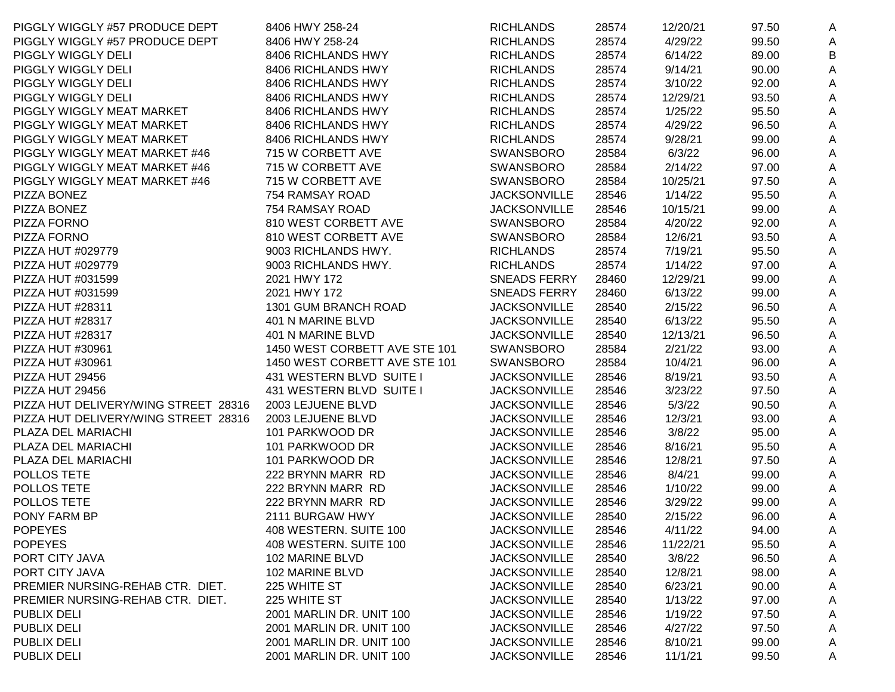| PIGGLY WIGGLY #57 PRODUCE DEPT       | 8406 HWY 258-24                        | <b>RICHLANDS</b>    | 28574 | 12/20/21 | 97.50 | A            |
|--------------------------------------|----------------------------------------|---------------------|-------|----------|-------|--------------|
| PIGGLY WIGGLY #57 PRODUCE DEPT       | 8406 HWY 258-24                        | <b>RICHLANDS</b>    | 28574 | 4/29/22  | 99.50 | A            |
| PIGGLY WIGGLY DELI                   | 8406 RICHLANDS HWY                     | <b>RICHLANDS</b>    | 28574 | 6/14/22  | 89.00 | B            |
| PIGGLY WIGGLY DELI                   | 8406 RICHLANDS HWY                     | <b>RICHLANDS</b>    | 28574 | 9/14/21  | 90.00 | A            |
| PIGGLY WIGGLY DELI                   | 8406 RICHLANDS HWY                     | <b>RICHLANDS</b>    | 28574 | 3/10/22  | 92.00 | A            |
| <b>PIGGLY WIGGLY DELI</b>            | 8406 RICHLANDS HWY                     | <b>RICHLANDS</b>    | 28574 | 12/29/21 | 93.50 | A            |
| PIGGLY WIGGLY MEAT MARKET            | 8406 RICHLANDS HWY                     | <b>RICHLANDS</b>    | 28574 | 1/25/22  | 95.50 | A            |
| PIGGLY WIGGLY MEAT MARKET            | 8406 RICHLANDS HWY                     | <b>RICHLANDS</b>    | 28574 | 4/29/22  | 96.50 | A            |
| PIGGLY WIGGLY MEAT MARKET            | 8406 RICHLANDS HWY                     | <b>RICHLANDS</b>    | 28574 | 9/28/21  | 99.00 | A            |
| PIGGLY WIGGLY MEAT MARKET #46        | 715 W CORBETT AVE                      | <b>SWANSBORO</b>    | 28584 | 6/3/22   | 96.00 | A            |
| PIGGLY WIGGLY MEAT MARKET #46        | 715 W CORBETT AVE                      | <b>SWANSBORO</b>    | 28584 | 2/14/22  | 97.00 | A            |
| PIGGLY WIGGLY MEAT MARKET #46        | 715 W CORBETT AVE                      | <b>SWANSBORO</b>    | 28584 | 10/25/21 | 97.50 | A            |
| PIZZA BONEZ                          | 754 RAMSAY ROAD                        | <b>JACKSONVILLE</b> | 28546 | 1/14/22  | 95.50 | A            |
| PIZZA BONEZ                          | 754 RAMSAY ROAD                        | <b>JACKSONVILLE</b> | 28546 | 10/15/21 | 99.00 | A            |
| PIZZA FORNO                          | 810 WEST CORBETT AVE                   | <b>SWANSBORO</b>    | 28584 | 4/20/22  | 92.00 | A            |
| PIZZA FORNO                          | 810 WEST CORBETT AVE                   | <b>SWANSBORO</b>    | 28584 | 12/6/21  | 93.50 | A            |
| PIZZA HUT #029779                    | 9003 RICHLANDS HWY.                    | <b>RICHLANDS</b>    | 28574 | 7/19/21  | 95.50 | A            |
| PIZZA HUT #029779                    | 9003 RICHLANDS HWY.                    | <b>RICHLANDS</b>    | 28574 | 1/14/22  | 97.00 | A            |
| PIZZA HUT #031599                    | 2021 HWY 172                           | <b>SNEADS FERRY</b> | 28460 | 12/29/21 | 99.00 | A            |
| PIZZA HUT #031599                    | 2021 HWY 172                           | <b>SNEADS FERRY</b> | 28460 | 6/13/22  | 99.00 | A            |
| PIZZA HUT #28311                     | 1301 GUM BRANCH ROAD                   | <b>JACKSONVILLE</b> | 28540 | 2/15/22  | 96.50 | A            |
| <b>PIZZA HUT #28317</b>              | 401 N MARINE BLVD                      | <b>JACKSONVILLE</b> | 28540 | 6/13/22  | 95.50 | A            |
| <b>PIZZA HUT #28317</b>              | 401 N MARINE BLVD                      | <b>JACKSONVILLE</b> | 28540 | 12/13/21 | 96.50 | A            |
| PIZZA HUT #30961                     | 1450 WEST CORBETT AVE STE 101          | <b>SWANSBORO</b>    | 28584 | 2/21/22  | 93.00 | A            |
| PIZZA HUT #30961                     | 1450 WEST CORBETT AVE STE 101          | <b>SWANSBORO</b>    | 28584 | 10/4/21  | 96.00 | A            |
| PIZZA HUT 29456                      | 431 WESTERN BLVD SUITE I               | <b>JACKSONVILLE</b> | 28546 | 8/19/21  | 93.50 | A            |
| PIZZA HUT 29456                      | 431 WESTERN BLVD SUITE I               | <b>JACKSONVILLE</b> | 28546 | 3/23/22  | 97.50 | A            |
| PIZZA HUT DELIVERY/WING STREET 28316 | 2003 LEJUENE BLVD                      | <b>JACKSONVILLE</b> | 28546 | 5/3/22   | 90.50 | A            |
| PIZZA HUT DELIVERY/WING STREET 28316 | 2003 LEJUENE BLVD                      | <b>JACKSONVILLE</b> | 28546 | 12/3/21  | 93.00 | A            |
| PLAZA DEL MARIACHI                   | 101 PARKWOOD DR                        | <b>JACKSONVILLE</b> | 28546 | 3/8/22   | 95.00 |              |
| PLAZA DEL MARIACHI                   | 101 PARKWOOD DR                        | <b>JACKSONVILLE</b> | 28546 | 8/16/21  | 95.50 | A            |
|                                      |                                        | <b>JACKSONVILLE</b> |       |          |       | A            |
| PLAZA DEL MARIACHI                   | 101 PARKWOOD DR                        |                     | 28546 | 12/8/21  | 97.50 | A            |
| POLLOS TETE                          | 222 BRYNN MARR RD<br>222 BRYNN MARR RD | <b>JACKSONVILLE</b> | 28546 | 8/4/21   | 99.00 | A            |
| POLLOS TETE                          |                                        | <b>JACKSONVILLE</b> | 28546 | 1/10/22  | 99.00 | A            |
| POLLOS TETE                          | 222 BRYNN MARR RD                      | <b>JACKSONVILLE</b> | 28546 | 3/29/22  | 99.00 | A            |
| PONY FARM BP                         | 2111 BURGAW HWY                        | <b>JACKSONVILLE</b> | 28540 | 2/15/22  | 96.00 | A            |
| <b>POPEYES</b>                       | 408 WESTERN. SUITE 100                 | <b>JACKSONVILLE</b> | 28546 | 4/11/22  | 94.00 | A            |
| <b>POPEYES</b>                       | 408 WESTERN. SUITE 100                 | <b>JACKSONVILLE</b> | 28546 | 11/22/21 | 95.50 | A            |
| PORT CITY JAVA                       | 102 MARINE BLVD                        | <b>JACKSONVILLE</b> | 28540 | 3/8/22   | 96.50 | A            |
| PORT CITY JAVA                       | 102 MARINE BLVD                        | <b>JACKSONVILLE</b> | 28540 | 12/8/21  | 98.00 | A            |
| PREMIER NURSING-REHAB CTR. DIET.     | 225 WHITE ST                           | <b>JACKSONVILLE</b> | 28540 | 6/23/21  | 90.00 | A            |
| PREMIER NURSING-REHAB CTR. DIET.     | 225 WHITE ST                           | <b>JACKSONVILLE</b> | 28540 | 1/13/22  | 97.00 | Α            |
| <b>PUBLIX DELI</b>                   | 2001 MARLIN DR. UNIT 100               | <b>JACKSONVILLE</b> | 28546 | 1/19/22  | 97.50 | Α            |
| <b>PUBLIX DELI</b>                   | 2001 MARLIN DR. UNIT 100               | <b>JACKSONVILLE</b> | 28546 | 4/27/22  | 97.50 | A            |
| <b>PUBLIX DELI</b>                   | 2001 MARLIN DR. UNIT 100               | <b>JACKSONVILLE</b> | 28546 | 8/10/21  | 99.00 | A            |
| PUBLIX DELI                          | 2001 MARLIN DR. UNIT 100               | <b>JACKSONVILLE</b> | 28546 | 11/1/21  | 99.50 | $\mathsf{A}$ |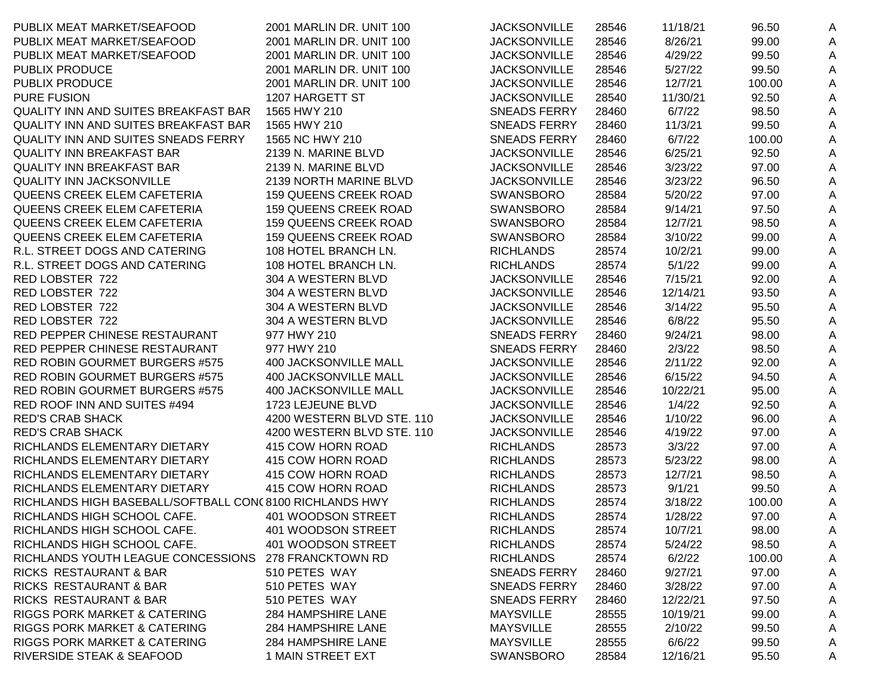| PUBLIX MEAT MARKET/SEAFOOD                              | 2001 MARLIN DR. UNIT 100     | <b>JACKSONVILLE</b> | 28546 | 11/18/21 | 96.50  | A |
|---------------------------------------------------------|------------------------------|---------------------|-------|----------|--------|---|
| PUBLIX MEAT MARKET/SEAFOOD                              | 2001 MARLIN DR. UNIT 100     | <b>JACKSONVILLE</b> | 28546 | 8/26/21  | 99.00  | A |
| PUBLIX MEAT MARKET/SEAFOOD                              | 2001 MARLIN DR. UNIT 100     | <b>JACKSONVILLE</b> | 28546 | 4/29/22  | 99.50  | A |
| <b>PUBLIX PRODUCE</b>                                   | 2001 MARLIN DR. UNIT 100     | <b>JACKSONVILLE</b> | 28546 | 5/27/22  | 99.50  | A |
| <b>PUBLIX PRODUCE</b>                                   | 2001 MARLIN DR. UNIT 100     | <b>JACKSONVILLE</b> | 28546 | 12/7/21  | 100.00 | A |
| <b>PURE FUSION</b>                                      | 1207 HARGETT ST              | <b>JACKSONVILLE</b> | 28540 | 11/30/21 | 92.50  | A |
| <b>QUALITY INN AND SUITES BREAKFAST BAR</b>             | 1565 HWY 210                 | <b>SNEADS FERRY</b> | 28460 | 6/7/22   | 98.50  | A |
| QUALITY INN AND SUITES BREAKFAST BAR                    | 1565 HWY 210                 | <b>SNEADS FERRY</b> | 28460 | 11/3/21  | 99.50  | A |
| <b>QUALITY INN AND SUITES SNEADS FERRY</b>              | 1565 NC HWY 210              | <b>SNEADS FERRY</b> | 28460 | 6/7/22   | 100.00 | A |
| <b>QUALITY INN BREAKFAST BAR</b>                        | 2139 N. MARINE BLVD          | <b>JACKSONVILLE</b> | 28546 | 6/25/21  | 92.50  | A |
| <b>QUALITY INN BREAKFAST BAR</b>                        | 2139 N. MARINE BLVD          | <b>JACKSONVILLE</b> | 28546 | 3/23/22  | 97.00  | A |
| <b>QUALITY INN JACKSONVILLE</b>                         | 2139 NORTH MARINE BLVD       | <b>JACKSONVILLE</b> | 28546 | 3/23/22  | 96.50  | A |
| <b>QUEENS CREEK ELEM CAFETERIA</b>                      | <b>159 QUEENS CREEK ROAD</b> | <b>SWANSBORO</b>    | 28584 | 5/20/22  | 97.00  | A |
| <b>QUEENS CREEK ELEM CAFETERIA</b>                      | <b>159 QUEENS CREEK ROAD</b> | <b>SWANSBORO</b>    | 28584 | 9/14/21  | 97.50  | Α |
| <b>QUEENS CREEK ELEM CAFETERIA</b>                      | <b>159 QUEENS CREEK ROAD</b> | <b>SWANSBORO</b>    | 28584 | 12/7/21  | 98.50  | Α |
| <b>QUEENS CREEK ELEM CAFETERIA</b>                      | <b>159 QUEENS CREEK ROAD</b> | <b>SWANSBORO</b>    | 28584 | 3/10/22  | 99.00  | A |
| R.L. STREET DOGS AND CATERING                           | 108 HOTEL BRANCH LN.         | <b>RICHLANDS</b>    | 28574 | 10/2/21  | 99.00  | A |
| R.L. STREET DOGS AND CATERING                           | 108 HOTEL BRANCH LN.         | <b>RICHLANDS</b>    | 28574 | 5/1/22   | 99.00  | A |
| RED LOBSTER 722                                         | 304 A WESTERN BLVD           | <b>JACKSONVILLE</b> | 28546 | 7/15/21  | 92.00  | A |
| RED LOBSTER 722                                         | 304 A WESTERN BLVD           | <b>JACKSONVILLE</b> | 28546 | 12/14/21 | 93.50  | A |
| RED LOBSTER 722                                         | 304 A WESTERN BLVD           | <b>JACKSONVILLE</b> | 28546 | 3/14/22  | 95.50  | A |
| RED LOBSTER 722                                         | 304 A WESTERN BLVD           | <b>JACKSONVILLE</b> | 28546 | 6/8/22   | 95.50  | A |
| RED PEPPER CHINESE RESTAURANT                           | 977 HWY 210                  | <b>SNEADS FERRY</b> | 28460 | 9/24/21  | 98.00  | A |
| RED PEPPER CHINESE RESTAURANT                           | 977 HWY 210                  | <b>SNEADS FERRY</b> | 28460 | 2/3/22   | 98.50  | A |
| RED ROBIN GOURMET BURGERS #575                          | 400 JACKSONVILLE MALL        | <b>JACKSONVILLE</b> | 28546 | 2/11/22  | 92.00  | A |
| RED ROBIN GOURMET BURGERS #575                          | 400 JACKSONVILLE MALL        | <b>JACKSONVILLE</b> | 28546 | 6/15/22  | 94.50  | Α |
| RED ROBIN GOURMET BURGERS #575                          | 400 JACKSONVILLE MALL        | <b>JACKSONVILLE</b> | 28546 | 10/22/21 | 95.00  | A |
| RED ROOF INN AND SUITES #494                            | 1723 LEJEUNE BLVD            | <b>JACKSONVILLE</b> | 28546 | 1/4/22   | 92.50  | Α |
| <b>RED'S CRAB SHACK</b>                                 | 4200 WESTERN BLVD STE. 110   | <b>JACKSONVILLE</b> | 28546 | 1/10/22  | 96.00  | Α |
| <b>RED'S CRAB SHACK</b>                                 | 4200 WESTERN BLVD STE. 110   | <b>JACKSONVILLE</b> | 28546 | 4/19/22  | 97.00  | Α |
| RICHLANDS ELEMENTARY DIETARY                            | 415 COW HORN ROAD            | <b>RICHLANDS</b>    | 28573 | 3/3/22   | 97.00  | A |
| RICHLANDS ELEMENTARY DIETARY                            | 415 COW HORN ROAD            | <b>RICHLANDS</b>    | 28573 | 5/23/22  | 98.00  | A |
| RICHLANDS ELEMENTARY DIETARY                            | 415 COW HORN ROAD            | <b>RICHLANDS</b>    | 28573 | 12/7/21  | 98.50  | A |
| RICHLANDS ELEMENTARY DIETARY                            | 415 COW HORN ROAD            | <b>RICHLANDS</b>    | 28573 | 9/1/21   | 99.50  | A |
| RICHLANDS HIGH BASEBALL/SOFTBALL CON(8100 RICHLANDS HWY |                              | <b>RICHLANDS</b>    | 28574 | 3/18/22  | 100.00 | A |
| RICHLANDS HIGH SCHOOL CAFE.                             | 401 WOODSON STREET           | <b>RICHLANDS</b>    | 28574 | 1/28/22  | 97.00  | A |
| RICHLANDS HIGH SCHOOL CAFE.                             | 401 WOODSON STREET           | <b>RICHLANDS</b>    | 28574 | 10/7/21  | 98.00  | A |
| RICHLANDS HIGH SCHOOL CAFE.                             | 401 WOODSON STREET           | <b>RICHLANDS</b>    | 28574 | 5/24/22  | 98.50  | A |
| RICHLANDS YOUTH LEAGUE CONCESSIONS                      | 278 FRANCKTOWN RD            | <b>RICHLANDS</b>    | 28574 | 6/2/22   | 100.00 | Α |
| RICKS RESTAURANT & BAR                                  | 510 PETES WAY                | <b>SNEADS FERRY</b> | 28460 | 9/27/21  | 97.00  | A |
| RICKS RESTAURANT & BAR                                  | 510 PETES WAY                | <b>SNEADS FERRY</b> | 28460 | 3/28/22  | 97.00  | A |
| RICKS RESTAURANT & BAR                                  | 510 PETES WAY                | <b>SNEADS FERRY</b> | 28460 | 12/22/21 | 97.50  | Α |
| RIGGS PORK MARKET & CATERING                            | 284 HAMPSHIRE LANE           | <b>MAYSVILLE</b>    | 28555 | 10/19/21 | 99.00  | Α |
| RIGGS PORK MARKET & CATERING                            | 284 HAMPSHIRE LANE           | <b>MAYSVILLE</b>    | 28555 | 2/10/22  | 99.50  | A |
| RIGGS PORK MARKET & CATERING                            | 284 HAMPSHIRE LANE           | <b>MAYSVILLE</b>    | 28555 | 6/6/22   | 99.50  | A |
| RIVERSIDE STEAK & SEAFOOD                               | 1 MAIN STREET EXT            | <b>SWANSBORO</b>    | 28584 | 12/16/21 | 95.50  | A |
|                                                         |                              |                     |       |          |        |   |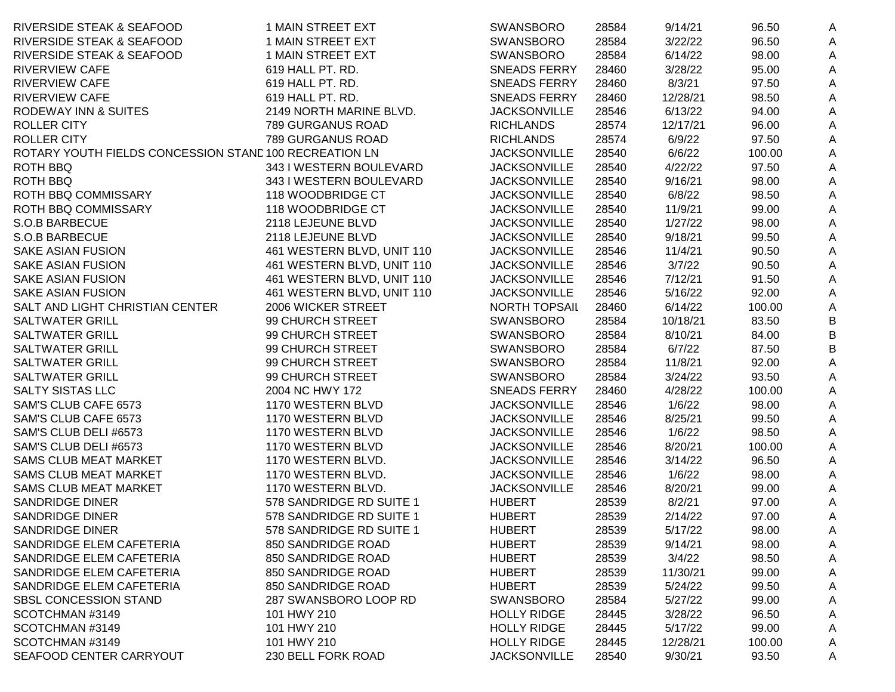| RIVERSIDE STEAK & SEAFOOD                              | 1 MAIN STREET EXT          | SWANSBORO            | 28584 | 9/14/21  | 96.50  | A       |
|--------------------------------------------------------|----------------------------|----------------------|-------|----------|--------|---------|
| RIVERSIDE STEAK & SEAFOOD                              | 1 MAIN STREET EXT          | SWANSBORO            | 28584 | 3/22/22  | 96.50  | A       |
| <b>RIVERSIDE STEAK &amp; SEAFOOD</b>                   | 1 MAIN STREET EXT          | <b>SWANSBORO</b>     | 28584 | 6/14/22  | 98.00  | A       |
| <b>RIVERVIEW CAFE</b>                                  | 619 HALL PT. RD.           | <b>SNEADS FERRY</b>  | 28460 | 3/28/22  | 95.00  | Α       |
| <b>RIVERVIEW CAFE</b>                                  | 619 HALL PT. RD.           | <b>SNEADS FERRY</b>  | 28460 | 8/3/21   | 97.50  | A       |
| <b>RIVERVIEW CAFE</b>                                  | 619 HALL PT. RD.           | <b>SNEADS FERRY</b>  | 28460 | 12/28/21 | 98.50  | A       |
| <b>RODEWAY INN &amp; SUITES</b>                        | 2149 NORTH MARINE BLVD.    | <b>JACKSONVILLE</b>  | 28546 | 6/13/22  | 94.00  | A       |
| <b>ROLLER CITY</b>                                     | 789 GURGANUS ROAD          | <b>RICHLANDS</b>     | 28574 | 12/17/21 | 96.00  | A       |
| <b>ROLLER CITY</b>                                     | 789 GURGANUS ROAD          | <b>RICHLANDS</b>     | 28574 | 6/9/22   | 97.50  | A       |
| ROTARY YOUTH FIELDS CONCESSION STANE 100 RECREATION LN |                            | <b>JACKSONVILLE</b>  | 28540 | 6/6/22   | 100.00 | A       |
| ROTH BBQ                                               | 343 I WESTERN BOULEVARD    | <b>JACKSONVILLE</b>  | 28540 | 4/22/22  | 97.50  | A       |
| <b>ROTH BBQ</b>                                        | 343 I WESTERN BOULEVARD    | <b>JACKSONVILLE</b>  | 28540 | 9/16/21  | 98.00  | A       |
| ROTH BBQ COMMISSARY                                    | 118 WOODBRIDGE CT          | <b>JACKSONVILLE</b>  | 28540 | 6/8/22   | 98.50  | A       |
| ROTH BBQ COMMISSARY                                    | 118 WOODBRIDGE CT          | <b>JACKSONVILLE</b>  | 28540 | 11/9/21  | 99.00  | Α       |
| S.O.B BARBECUE                                         | 2118 LEJEUNE BLVD          | <b>JACKSONVILLE</b>  | 28540 | 1/27/22  | 98.00  | A       |
| <b>S.O.B BARBECUE</b>                                  | 2118 LEJEUNE BLVD          | <b>JACKSONVILLE</b>  | 28540 | 9/18/21  | 99.50  | A       |
| <b>SAKE ASIAN FUSION</b>                               | 461 WESTERN BLVD, UNIT 110 | <b>JACKSONVILLE</b>  | 28546 | 11/4/21  | 90.50  | A       |
| SAKE ASIAN FUSION                                      | 461 WESTERN BLVD, UNIT 110 | <b>JACKSONVILLE</b>  | 28546 | 3/7/22   | 90.50  | A       |
| <b>SAKE ASIAN FUSION</b>                               | 461 WESTERN BLVD, UNIT 110 | <b>JACKSONVILLE</b>  | 28546 | 7/12/21  | 91.50  | Α       |
| <b>SAKE ASIAN FUSION</b>                               | 461 WESTERN BLVD, UNIT 110 | <b>JACKSONVILLE</b>  | 28546 | 5/16/22  | 92.00  | Α       |
| SALT AND LIGHT CHRISTIAN CENTER                        | 2006 WICKER STREET         | <b>NORTH TOPSAIL</b> | 28460 | 6/14/22  | 100.00 | A       |
| <b>SALTWATER GRILL</b>                                 | 99 CHURCH STREET           | <b>SWANSBORO</b>     | 28584 | 10/18/21 | 83.50  | $\sf B$ |
| <b>SALTWATER GRILL</b>                                 | 99 CHURCH STREET           | SWANSBORO            | 28584 | 8/10/21  | 84.00  | $\sf B$ |
| <b>SALTWATER GRILL</b>                                 | 99 CHURCH STREET           | <b>SWANSBORO</b>     | 28584 | 6/7/22   | 87.50  | B       |
| <b>SALTWATER GRILL</b>                                 | 99 CHURCH STREET           | <b>SWANSBORO</b>     | 28584 | 11/8/21  | 92.00  | A       |
| <b>SALTWATER GRILL</b>                                 | 99 CHURCH STREET           | <b>SWANSBORO</b>     | 28584 | 3/24/22  | 93.50  | A       |
| <b>SALTY SISTAS LLC</b>                                | 2004 NC HWY 172            | <b>SNEADS FERRY</b>  | 28460 | 4/28/22  | 100.00 | A       |
| SAM'S CLUB CAFE 6573                                   | 1170 WESTERN BLVD          | <b>JACKSONVILLE</b>  | 28546 | 1/6/22   | 98.00  | A       |
| SAM'S CLUB CAFE 6573                                   | 1170 WESTERN BLVD          | <b>JACKSONVILLE</b>  | 28546 | 8/25/21  | 99.50  | A       |
| SAM'S CLUB DELI #6573                                  | 1170 WESTERN BLVD          | <b>JACKSONVILLE</b>  | 28546 | 1/6/22   | 98.50  | A       |
| SAM'S CLUB DELI #6573                                  | 1170 WESTERN BLVD          | <b>JACKSONVILLE</b>  | 28546 | 8/20/21  | 100.00 | A       |
| <b>SAMS CLUB MEAT MARKET</b>                           | 1170 WESTERN BLVD.         | <b>JACKSONVILLE</b>  | 28546 | 3/14/22  | 96.50  | A       |
| <b>SAMS CLUB MEAT MARKET</b>                           | 1170 WESTERN BLVD.         | <b>JACKSONVILLE</b>  | 28546 | 1/6/22   | 98.00  | A       |
| <b>SAMS CLUB MEAT MARKET</b>                           | 1170 WESTERN BLVD.         | <b>JACKSONVILLE</b>  | 28546 | 8/20/21  | 99.00  | A       |
| <b>SANDRIDGE DINER</b>                                 | 578 SANDRIDGE RD SUITE 1   | <b>HUBERT</b>        | 28539 | 8/2/21   | 97.00  | A       |
| <b>SANDRIDGE DINER</b>                                 | 578 SANDRIDGE RD SUITE 1   | <b>HUBERT</b>        | 28539 | 2/14/22  | 97.00  | A       |
| <b>SANDRIDGE DINER</b>                                 | 578 SANDRIDGE RD SUITE 1   | <b>HUBERT</b>        | 28539 | 5/17/22  | 98.00  | Α       |
| SANDRIDGE ELEM CAFETERIA                               | 850 SANDRIDGE ROAD         | <b>HUBERT</b>        | 28539 | 9/14/21  | 98.00  | A       |
| SANDRIDGE ELEM CAFETERIA                               | 850 SANDRIDGE ROAD         | <b>HUBERT</b>        | 28539 | 3/4/22   | 98.50  | A       |
| SANDRIDGE ELEM CAFETERIA                               | 850 SANDRIDGE ROAD         | <b>HUBERT</b>        | 28539 | 11/30/21 | 99.00  | A       |
| SANDRIDGE ELEM CAFETERIA                               | 850 SANDRIDGE ROAD         | <b>HUBERT</b>        | 28539 | 5/24/22  | 99.50  | A       |
| <b>SBSL CONCESSION STAND</b>                           | 287 SWANSBORO LOOP RD      | <b>SWANSBORO</b>     | 28584 | 5/27/22  | 99.00  | A       |
| SCOTCHMAN #3149                                        | 101 HWY 210                | <b>HOLLY RIDGE</b>   | 28445 | 3/28/22  | 96.50  | A       |
| SCOTCHMAN #3149                                        | 101 HWY 210                | <b>HOLLY RIDGE</b>   | 28445 | 5/17/22  | 99.00  | A       |
| SCOTCHMAN #3149                                        | 101 HWY 210                | <b>HOLLY RIDGE</b>   | 28445 | 12/28/21 | 100.00 | A       |
| SEAFOOD CENTER CARRYOUT                                | 230 BELL FORK ROAD         | <b>JACKSONVILLE</b>  | 28540 | 9/30/21  | 93.50  | A       |
|                                                        |                            |                      |       |          |        |         |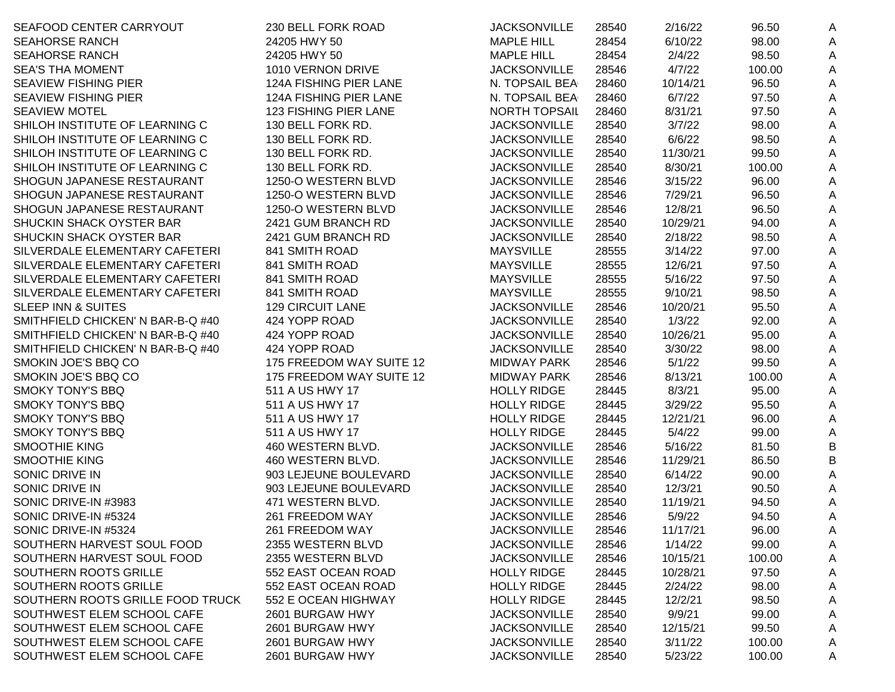| SEAFOOD CENTER CARRYOUT           | 230 BELL FORK ROAD       | <b>JACKSONVILLE</b>  | 28540 | 2/16/22  | 96.50  | A |
|-----------------------------------|--------------------------|----------------------|-------|----------|--------|---|
| <b>SEAHORSE RANCH</b>             | 24205 HWY 50             | <b>MAPLE HILL</b>    | 28454 | 6/10/22  | 98.00  | A |
| <b>SEAHORSE RANCH</b>             | 24205 HWY 50             | <b>MAPLE HILL</b>    | 28454 | 2/4/22   | 98.50  | A |
| <b>SEA'S THA MOMENT</b>           | 1010 VERNON DRIVE        | <b>JACKSONVILLE</b>  | 28546 | 4/7/22   | 100.00 | A |
| <b>SEAVIEW FISHING PIER</b>       | 124A FISHING PIER LANE   | N. TOPSAIL BEA       | 28460 | 10/14/21 | 96.50  | A |
| <b>SEAVIEW FISHING PIER</b>       | 124A FISHING PIER LANE   | N. TOPSAIL BEA       | 28460 | 6/7/22   | 97.50  | A |
| <b>SEAVIEW MOTEL</b>              | 123 FISHING PIER LANE    | <b>NORTH TOPSAIL</b> | 28460 | 8/31/21  | 97.50  | A |
| SHILOH INSTITUTE OF LEARNING C    | 130 BELL FORK RD.        | <b>JACKSONVILLE</b>  | 28540 | 3/7/22   | 98.00  | A |
| SHILOH INSTITUTE OF LEARNING C    | 130 BELL FORK RD.        | <b>JACKSONVILLE</b>  | 28540 | 6/6/22   | 98.50  | A |
| SHILOH INSTITUTE OF LEARNING C    | 130 BELL FORK RD.        | <b>JACKSONVILLE</b>  | 28540 | 11/30/21 | 99.50  | A |
| SHILOH INSTITUTE OF LEARNING C    | 130 BELL FORK RD.        | <b>JACKSONVILLE</b>  | 28540 | 8/30/21  | 100.00 | A |
| SHOGUN JAPANESE RESTAURANT        | 1250-O WESTERN BLVD      | <b>JACKSONVILLE</b>  | 28546 | 3/15/22  | 96.00  | Α |
| SHOGUN JAPANESE RESTAURANT        | 1250-O WESTERN BLVD      | <b>JACKSONVILLE</b>  | 28546 | 7/29/21  | 96.50  | A |
| SHOGUN JAPANESE RESTAURANT        | 1250-O WESTERN BLVD      | <b>JACKSONVILLE</b>  | 28546 | 12/8/21  | 96.50  | A |
| SHUCKIN SHACK OYSTER BAR          | 2421 GUM BRANCH RD       | <b>JACKSONVILLE</b>  | 28540 | 10/29/21 | 94.00  | Α |
| SHUCKIN SHACK OYSTER BAR          | 2421 GUM BRANCH RD       | <b>JACKSONVILLE</b>  | 28540 | 2/18/22  | 98.50  | Α |
| SILVERDALE ELEMENTARY CAFETERI    | 841 SMITH ROAD           | <b>MAYSVILLE</b>     | 28555 | 3/14/22  | 97.00  | A |
| SILVERDALE ELEMENTARY CAFETERI    | 841 SMITH ROAD           | <b>MAYSVILLE</b>     | 28555 | 12/6/21  | 97.50  | A |
| SILVERDALE ELEMENTARY CAFETERI    | 841 SMITH ROAD           | <b>MAYSVILLE</b>     | 28555 | 5/16/22  | 97.50  | A |
| SILVERDALE ELEMENTARY CAFETERI    | 841 SMITH ROAD           | <b>MAYSVILLE</b>     | 28555 | 9/10/21  | 98.50  | A |
| <b>SLEEP INN &amp; SUITES</b>     | <b>129 CIRCUIT LANE</b>  | <b>JACKSONVILLE</b>  | 28546 | 10/20/21 | 95.50  | A |
| SMITHFIELD CHICKEN' N BAR-B-Q #40 | 424 YOPP ROAD            | <b>JACKSONVILLE</b>  | 28540 | 1/3/22   | 92.00  | A |
| SMITHFIELD CHICKEN' N BAR-B-Q #40 | 424 YOPP ROAD            | <b>JACKSONVILLE</b>  | 28540 | 10/26/21 | 95.00  | A |
| SMITHFIELD CHICKEN' N BAR-B-Q #40 | 424 YOPP ROAD            | <b>JACKSONVILLE</b>  | 28540 | 3/30/22  | 98.00  | A |
| SMOKIN JOE'S BBQ CO               | 175 FREEDOM WAY SUITE 12 | <b>MIDWAY PARK</b>   | 28546 | 5/1/22   | 99.50  |   |
| SMOKIN JOE'S BBQ CO               | 175 FREEDOM WAY SUITE 12 | <b>MIDWAY PARK</b>   | 28546 | 8/13/21  | 100.00 | A |
| <b>SMOKY TONY'S BBQ</b>           | 511 A US HWY 17          | <b>HOLLY RIDGE</b>   | 28445 | 8/3/21   | 95.00  | A |
| <b>SMOKY TONY'S BBQ</b>           | 511 A US HWY 17          | <b>HOLLY RIDGE</b>   | 28445 | 3/29/22  | 95.50  | A |
| <b>SMOKY TONY'S BBQ</b>           | 511 A US HWY 17          | <b>HOLLY RIDGE</b>   | 28445 | 12/21/21 | 96.00  | Α |
|                                   |                          |                      |       |          |        | A |
| <b>SMOKY TONY'S BBQ</b>           | 511 A US HWY 17          | <b>HOLLY RIDGE</b>   | 28445 | 5/4/22   | 99.00  | A |
| <b>SMOOTHIE KING</b>              | 460 WESTERN BLVD.        | <b>JACKSONVILLE</b>  | 28546 | 5/16/22  | 81.50  | B |
| <b>SMOOTHIE KING</b>              | 460 WESTERN BLVD.        | <b>JACKSONVILLE</b>  | 28546 | 11/29/21 | 86.50  | B |
| SONIC DRIVE IN                    | 903 LEJEUNE BOULEVARD    | <b>JACKSONVILLE</b>  | 28540 | 6/14/22  | 90.00  | A |
| SONIC DRIVE IN                    | 903 LEJEUNE BOULEVARD    | <b>JACKSONVILLE</b>  | 28540 | 12/3/21  | 90.50  | A |
| SONIC DRIVE-IN #3983              | 471 WESTERN BLVD.        | <b>JACKSONVILLE</b>  | 28540 | 11/19/21 | 94.50  | A |
| SONIC DRIVE-IN #5324              | 261 FREEDOM WAY          | <b>JACKSONVILLE</b>  | 28546 | 5/9/22   | 94.50  | A |
| SONIC DRIVE-IN #5324              | 261 FREEDOM WAY          | <b>JACKSONVILLE</b>  | 28546 | 11/17/21 | 96.00  | A |
| SOUTHERN HARVEST SOUL FOOD        | 2355 WESTERN BLVD        | <b>JACKSONVILLE</b>  | 28546 | 1/14/22  | 99.00  | A |
| SOUTHERN HARVEST SOUL FOOD        | 2355 WESTERN BLVD        | <b>JACKSONVILLE</b>  | 28546 | 10/15/21 | 100.00 | A |
| SOUTHERN ROOTS GRILLE             | 552 EAST OCEAN ROAD      | <b>HOLLY RIDGE</b>   | 28445 | 10/28/21 | 97.50  | A |
| SOUTHERN ROOTS GRILLE             | 552 EAST OCEAN ROAD      | <b>HOLLY RIDGE</b>   | 28445 | 2/24/22  | 98.00  | Α |
| SOUTHERN ROOTS GRILLE FOOD TRUCK  | 552 E OCEAN HIGHWAY      | <b>HOLLY RIDGE</b>   | 28445 | 12/2/21  | 98.50  | Α |
| SOUTHWEST ELEM SCHOOL CAFE        | 2601 BURGAW HWY          | <b>JACKSONVILLE</b>  | 28540 | 9/9/21   | 99.00  | Α |
| SOUTHWEST ELEM SCHOOL CAFE        | 2601 BURGAW HWY          | <b>JACKSONVILLE</b>  | 28540 | 12/15/21 | 99.50  | Α |
| SOUTHWEST ELEM SCHOOL CAFE        | 2601 BURGAW HWY          | <b>JACKSONVILLE</b>  | 28540 | 3/11/22  | 100.00 | A |
| SOUTHWEST ELEM SCHOOL CAFE        | 2601 BURGAW HWY          | <b>JACKSONVILLE</b>  | 28540 | 5/23/22  | 100.00 | A |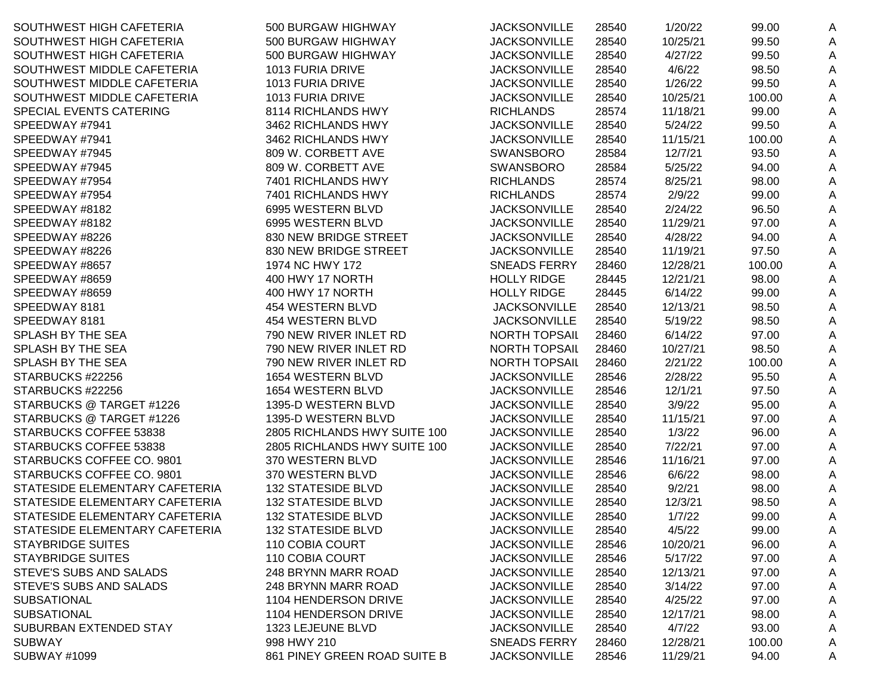| SOUTHWEST HIGH CAFETERIA       | 500 BURGAW HIGHWAY           | <b>JACKSONVILLE</b>  | 28540 | 1/20/22  | 99.00  | A |
|--------------------------------|------------------------------|----------------------|-------|----------|--------|---|
| SOUTHWEST HIGH CAFETERIA       | 500 BURGAW HIGHWAY           | <b>JACKSONVILLE</b>  | 28540 | 10/25/21 | 99.50  | A |
| SOUTHWEST HIGH CAFETERIA       | 500 BURGAW HIGHWAY           | <b>JACKSONVILLE</b>  | 28540 | 4/27/22  | 99.50  | A |
| SOUTHWEST MIDDLE CAFETERIA     | 1013 FURIA DRIVE             | <b>JACKSONVILLE</b>  | 28540 | 4/6/22   | 98.50  | A |
| SOUTHWEST MIDDLE CAFETERIA     | 1013 FURIA DRIVE             | <b>JACKSONVILLE</b>  | 28540 | 1/26/22  | 99.50  | A |
| SOUTHWEST MIDDLE CAFETERIA     | 1013 FURIA DRIVE             | <b>JACKSONVILLE</b>  | 28540 | 10/25/21 | 100.00 | A |
| SPECIAL EVENTS CATERING        | 8114 RICHLANDS HWY           | <b>RICHLANDS</b>     | 28574 | 11/18/21 | 99.00  | A |
| SPEEDWAY #7941                 | 3462 RICHLANDS HWY           | <b>JACKSONVILLE</b>  | 28540 | 5/24/22  | 99.50  | A |
| SPEEDWAY #7941                 | 3462 RICHLANDS HWY           | <b>JACKSONVILLE</b>  | 28540 | 11/15/21 | 100.00 | A |
| SPEEDWAY #7945                 | 809 W. CORBETT AVE           | <b>SWANSBORO</b>     | 28584 | 12/7/21  | 93.50  | A |
| SPEEDWAY #7945                 | 809 W. CORBETT AVE           | <b>SWANSBORO</b>     | 28584 | 5/25/22  | 94.00  | A |
| SPEEDWAY #7954                 | 7401 RICHLANDS HWY           | <b>RICHLANDS</b>     | 28574 | 8/25/21  | 98.00  | A |
| SPEEDWAY #7954                 | 7401 RICHLANDS HWY           | <b>RICHLANDS</b>     | 28574 | 2/9/22   | 99.00  | A |
| SPEEDWAY #8182                 | 6995 WESTERN BLVD            | <b>JACKSONVILLE</b>  | 28540 | 2/24/22  | 96.50  | A |
| SPEEDWAY #8182                 | 6995 WESTERN BLVD            | <b>JACKSONVILLE</b>  | 28540 | 11/29/21 | 97.00  | Α |
| SPEEDWAY #8226                 | 830 NEW BRIDGE STREET        | <b>JACKSONVILLE</b>  | 28540 | 4/28/22  | 94.00  | A |
| SPEEDWAY #8226                 | 830 NEW BRIDGE STREET        | <b>JACKSONVILLE</b>  | 28540 | 11/19/21 | 97.50  | A |
| SPEEDWAY #8657                 | 1974 NC HWY 172              | <b>SNEADS FERRY</b>  | 28460 | 12/28/21 | 100.00 | A |
| SPEEDWAY #8659                 | 400 HWY 17 NORTH             | <b>HOLLY RIDGE</b>   | 28445 | 12/21/21 | 98.00  | A |
| SPEEDWAY #8659                 | 400 HWY 17 NORTH             | <b>HOLLY RIDGE</b>   | 28445 | 6/14/22  | 99.00  | A |
| SPEEDWAY 8181                  | 454 WESTERN BLVD             | <b>JACKSONVILLE</b>  | 28540 | 12/13/21 | 98.50  | A |
| SPEEDWAY 8181                  | 454 WESTERN BLVD             | <b>JACKSONVILLE</b>  | 28540 | 5/19/22  | 98.50  | A |
| SPLASH BY THE SEA              | 790 NEW RIVER INLET RD       | <b>NORTH TOPSAIL</b> | 28460 | 6/14/22  | 97.00  | A |
| SPLASH BY THE SEA              | 790 NEW RIVER INLET RD       | <b>NORTH TOPSAIL</b> | 28460 | 10/27/21 | 98.50  | A |
| SPLASH BY THE SEA              | 790 NEW RIVER INLET RD       | <b>NORTH TOPSAIL</b> | 28460 | 2/21/22  | 100.00 | A |
| STARBUCKS #22256               | 1654 WESTERN BLVD            | <b>JACKSONVILLE</b>  | 28546 | 2/28/22  | 95.50  | A |
| STARBUCKS #22256               | 1654 WESTERN BLVD            | <b>JACKSONVILLE</b>  | 28546 | 12/1/21  | 97.50  | A |
| STARBUCKS @ TARGET #1226       | 1395-D WESTERN BLVD          | <b>JACKSONVILLE</b>  | 28540 | 3/9/22   | 95.00  | A |
| STARBUCKS @ TARGET #1226       | 1395-D WESTERN BLVD          | <b>JACKSONVILLE</b>  | 28540 | 11/15/21 | 97.00  | A |
| STARBUCKS COFFEE 53838         | 2805 RICHLANDS HWY SUITE 100 | <b>JACKSONVILLE</b>  | 28540 | 1/3/22   | 96.00  | Α |
| STARBUCKS COFFEE 53838         | 2805 RICHLANDS HWY SUITE 100 | <b>JACKSONVILLE</b>  | 28540 | 7/22/21  | 97.00  | A |
| STARBUCKS COFFEE CO. 9801      | 370 WESTERN BLVD             | <b>JACKSONVILLE</b>  | 28546 | 11/16/21 | 97.00  | A |
| STARBUCKS COFFEE CO. 9801      | 370 WESTERN BLVD             | <b>JACKSONVILLE</b>  | 28546 | 6/6/22   | 98.00  | A |
| STATESIDE ELEMENTARY CAFETERIA | <b>132 STATESIDE BLVD</b>    | <b>JACKSONVILLE</b>  | 28540 | 9/2/21   | 98.00  | A |
| STATESIDE ELEMENTARY CAFETERIA | <b>132 STATESIDE BLVD</b>    | <b>JACKSONVILLE</b>  | 28540 | 12/3/21  | 98.50  | A |
| STATESIDE ELEMENTARY CAFETERIA | <b>132 STATESIDE BLVD</b>    | <b>JACKSONVILLE</b>  | 28540 | 1/7/22   | 99.00  | A |
| STATESIDE ELEMENTARY CAFETERIA | <b>132 STATESIDE BLVD</b>    | <b>JACKSONVILLE</b>  | 28540 | 4/5/22   | 99.00  | A |
| <b>STAYBRIDGE SUITES</b>       | 110 COBIA COURT              | <b>JACKSONVILLE</b>  | 28546 | 10/20/21 | 96.00  | A |
| <b>STAYBRIDGE SUITES</b>       | 110 COBIA COURT              | <b>JACKSONVILLE</b>  | 28546 | 5/17/22  | 97.00  | A |
| <b>STEVE'S SUBS AND SALADS</b> | 248 BRYNN MARR ROAD          | <b>JACKSONVILLE</b>  | 28540 | 12/13/21 | 97.00  | A |
| STEVE'S SUBS AND SALADS        | 248 BRYNN MARR ROAD          | <b>JACKSONVILLE</b>  | 28540 | 3/14/22  | 97.00  | A |
| <b>SUBSATIONAL</b>             | 1104 HENDERSON DRIVE         | <b>JACKSONVILLE</b>  | 28540 | 4/25/22  | 97.00  | A |
| <b>SUBSATIONAL</b>             | 1104 HENDERSON DRIVE         | <b>JACKSONVILLE</b>  | 28540 | 12/17/21 | 98.00  | A |
| SUBURBAN EXTENDED STAY         | 1323 LEJEUNE BLVD            | <b>JACKSONVILLE</b>  | 28540 | 4/7/22   | 93.00  | A |
| <b>SUBWAY</b>                  | 998 HWY 210                  | <b>SNEADS FERRY</b>  | 28460 | 12/28/21 | 100.00 | A |
| <b>SUBWAY #1099</b>            | 861 PINEY GREEN ROAD SUITE B | <b>JACKSONVILLE</b>  | 28546 | 11/29/21 | 94.00  | A |
|                                |                              |                      |       |          |        |   |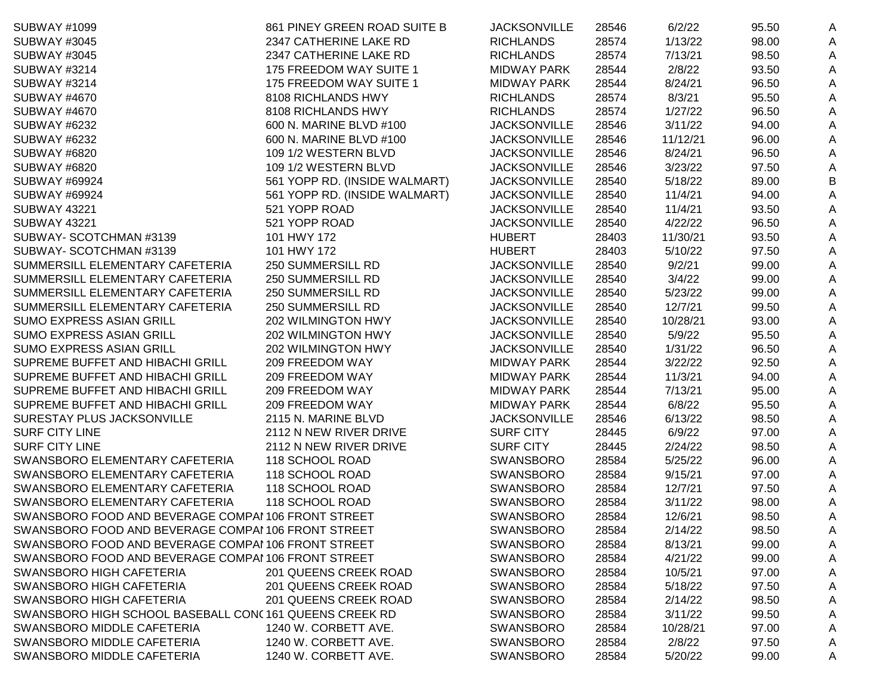| SUBWAY #1099                                           | 861 PINEY GREEN ROAD SUITE B  | <b>JACKSONVILLE</b> | 28546 | 6/2/22   | 95.50 | A      |
|--------------------------------------------------------|-------------------------------|---------------------|-------|----------|-------|--------|
| <b>SUBWAY #3045</b>                                    | 2347 CATHERINE LAKE RD        | <b>RICHLANDS</b>    | 28574 | 1/13/22  | 98.00 | A      |
| <b>SUBWAY #3045</b>                                    | 2347 CATHERINE LAKE RD        | <b>RICHLANDS</b>    | 28574 | 7/13/21  | 98.50 | A      |
| <b>SUBWAY #3214</b>                                    | 175 FREEDOM WAY SUITE 1       | <b>MIDWAY PARK</b>  | 28544 | 2/8/22   | 93.50 | A      |
| <b>SUBWAY #3214</b>                                    | 175 FREEDOM WAY SUITE 1       | <b>MIDWAY PARK</b>  | 28544 | 8/24/21  | 96.50 | A      |
| <b>SUBWAY #4670</b>                                    | 8108 RICHLANDS HWY            | <b>RICHLANDS</b>    | 28574 | 8/3/21   | 95.50 | Α      |
| SUBWAY #4670                                           | 8108 RICHLANDS HWY            | <b>RICHLANDS</b>    | 28574 | 1/27/22  | 96.50 | Α      |
| <b>SUBWAY #6232</b>                                    | 600 N. MARINE BLVD #100       | <b>JACKSONVILLE</b> | 28546 | 3/11/22  | 94.00 | A      |
| <b>SUBWAY #6232</b>                                    | 600 N. MARINE BLVD #100       | <b>JACKSONVILLE</b> | 28546 | 11/12/21 | 96.00 | A      |
| <b>SUBWAY #6820</b>                                    | 109 1/2 WESTERN BLVD          | <b>JACKSONVILLE</b> | 28546 | 8/24/21  | 96.50 | Α      |
| <b>SUBWAY #6820</b>                                    | 109 1/2 WESTERN BLVD          | <b>JACKSONVILLE</b> | 28546 | 3/23/22  | 97.50 | A      |
| SUBWAY #69924                                          | 561 YOPP RD. (INSIDE WALMART) | <b>JACKSONVILLE</b> | 28540 | 5/18/22  | 89.00 | B      |
| SUBWAY #69924                                          | 561 YOPP RD. (INSIDE WALMART) | <b>JACKSONVILLE</b> | 28540 | 11/4/21  | 94.00 | A      |
| <b>SUBWAY 43221</b>                                    | 521 YOPP ROAD                 | <b>JACKSONVILLE</b> | 28540 | 11/4/21  | 93.50 | A      |
| <b>SUBWAY 43221</b>                                    | 521 YOPP ROAD                 | <b>JACKSONVILLE</b> | 28540 | 4/22/22  | 96.50 | Α      |
| SUBWAY- SCOTCHMAN #3139                                | 101 HWY 172                   | <b>HUBERT</b>       | 28403 | 11/30/21 | 93.50 | A      |
| SUBWAY- SCOTCHMAN #3139                                | 101 HWY 172                   | <b>HUBERT</b>       | 28403 | 5/10/22  | 97.50 | A      |
| SUMMERSILL ELEMENTARY CAFETERIA                        | 250 SUMMERSILL RD             | <b>JACKSONVILLE</b> | 28540 | 9/2/21   | 99.00 | A      |
| SUMMERSILL ELEMENTARY CAFETERIA                        | <b>250 SUMMERSILL RD</b>      | <b>JACKSONVILLE</b> | 28540 | 3/4/22   | 99.00 | A      |
| SUMMERSILL ELEMENTARY CAFETERIA                        | 250 SUMMERSILL RD             | <b>JACKSONVILLE</b> | 28540 | 5/23/22  | 99.00 | A      |
| SUMMERSILL ELEMENTARY CAFETERIA                        | 250 SUMMERSILL RD             | <b>JACKSONVILLE</b> | 28540 | 12/7/21  | 99.50 | A      |
| SUMO EXPRESS ASIAN GRILL                               | 202 WILMINGTON HWY            | <b>JACKSONVILLE</b> | 28540 | 10/28/21 | 93.00 | A      |
| SUMO EXPRESS ASIAN GRILL                               | 202 WILMINGTON HWY            | <b>JACKSONVILLE</b> | 28540 | 5/9/22   | 95.50 | A      |
| <b>SUMO EXPRESS ASIAN GRILL</b>                        | 202 WILMINGTON HWY            | <b>JACKSONVILLE</b> | 28540 | 1/31/22  | 96.50 | A      |
| SUPREME BUFFET AND HIBACHI GRILL                       | 209 FREEDOM WAY               | <b>MIDWAY PARK</b>  | 28544 | 3/22/22  | 92.50 | A      |
| SUPREME BUFFET AND HIBACHI GRILL                       | 209 FREEDOM WAY               | <b>MIDWAY PARK</b>  | 28544 | 11/3/21  | 94.00 | Α      |
| SUPREME BUFFET AND HIBACHI GRILL                       | 209 FREEDOM WAY               | <b>MIDWAY PARK</b>  | 28544 | 7/13/21  | 95.00 | Α      |
| SUPREME BUFFET AND HIBACHI GRILL                       | 209 FREEDOM WAY               | <b>MIDWAY PARK</b>  | 28544 | 6/8/22   | 95.50 | A      |
| SURESTAY PLUS JACKSONVILLE                             | 2115 N. MARINE BLVD           | <b>JACKSONVILLE</b> | 28546 | 6/13/22  | 98.50 | Α      |
| <b>SURF CITY LINE</b>                                  | 2112 N NEW RIVER DRIVE        | <b>SURF CITY</b>    | 28445 | 6/9/22   | 97.00 | Α      |
| <b>SURF CITY LINE</b>                                  | 2112 N NEW RIVER DRIVE        | <b>SURF CITY</b>    | 28445 | 2/24/22  | 98.50 | Α      |
| SWANSBORO ELEMENTARY CAFETERIA                         | 118 SCHOOL ROAD               | <b>SWANSBORO</b>    | 28584 | 5/25/22  | 96.00 | Α      |
| SWANSBORO ELEMENTARY CAFETERIA                         | 118 SCHOOL ROAD               | <b>SWANSBORO</b>    | 28584 | 9/15/21  | 97.00 | A      |
| SWANSBORO ELEMENTARY CAFETERIA                         | 118 SCHOOL ROAD               | <b>SWANSBORO</b>    | 28584 | 12/7/21  | 97.50 | A      |
| SWANSBORO ELEMENTARY CAFETERIA                         | 118 SCHOOL ROAD               | <b>SWANSBORO</b>    | 28584 | 3/11/22  | 98.00 | A      |
| SWANSBORO FOOD AND BEVERAGE COMPAI 106 FRONT STREET    |                               | <b>SWANSBORO</b>    | 28584 | 12/6/21  | 98.50 | A      |
| SWANSBORO FOOD AND BEVERAGE COMPAI 106 FRONT STREET    |                               | SWANSBORO           | 28584 | 2/14/22  | 98.50 | A      |
| SWANSBORO FOOD AND BEVERAGE COMPAI 106 FRONT STREET    |                               | <b>SWANSBORO</b>    | 28584 | 8/13/21  | 99.00 | A      |
| SWANSBORO FOOD AND BEVERAGE COMPAI 106 FRONT STREET    |                               | <b>SWANSBORO</b>    | 28584 | 4/21/22  | 99.00 | A      |
| SWANSBORO HIGH CAFETERIA                               | 201 QUEENS CREEK ROAD         | <b>SWANSBORO</b>    | 28584 | 10/5/21  | 97.00 | A      |
| SWANSBORO HIGH CAFETERIA                               | <b>201 QUEENS CREEK ROAD</b>  | <b>SWANSBORO</b>    | 28584 | 5/18/22  | 97.50 | A      |
| SWANSBORO HIGH CAFETERIA                               | <b>201 QUEENS CREEK ROAD</b>  | <b>SWANSBORO</b>    | 28584 | 2/14/22  | 98.50 | A      |
| SWANSBORO HIGH SCHOOL BASEBALL CON(161 QUEENS CREEK RD |                               | <b>SWANSBORO</b>    | 28584 | 3/11/22  | 99.50 |        |
| SWANSBORO MIDDLE CAFETERIA                             | 1240 W. CORBETT AVE.          | <b>SWANSBORO</b>    | 28584 | 10/28/21 | 97.00 | A<br>A |
| SWANSBORO MIDDLE CAFETERIA                             | 1240 W. CORBETT AVE.          | <b>SWANSBORO</b>    | 28584 | 2/8/22   | 97.50 |        |
| SWANSBORO MIDDLE CAFETERIA                             |                               | SWANSBORO           |       |          |       | A      |
|                                                        | 1240 W. CORBETT AVE.          |                     | 28584 | 5/20/22  | 99.00 | A      |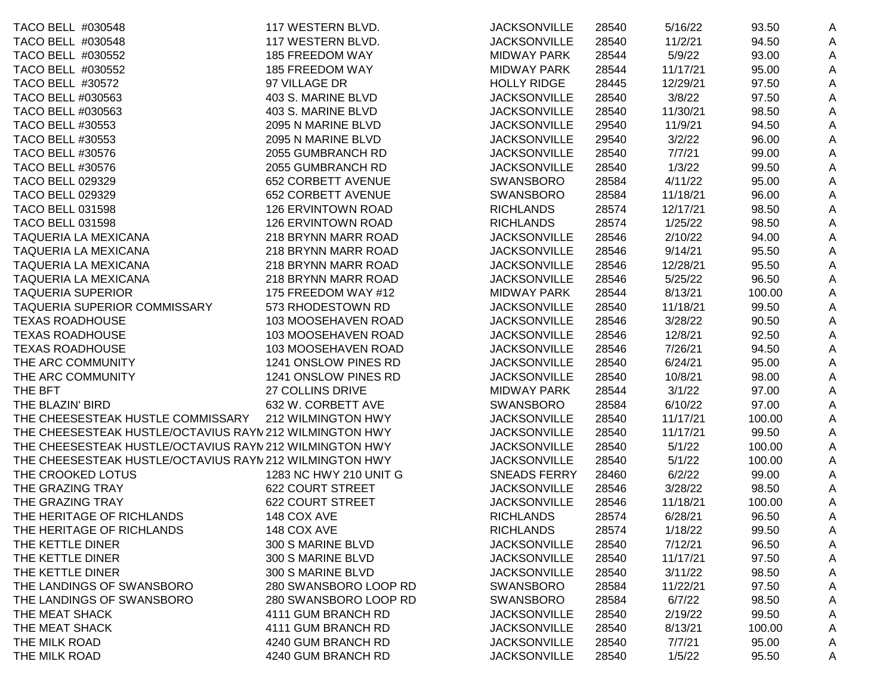| TACO BELL #030548                                       | 117 WESTERN BLVD.         | <b>JACKSONVILLE</b> | 28540 | 5/16/22  | 93.50  | A |
|---------------------------------------------------------|---------------------------|---------------------|-------|----------|--------|---|
| TACO BELL #030548                                       | 117 WESTERN BLVD.         | <b>JACKSONVILLE</b> | 28540 | 11/2/21  | 94.50  | A |
| TACO BELL #030552                                       | 185 FREEDOM WAY           | <b>MIDWAY PARK</b>  | 28544 | 5/9/22   | 93.00  | A |
| TACO BELL #030552                                       | 185 FREEDOM WAY           | <b>MIDWAY PARK</b>  | 28544 | 11/17/21 | 95.00  | A |
| <b>TACO BELL #30572</b>                                 | 97 VILLAGE DR             | <b>HOLLY RIDGE</b>  | 28445 | 12/29/21 | 97.50  | A |
| TACO BELL #030563                                       | 403 S. MARINE BLVD        | <b>JACKSONVILLE</b> | 28540 | 3/8/22   | 97.50  | Α |
| TACO BELL #030563                                       | 403 S. MARINE BLVD        | <b>JACKSONVILLE</b> | 28540 | 11/30/21 | 98.50  | Α |
| <b>TACO BELL #30553</b>                                 | 2095 N MARINE BLVD        | <b>JACKSONVILLE</b> | 29540 | 11/9/21  | 94.50  | Α |
| <b>TACO BELL #30553</b>                                 | 2095 N MARINE BLVD        | <b>JACKSONVILLE</b> | 29540 | 3/2/22   | 96.00  | Α |
| <b>TACO BELL #30576</b>                                 | 2055 GUMBRANCH RD         | <b>JACKSONVILLE</b> | 28540 | 7/7/21   | 99.00  | A |
| <b>TACO BELL #30576</b>                                 | 2055 GUMBRANCH RD         | <b>JACKSONVILLE</b> | 28540 | 1/3/22   | 99.50  | A |
| <b>TACO BELL 029329</b>                                 | <b>652 CORBETT AVENUE</b> | SWANSBORO           | 28584 | 4/11/22  | 95.00  | Α |
| <b>TACO BELL 029329</b>                                 | 652 CORBETT AVENUE        | <b>SWANSBORO</b>    | 28584 | 11/18/21 | 96.00  | Α |
| <b>TACO BELL 031598</b>                                 | <b>126 ERVINTOWN ROAD</b> | <b>RICHLANDS</b>    | 28574 | 12/17/21 | 98.50  | A |
| <b>TACO BELL 031598</b>                                 | 126 ERVINTOWN ROAD        | <b>RICHLANDS</b>    | 28574 | 1/25/22  | 98.50  | Α |
| <b>TAQUERIA LA MEXICANA</b>                             | 218 BRYNN MARR ROAD       | <b>JACKSONVILLE</b> | 28546 | 2/10/22  | 94.00  | Α |
| <b>TAQUERIA LA MEXICANA</b>                             | 218 BRYNN MARR ROAD       | <b>JACKSONVILLE</b> | 28546 | 9/14/21  | 95.50  | A |
| <b>TAQUERIA LA MEXICANA</b>                             | 218 BRYNN MARR ROAD       | <b>JACKSONVILLE</b> | 28546 | 12/28/21 | 95.50  | A |
| <b>TAQUERIA LA MEXICANA</b>                             | 218 BRYNN MARR ROAD       | <b>JACKSONVILLE</b> | 28546 | 5/25/22  | 96.50  | Α |
| <b>TAQUERIA SUPERIOR</b>                                | 175 FREEDOM WAY #12       | <b>MIDWAY PARK</b>  | 28544 | 8/13/21  | 100.00 | A |
| TAQUERIA SUPERIOR COMMISSARY                            | 573 RHODESTOWN RD         | <b>JACKSONVILLE</b> | 28540 | 11/18/21 | 99.50  | A |
| <b>TEXAS ROADHOUSE</b>                                  | 103 MOOSEHAVEN ROAD       | <b>JACKSONVILLE</b> | 28546 | 3/28/22  | 90.50  | A |
| <b>TEXAS ROADHOUSE</b>                                  | 103 MOOSEHAVEN ROAD       | <b>JACKSONVILLE</b> | 28546 | 12/8/21  | 92.50  | Α |
| <b>TEXAS ROADHOUSE</b>                                  | 103 MOOSEHAVEN ROAD       | <b>JACKSONVILLE</b> | 28546 | 7/26/21  | 94.50  | A |
| THE ARC COMMUNITY                                       | 1241 ONSLOW PINES RD      | <b>JACKSONVILLE</b> | 28540 | 6/24/21  | 95.00  | A |
| THE ARC COMMUNITY                                       | 1241 ONSLOW PINES RD      | <b>JACKSONVILLE</b> | 28540 | 10/8/21  | 98.00  | Α |
| THE BFT                                                 | 27 COLLINS DRIVE          | <b>MIDWAY PARK</b>  | 28544 | 3/1/22   | 97.00  | Α |
| THE BLAZIN' BIRD                                        | 632 W. CORBETT AVE        | <b>SWANSBORO</b>    | 28584 | 6/10/22  | 97.00  | Α |
| THE CHEESESTEAK HUSTLE COMMISSARY                       | <b>212 WILMINGTON HWY</b> | <b>JACKSONVILLE</b> | 28540 | 11/17/21 | 100.00 | Α |
| THE CHEESESTEAK HUSTLE/OCTAVIUS RAYN 212 WILMINGTON HWY |                           | <b>JACKSONVILLE</b> | 28540 | 11/17/21 | 99.50  | Α |
| THE CHEESESTEAK HUSTLE/OCTAVIUS RAYN 212 WILMINGTON HWY |                           | <b>JACKSONVILLE</b> | 28540 | 5/1/22   | 100.00 | Α |
| THE CHEESESTEAK HUSTLE/OCTAVIUS RAYM 212 WILMINGTON HWY |                           | <b>JACKSONVILLE</b> | 28540 | 5/1/22   | 100.00 | A |
| THE CROOKED LOTUS                                       | 1283 NC HWY 210 UNIT G    | <b>SNEADS FERRY</b> | 28460 | 6/2/22   | 99.00  | Α |
| THE GRAZING TRAY                                        | <b>622 COURT STREET</b>   | <b>JACKSONVILLE</b> | 28546 | 3/28/22  | 98.50  | A |
| THE GRAZING TRAY                                        | <b>622 COURT STREET</b>   | <b>JACKSONVILLE</b> | 28546 | 11/18/21 | 100.00 | A |
| THE HERITAGE OF RICHLANDS                               | 148 COX AVE               | <b>RICHLANDS</b>    | 28574 | 6/28/21  | 96.50  | A |
| THE HERITAGE OF RICHLANDS                               | 148 COX AVE               | <b>RICHLANDS</b>    | 28574 | 1/18/22  | 99.50  | A |
| THE KETTLE DINER                                        | 300 S MARINE BLVD         | <b>JACKSONVILLE</b> | 28540 | 7/12/21  | 96.50  | A |
| THE KETTLE DINER                                        | 300 S MARINE BLVD         | <b>JACKSONVILLE</b> | 28540 | 11/17/21 | 97.50  | A |
| THE KETTLE DINER                                        | 300 S MARINE BLVD         | <b>JACKSONVILLE</b> | 28540 | 3/11/22  | 98.50  | Α |
| THE LANDINGS OF SWANSBORO                               | 280 SWANSBORO LOOP RD     | <b>SWANSBORO</b>    | 28584 | 11/22/21 | 97.50  | A |
| THE LANDINGS OF SWANSBORO                               | 280 SWANSBORO LOOP RD     | <b>SWANSBORO</b>    | 28584 | 6/7/22   | 98.50  | A |
| THE MEAT SHACK                                          | 4111 GUM BRANCH RD        | <b>JACKSONVILLE</b> | 28540 | 2/19/22  | 99.50  | A |
| THE MEAT SHACK                                          | 4111 GUM BRANCH RD        | <b>JACKSONVILLE</b> | 28540 | 8/13/21  | 100.00 | A |
| THE MILK ROAD                                           | 4240 GUM BRANCH RD        | <b>JACKSONVILLE</b> | 28540 | 7/7/21   | 95.00  | A |
| THE MILK ROAD                                           | 4240 GUM BRANCH RD        | <b>JACKSONVILLE</b> | 28540 | 1/5/22   | 95.50  | A |
|                                                         |                           |                     |       |          |        |   |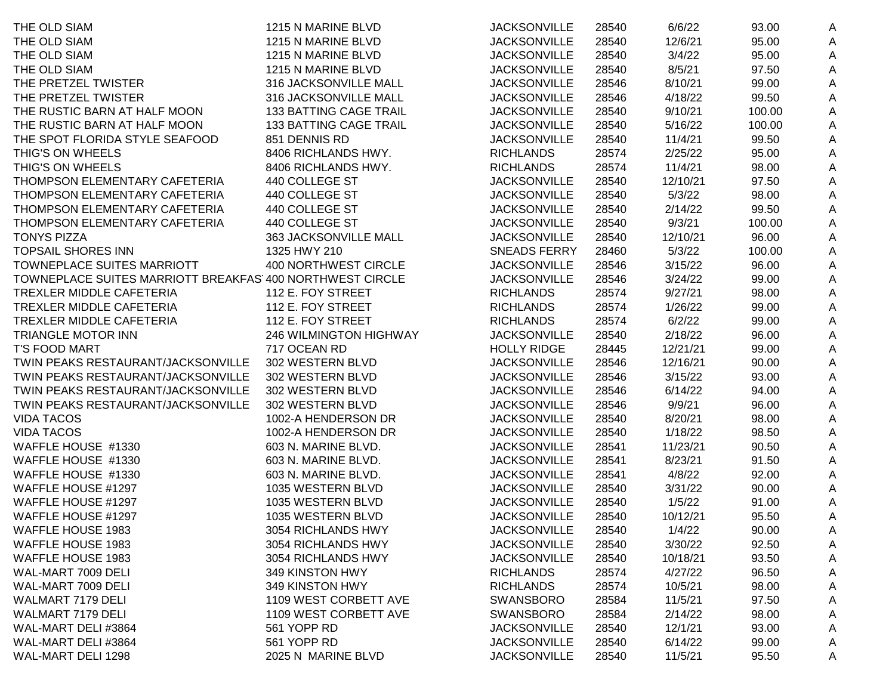| THE OLD SIAM                                             | 1215 N MARINE BLVD          | <b>JACKSONVILLE</b> | 28540 | 6/6/22   | 93.00  | A |
|----------------------------------------------------------|-----------------------------|---------------------|-------|----------|--------|---|
| THE OLD SIAM                                             | 1215 N MARINE BLVD          | <b>JACKSONVILLE</b> | 28540 | 12/6/21  | 95.00  | A |
| THE OLD SIAM                                             | 1215 N MARINE BLVD          | <b>JACKSONVILLE</b> | 28540 | 3/4/22   | 95.00  | A |
| THE OLD SIAM                                             | 1215 N MARINE BLVD          | <b>JACKSONVILLE</b> | 28540 | 8/5/21   | 97.50  | A |
| THE PRETZEL TWISTER                                      | 316 JACKSONVILLE MALL       | <b>JACKSONVILLE</b> | 28546 | 8/10/21  | 99.00  | A |
| THE PRETZEL TWISTER                                      | 316 JACKSONVILLE MALL       | <b>JACKSONVILLE</b> | 28546 | 4/18/22  | 99.50  | A |
| THE RUSTIC BARN AT HALF MOON                             | 133 BATTING CAGE TRAIL      | <b>JACKSONVILLE</b> | 28540 | 9/10/21  | 100.00 | A |
| THE RUSTIC BARN AT HALF MOON                             | 133 BATTING CAGE TRAIL      | <b>JACKSONVILLE</b> | 28540 | 5/16/22  | 100.00 | A |
| THE SPOT FLORIDA STYLE SEAFOOD                           | 851 DENNIS RD               | <b>JACKSONVILLE</b> | 28540 | 11/4/21  | 99.50  | A |
| THIG'S ON WHEELS                                         | 8406 RICHLANDS HWY.         | <b>RICHLANDS</b>    | 28574 | 2/25/22  | 95.00  | A |
| THIG'S ON WHEELS                                         | 8406 RICHLANDS HWY.         | <b>RICHLANDS</b>    | 28574 | 11/4/21  | 98.00  | A |
| THOMPSON ELEMENTARY CAFETERIA                            | 440 COLLEGE ST              | <b>JACKSONVILLE</b> | 28540 | 12/10/21 | 97.50  | A |
| THOMPSON ELEMENTARY CAFETERIA                            | 440 COLLEGE ST              | <b>JACKSONVILLE</b> | 28540 | 5/3/22   | 98.00  | A |
| THOMPSON ELEMENTARY CAFETERIA                            | 440 COLLEGE ST              | <b>JACKSONVILLE</b> | 28540 | 2/14/22  | 99.50  | A |
| THOMPSON ELEMENTARY CAFETERIA                            | 440 COLLEGE ST              | <b>JACKSONVILLE</b> | 28540 | 9/3/21   | 100.00 | Α |
| <b>TONYS PIZZA</b>                                       | 363 JACKSONVILLE MALL       | <b>JACKSONVILLE</b> | 28540 | 12/10/21 | 96.00  | Α |
| <b>TOPSAIL SHORES INN</b>                                | 1325 HWY 210                | <b>SNEADS FERRY</b> | 28460 | 5/3/22   | 100.00 | A |
| <b>TOWNEPLACE SUITES MARRIOTT</b>                        | <b>400 NORTHWEST CIRCLE</b> | <b>JACKSONVILLE</b> | 28546 | 3/15/22  | 96.00  | A |
| TOWNEPLACE SUITES MARRIOTT BREAKFAS 400 NORTHWEST CIRCLE |                             | <b>JACKSONVILLE</b> | 28546 | 3/24/22  | 99.00  | A |
| TREXLER MIDDLE CAFETERIA                                 | 112 E. FOY STREET           | <b>RICHLANDS</b>    | 28574 | 9/27/21  | 98.00  | A |
| TREXLER MIDDLE CAFETERIA                                 | 112 E. FOY STREET           | <b>RICHLANDS</b>    | 28574 | 1/26/22  | 99.00  | A |
| TREXLER MIDDLE CAFETERIA                                 | 112 E. FOY STREET           | <b>RICHLANDS</b>    | 28574 | 6/2/22   | 99.00  | A |
| <b>TRIANGLE MOTOR INN</b>                                | 246 WILMINGTON HIGHWAY      | <b>JACKSONVILLE</b> | 28540 | 2/18/22  | 96.00  | A |
| T'S FOOD MART                                            | 717 OCEAN RD                | <b>HOLLY RIDGE</b>  | 28445 | 12/21/21 | 99.00  | A |
| TWIN PEAKS RESTAURANT/JACKSONVILLE                       | 302 WESTERN BLVD            | <b>JACKSONVILLE</b> | 28546 | 12/16/21 | 90.00  | A |
| TWIN PEAKS RESTAURANT/JACKSONVILLE                       | 302 WESTERN BLVD            | <b>JACKSONVILLE</b> | 28546 | 3/15/22  | 93.00  | A |
| TWIN PEAKS RESTAURANT/JACKSONVILLE                       | 302 WESTERN BLVD            | <b>JACKSONVILLE</b> | 28546 | 6/14/22  | 94.00  | A |
| TWIN PEAKS RESTAURANT/JACKSONVILLE                       | 302 WESTERN BLVD            | <b>JACKSONVILLE</b> | 28546 | 9/9/21   | 96.00  | A |
| <b>VIDA TACOS</b>                                        | 1002-A HENDERSON DR         | <b>JACKSONVILLE</b> | 28540 | 8/20/21  | 98.00  | A |
| <b>VIDA TACOS</b>                                        | 1002-A HENDERSON DR         | <b>JACKSONVILLE</b> | 28540 | 1/18/22  | 98.50  | A |
| WAFFLE HOUSE #1330                                       | 603 N. MARINE BLVD.         | <b>JACKSONVILLE</b> | 28541 | 11/23/21 | 90.50  | A |
| WAFFLE HOUSE #1330                                       | 603 N. MARINE BLVD.         | <b>JACKSONVILLE</b> | 28541 | 8/23/21  | 91.50  | Α |
| WAFFLE HOUSE #1330                                       | 603 N. MARINE BLVD.         | <b>JACKSONVILLE</b> | 28541 | 4/8/22   | 92.00  | Α |
| WAFFLE HOUSE #1297                                       | 1035 WESTERN BLVD           | <b>JACKSONVILLE</b> | 28540 | 3/31/22  | 90.00  | A |
| WAFFLE HOUSE #1297                                       | 1035 WESTERN BLVD           | <b>JACKSONVILLE</b> | 28540 | 1/5/22   | 91.00  | A |
| WAFFLE HOUSE #1297                                       | 1035 WESTERN BLVD           | <b>JACKSONVILLE</b> | 28540 | 10/12/21 | 95.50  | A |
| <b>WAFFLE HOUSE 1983</b>                                 | 3054 RICHLANDS HWY          | <b>JACKSONVILLE</b> | 28540 | 1/4/22   | 90.00  | A |
| <b>WAFFLE HOUSE 1983</b>                                 | 3054 RICHLANDS HWY          | <b>JACKSONVILLE</b> | 28540 | 3/30/22  | 92.50  | A |
| <b>WAFFLE HOUSE 1983</b>                                 | 3054 RICHLANDS HWY          | <b>JACKSONVILLE</b> | 28540 | 10/18/21 | 93.50  | A |
| WAL-MART 7009 DELI                                       | 349 KINSTON HWY             | <b>RICHLANDS</b>    | 28574 | 4/27/22  | 96.50  | A |
| WAL-MART 7009 DELI                                       | 349 KINSTON HWY             | <b>RICHLANDS</b>    | 28574 | 10/5/21  | 98.00  | Α |
| <b>WALMART 7179 DELI</b>                                 | 1109 WEST CORBETT AVE       | <b>SWANSBORO</b>    | 28584 | 11/5/21  | 97.50  | Α |
| <b>WALMART 7179 DELI</b>                                 | 1109 WEST CORBETT AVE       | <b>SWANSBORO</b>    | 28584 | 2/14/22  | 98.00  | A |
| WAL-MART DELI #3864                                      | 561 YOPP RD                 | <b>JACKSONVILLE</b> | 28540 | 12/1/21  | 93.00  | Α |
| WAL-MART DELI #3864                                      | 561 YOPP RD                 | <b>JACKSONVILLE</b> | 28540 | 6/14/22  | 99.00  | A |
| WAL-MART DELI 1298                                       | 2025 N MARINE BLVD          | <b>JACKSONVILLE</b> | 28540 | 11/5/21  | 95.50  | Α |